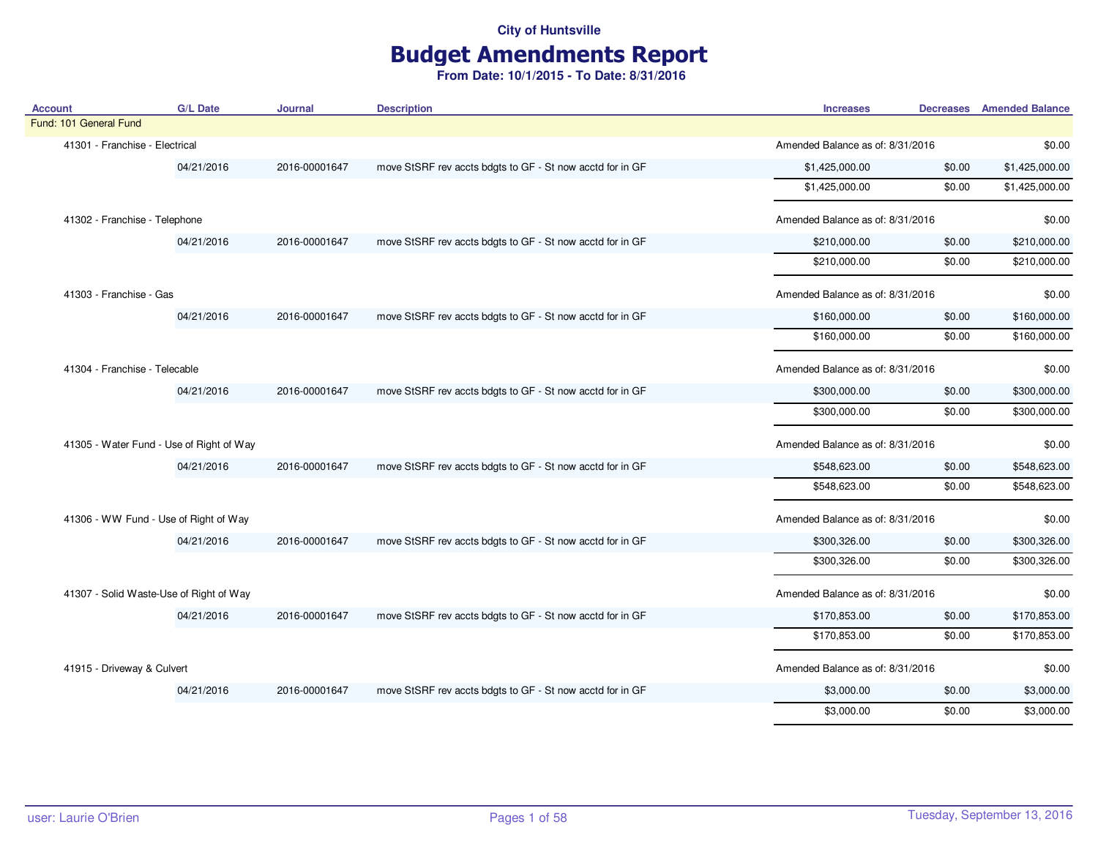## Budget Amendments Report

| <b>Account</b>                           | <b>G/L Date</b>         | <b>Journal</b>                                            | <b>Description</b>                                        | <b>Increases</b>                 | <b>Decreases</b> Amended Balance |
|------------------------------------------|-------------------------|-----------------------------------------------------------|-----------------------------------------------------------|----------------------------------|----------------------------------|
| Fund: 101 General Fund                   |                         |                                                           |                                                           |                                  |                                  |
| 41301 - Franchise - Electrical           |                         |                                                           |                                                           | Amended Balance as of: 8/31/2016 | \$0.00                           |
|                                          | 04/21/2016              | 2016-00001647                                             | move StSRF rev accts bdgts to GF - St now acctd for in GF | \$1,425,000.00<br>\$0.00         | \$1,425,000.00                   |
|                                          |                         |                                                           |                                                           | \$1,425,000.00<br>\$0.00         | \$1,425,000.00                   |
| 41302 - Franchise - Telephone            |                         |                                                           |                                                           | Amended Balance as of: 8/31/2016 | \$0.00                           |
|                                          | 04/21/2016              | 2016-00001647                                             | move StSRF rev accts bdgts to GF - St now acctd for in GF | \$210,000.00<br>\$0.00           | \$210,000.00                     |
|                                          |                         |                                                           |                                                           | \$210,000.00<br>\$0.00           | \$210,000.00                     |
|                                          | 41303 - Franchise - Gas |                                                           | Amended Balance as of: 8/31/2016                          | \$0.00                           |                                  |
|                                          | 04/21/2016              | 2016-00001647                                             | move StSRF rev accts bdgts to GF - St now acctd for in GF | \$160,000.00<br>\$0.00           | \$160,000.00                     |
|                                          |                         |                                                           |                                                           | \$160,000.00<br>\$0.00           | \$160,000.00                     |
| 41304 - Franchise - Telecable            |                         |                                                           |                                                           | Amended Balance as of: 8/31/2016 | \$0.00                           |
| 04/21/2016                               | 2016-00001647           | move StSRF rev accts bdgts to GF - St now acctd for in GF | \$300,000.00<br>\$0.00                                    | \$300,000.00                     |                                  |
|                                          |                         |                                                           |                                                           | \$300,000.00<br>\$0.00           | \$300,000.00                     |
| 41305 - Water Fund - Use of Right of Way |                         |                                                           |                                                           | Amended Balance as of: 8/31/2016 | \$0.00                           |
|                                          | 04/21/2016              | 2016-00001647                                             | move StSRF rev accts bdgts to GF - St now acctd for in GF | \$548,623.00<br>\$0.00           | \$548,623.00                     |
|                                          |                         |                                                           |                                                           | \$548,623.00<br>\$0.00           | \$548,623.00                     |
| 41306 - WW Fund - Use of Right of Way    |                         |                                                           |                                                           | Amended Balance as of: 8/31/2016 | \$0.00                           |
|                                          | 04/21/2016              | 2016-00001647                                             | move StSRF rev accts bdgts to GF - St now acctd for in GF | \$300,326.00<br>\$0.00           | \$300,326.00                     |
|                                          |                         |                                                           |                                                           | \$300,326.00<br>\$0.00           | \$300,326.00                     |
| 41307 - Solid Waste-Use of Right of Way  |                         |                                                           |                                                           | Amended Balance as of: 8/31/2016 | \$0.00                           |
|                                          | 04/21/2016              | 2016-00001647                                             | move StSRF rev accts bdgts to GF - St now acctd for in GF | \$170,853.00<br>\$0.00           | \$170,853.00                     |
|                                          |                         |                                                           |                                                           | \$170,853.00<br>\$0.00           | \$170,853.00                     |
| 41915 - Driveway & Culvert               |                         |                                                           |                                                           | Amended Balance as of: 8/31/2016 | \$0.00                           |
|                                          | 04/21/2016              | 2016-00001647                                             | move StSRF rev accts bdgts to GF - St now acctd for in GF | \$3,000.00<br>\$0.00             | \$3,000.00                       |
|                                          |                         |                                                           |                                                           | \$3,000.00<br>\$0.00             | \$3,000.00                       |
|                                          |                         |                                                           |                                                           |                                  |                                  |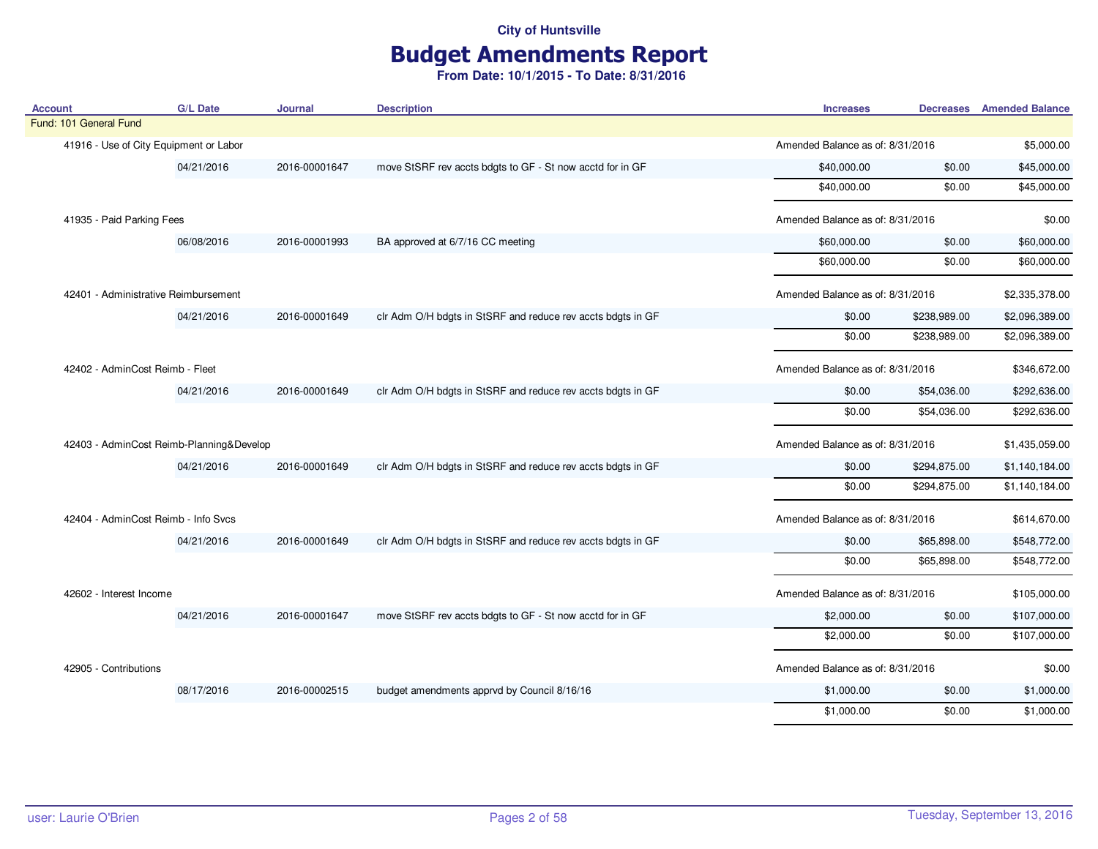## Budget Amendments Report

| <b>Account</b>                           | <b>G/L Date</b> | <b>Journal</b> | <b>Description</b>                                          | <b>Increases</b>                 |              | <b>Decreases</b> Amended Balance |
|------------------------------------------|-----------------|----------------|-------------------------------------------------------------|----------------------------------|--------------|----------------------------------|
| Fund: 101 General Fund                   |                 |                |                                                             |                                  |              |                                  |
| 41916 - Use of City Equipment or Labor   |                 |                |                                                             | Amended Balance as of: 8/31/2016 |              | \$5,000.00                       |
|                                          | 04/21/2016      | 2016-00001647  | move StSRF rev accts bdgts to GF - St now acctd for in GF   | \$40,000.00                      | \$0.00       | \$45,000.00                      |
|                                          |                 |                |                                                             | \$40,000.00                      | \$0.00       | \$45,000.00                      |
| 41935 - Paid Parking Fees                |                 |                |                                                             | Amended Balance as of: 8/31/2016 |              | \$0.00                           |
|                                          | 06/08/2016      | 2016-00001993  | BA approved at 6/7/16 CC meeting                            | \$60,000.00                      | \$0.00       | \$60,000.00                      |
|                                          |                 |                |                                                             | \$60,000.00                      | \$0.00       | \$60,000.00                      |
| 42401 - Administrative Reimbursement     |                 |                |                                                             | Amended Balance as of: 8/31/2016 |              | \$2,335,378.00                   |
|                                          | 04/21/2016      | 2016-00001649  | clr Adm O/H bdgts in StSRF and reduce rev accts bdgts in GF | \$0.00                           | \$238,989.00 | \$2,096,389.00                   |
|                                          |                 |                |                                                             | \$0.00                           | \$238,989.00 | \$2,096,389.00                   |
| 42402 - AdminCost Reimb - Fleet          |                 |                |                                                             | Amended Balance as of: 8/31/2016 |              | \$346,672.00                     |
|                                          | 04/21/2016      | 2016-00001649  | clr Adm O/H bdgts in StSRF and reduce rev accts bdgts in GF | \$0.00                           | \$54,036.00  | \$292,636.00                     |
|                                          |                 |                |                                                             | \$0.00                           | \$54,036.00  | \$292,636.00                     |
| 42403 - AdminCost Reimb-Planning&Develop |                 |                |                                                             | Amended Balance as of: 8/31/2016 |              | \$1,435,059.00                   |
|                                          | 04/21/2016      | 2016-00001649  | clr Adm O/H bdgts in StSRF and reduce rev accts bdgts in GF | \$0.00                           | \$294,875.00 | \$1,140,184.00                   |
|                                          |                 |                |                                                             | \$0.00                           | \$294,875.00 | \$1,140,184.00                   |
| 42404 - AdminCost Reimb - Info Svcs      |                 |                |                                                             | Amended Balance as of: 8/31/2016 |              | \$614,670.00                     |
|                                          | 04/21/2016      | 2016-00001649  | clr Adm O/H bdgts in StSRF and reduce rev accts bdgts in GF | \$0.00                           | \$65,898.00  | \$548,772.00                     |
|                                          |                 |                |                                                             | \$0.00                           | \$65,898.00  | \$548,772.00                     |
| 42602 - Interest Income                  |                 |                |                                                             | Amended Balance as of: 8/31/2016 |              | \$105,000.00                     |
|                                          | 04/21/2016      | 2016-00001647  | move StSRF rev accts bdgts to GF - St now acctd for in GF   | \$2,000.00                       | \$0.00       | \$107,000.00                     |
|                                          |                 |                |                                                             | \$2,000.00                       | \$0.00       | \$107,000.00                     |
| 42905 - Contributions                    |                 |                |                                                             | Amended Balance as of: 8/31/2016 |              | \$0.00                           |
|                                          | 08/17/2016      | 2016-00002515  | budget amendments apprvd by Council 8/16/16                 | \$1,000.00                       | \$0.00       | \$1,000.00                       |
|                                          |                 |                |                                                             | \$1,000.00                       | \$0.00       | \$1,000.00                       |
|                                          |                 |                |                                                             |                                  |              |                                  |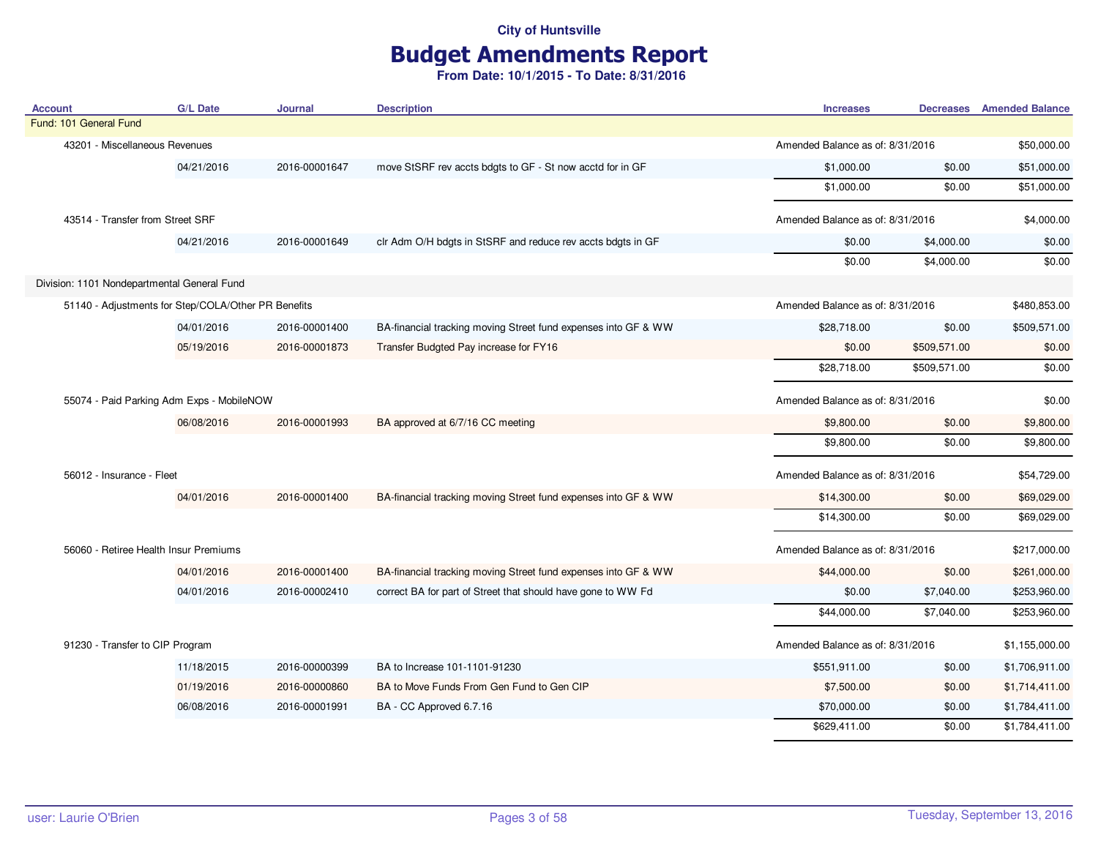## Budget Amendments Report

| <b>Account</b>                              | <b>G/L Date</b>                                     | Journal       | <b>Description</b>                                             | <b>Increases</b>                 |              | <b>Decreases</b> Amended Balance |
|---------------------------------------------|-----------------------------------------------------|---------------|----------------------------------------------------------------|----------------------------------|--------------|----------------------------------|
| Fund: 101 General Fund                      |                                                     |               |                                                                |                                  |              |                                  |
| 43201 - Miscellaneous Revenues              |                                                     |               |                                                                | Amended Balance as of: 8/31/2016 |              | \$50,000.00                      |
|                                             | 04/21/2016                                          | 2016-00001647 | move StSRF rev accts bdgts to GF - St now acctd for in GF      | \$1,000.00                       | \$0.00       | \$51,000.00                      |
|                                             |                                                     |               |                                                                | \$1,000.00                       | \$0.00       | \$51,000.00                      |
| 43514 - Transfer from Street SRF            |                                                     |               |                                                                | Amended Balance as of: 8/31/2016 |              | \$4,000.00                       |
|                                             | 04/21/2016                                          | 2016-00001649 | clr Adm O/H bdgts in StSRF and reduce rev accts bdgts in GF    | \$0.00                           | \$4,000.00   | \$0.00                           |
|                                             |                                                     |               |                                                                | \$0.00                           | \$4,000.00   | \$0.00                           |
| Division: 1101 Nondepartmental General Fund |                                                     |               |                                                                |                                  |              |                                  |
|                                             | 51140 - Adjustments for Step/COLA/Other PR Benefits |               |                                                                | Amended Balance as of: 8/31/2016 |              | \$480,853.00                     |
|                                             | 04/01/2016                                          | 2016-00001400 | BA-financial tracking moving Street fund expenses into GF & WW | \$28,718.00                      | \$0.00       | \$509,571.00                     |
|                                             | 05/19/2016                                          | 2016-00001873 | Transfer Budgted Pay increase for FY16                         | \$0.00                           | \$509,571.00 | \$0.00                           |
|                                             |                                                     |               |                                                                | \$28,718.00                      | \$509,571.00 | \$0.00                           |
|                                             |                                                     |               |                                                                |                                  |              | \$0.00                           |
| 55074 - Paid Parking Adm Exps - MobileNOW   |                                                     |               |                                                                | Amended Balance as of: 8/31/2016 |              |                                  |
|                                             | 06/08/2016                                          | 2016-00001993 | BA approved at 6/7/16 CC meeting                               | \$9,800.00                       | \$0.00       | \$9,800.00                       |
|                                             |                                                     |               |                                                                | \$9,800.00                       | \$0.00       | \$9,800.00                       |
| 56012 - Insurance - Fleet                   |                                                     |               |                                                                | Amended Balance as of: 8/31/2016 |              | \$54,729.00                      |
|                                             | 04/01/2016                                          | 2016-00001400 | BA-financial tracking moving Street fund expenses into GF & WW | \$14,300.00                      | \$0.00       | \$69,029.00                      |
|                                             |                                                     |               |                                                                | \$14,300.00                      | \$0.00       | \$69,029.00                      |
| 56060 - Retiree Health Insur Premiums       |                                                     |               |                                                                | Amended Balance as of: 8/31/2016 |              | \$217,000.00                     |
|                                             | 04/01/2016                                          | 2016-00001400 | BA-financial tracking moving Street fund expenses into GF & WW | \$44,000.00                      | \$0.00       | \$261,000.00                     |
|                                             | 04/01/2016                                          | 2016-00002410 | correct BA for part of Street that should have gone to WW Fd   | \$0.00                           | \$7,040.00   | \$253,960.00                     |
|                                             |                                                     |               |                                                                | \$44,000.00                      | \$7,040.00   | \$253,960.00                     |
| 91230 - Transfer to CIP Program             |                                                     |               |                                                                | Amended Balance as of: 8/31/2016 |              | \$1,155,000.00                   |
|                                             | 11/18/2015                                          | 2016-00000399 | BA to Increase 101-1101-91230                                  | \$551,911.00                     | \$0.00       | \$1,706,911.00                   |
|                                             | 01/19/2016                                          | 2016-00000860 | BA to Move Funds From Gen Fund to Gen CIP                      | \$7,500.00                       | \$0.00       | \$1,714,411.00                   |
|                                             | 06/08/2016                                          | 2016-00001991 | BA - CC Approved 6.7.16                                        | \$70,000.00                      | \$0.00       | \$1,784,411.00                   |
|                                             |                                                     |               |                                                                | \$629,411.00                     | \$0.00       | \$1,784,411.00                   |
|                                             |                                                     |               |                                                                |                                  |              |                                  |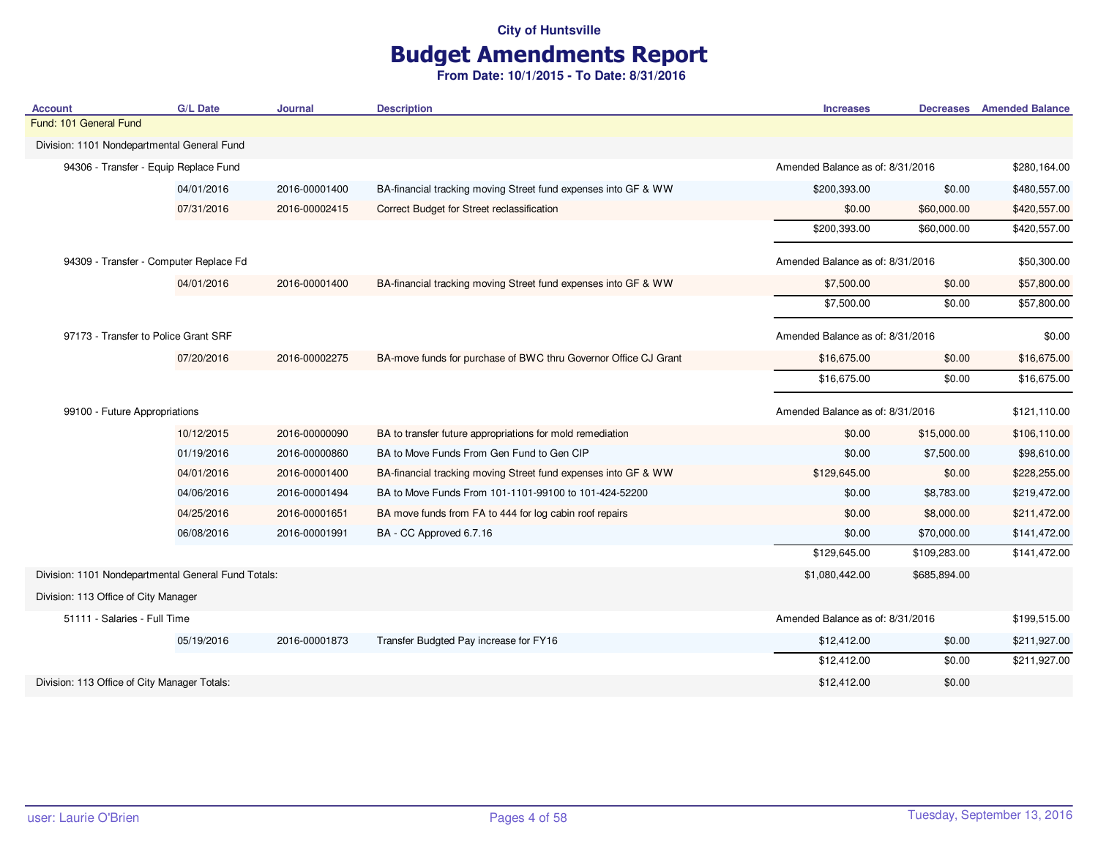# Budget Amendments Report

| <b>Account</b>                                      | <b>G/L Date</b> | <b>Journal</b> | <b>Description</b>                                              | <b>Increases</b>                 |                                  | <b>Decreases</b> Amended Balance |
|-----------------------------------------------------|-----------------|----------------|-----------------------------------------------------------------|----------------------------------|----------------------------------|----------------------------------|
| Fund: 101 General Fund                              |                 |                |                                                                 |                                  |                                  |                                  |
| Division: 1101 Nondepartmental General Fund         |                 |                |                                                                 |                                  |                                  |                                  |
| 94306 - Transfer - Equip Replace Fund               |                 |                |                                                                 |                                  | Amended Balance as of: 8/31/2016 |                                  |
|                                                     | 04/01/2016      | 2016-00001400  | BA-financial tracking moving Street fund expenses into GF & WW  | \$200,393.00                     | \$0.00                           | \$480,557.00                     |
|                                                     | 07/31/2016      | 2016-00002415  | Correct Budget for Street reclassification                      | \$0.00                           | \$60,000.00                      | \$420,557.00                     |
|                                                     |                 |                |                                                                 | \$200,393.00                     | \$60,000.00                      | \$420,557.00                     |
| 94309 - Transfer - Computer Replace Fd              |                 |                |                                                                 | Amended Balance as of: 8/31/2016 |                                  | \$50,300.00                      |
|                                                     | 04/01/2016      | 2016-00001400  | BA-financial tracking moving Street fund expenses into GF & WW  | \$7,500.00                       | \$0.00                           | \$57,800.00                      |
|                                                     |                 |                |                                                                 | \$7,500.00                       | \$0.00                           | \$57,800.00                      |
| 97173 - Transfer to Police Grant SRF                |                 |                |                                                                 | Amended Balance as of: 8/31/2016 |                                  | \$0.00                           |
|                                                     | 07/20/2016      | 2016-00002275  | BA-move funds for purchase of BWC thru Governor Office CJ Grant | \$16,675.00                      | \$0.00                           | \$16,675.00                      |
|                                                     |                 |                |                                                                 | \$16,675.00                      | \$0.00                           | \$16,675.00                      |
| 99100 - Future Appropriations                       |                 |                |                                                                 | Amended Balance as of: 8/31/2016 |                                  | \$121,110.00                     |
|                                                     | 10/12/2015      | 2016-00000090  | BA to transfer future appropriations for mold remediation       | \$0.00                           | \$15,000.00                      | \$106,110.00                     |
|                                                     | 01/19/2016      | 2016-00000860  | BA to Move Funds From Gen Fund to Gen CIP                       | \$0.00                           | \$7,500.00                       | \$98,610.00                      |
|                                                     | 04/01/2016      | 2016-00001400  | BA-financial tracking moving Street fund expenses into GF & WW  | \$129,645.00                     | \$0.00                           | \$228,255.00                     |
|                                                     | 04/06/2016      | 2016-00001494  | BA to Move Funds From 101-1101-99100 to 101-424-52200           | \$0.00                           | \$8,783.00                       | \$219,472.00                     |
|                                                     | 04/25/2016      | 2016-00001651  | BA move funds from FA to 444 for log cabin roof repairs         | \$0.00                           | \$8,000.00                       | \$211,472.00                     |
|                                                     | 06/08/2016      | 2016-00001991  | BA - CC Approved 6.7.16                                         | \$0.00                           | \$70,000.00                      | \$141,472.00                     |
|                                                     |                 |                |                                                                 | \$129,645.00                     | \$109,283.00                     | \$141,472.00                     |
| Division: 1101 Nondepartmental General Fund Totals: |                 |                |                                                                 | \$1,080,442.00                   | \$685,894.00                     |                                  |
| Division: 113 Office of City Manager                |                 |                |                                                                 |                                  |                                  |                                  |
| 51111 - Salaries - Full Time                        |                 |                |                                                                 | Amended Balance as of: 8/31/2016 |                                  | \$199,515.00                     |
|                                                     | 05/19/2016      | 2016-00001873  | Transfer Budgted Pay increase for FY16                          | \$12,412.00                      | \$0.00                           | \$211,927.00                     |
|                                                     |                 |                |                                                                 | \$12,412.00                      | \$0.00                           | \$211,927.00                     |
| Division: 113 Office of City Manager Totals:        |                 |                |                                                                 | \$12,412.00                      | \$0.00                           |                                  |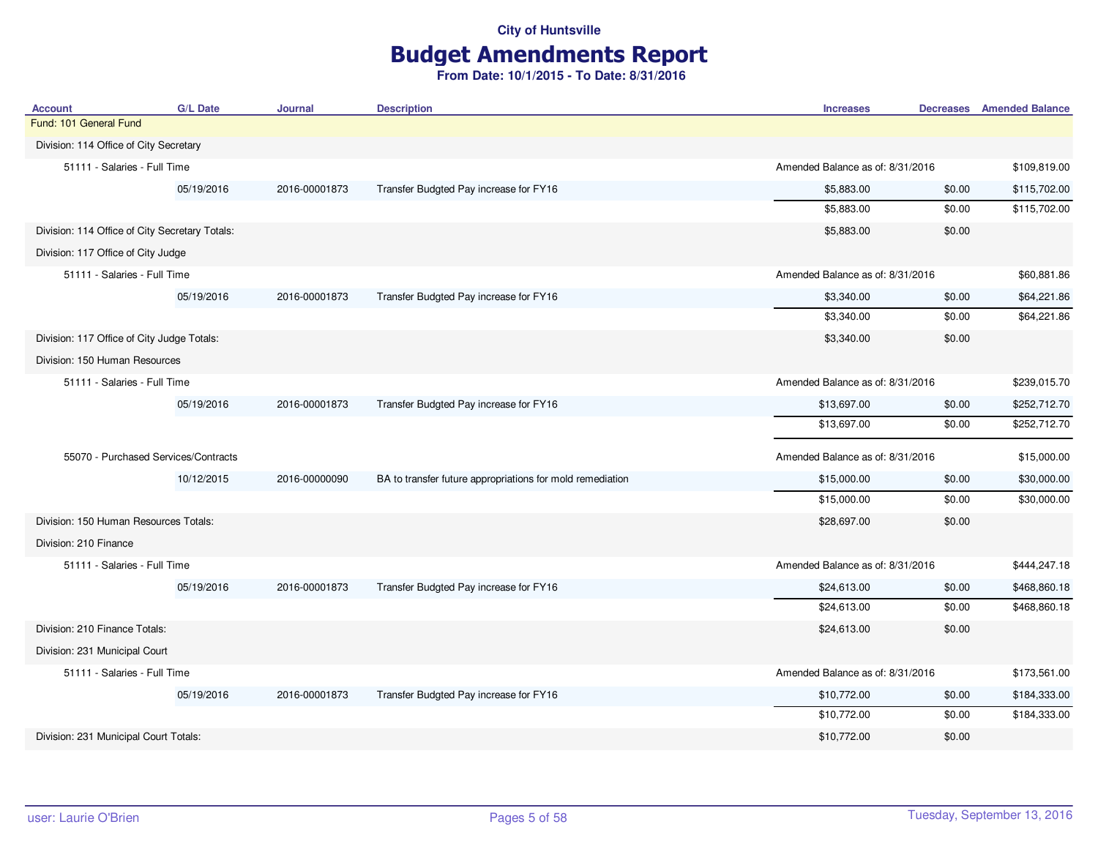# Budget Amendments Report

| <b>Account</b>                                 | <b>G/L Date</b> | <b>Journal</b> | <b>Description</b>                                        | <b>Increases</b>                 | <b>Decreases</b> Amended Balance               |
|------------------------------------------------|-----------------|----------------|-----------------------------------------------------------|----------------------------------|------------------------------------------------|
| Fund: 101 General Fund                         |                 |                |                                                           |                                  |                                                |
| Division: 114 Office of City Secretary         |                 |                |                                                           |                                  |                                                |
| 51111 - Salaries - Full Time                   |                 |                |                                                           | Amended Balance as of: 8/31/2016 | \$109,819.00                                   |
|                                                | 05/19/2016      | 2016-00001873  | Transfer Budgted Pay increase for FY16                    | \$5,883.00                       | \$0.00<br>\$115,702.00                         |
|                                                |                 |                |                                                           | \$5,883.00                       | \$0.00<br>\$115,702.00                         |
| Division: 114 Office of City Secretary Totals: |                 |                |                                                           | \$5,883.00                       | \$0.00                                         |
| Division: 117 Office of City Judge             |                 |                |                                                           |                                  |                                                |
| 51111 - Salaries - Full Time                   |                 |                |                                                           | Amended Balance as of: 8/31/2016 | \$60,881.86                                    |
|                                                | 05/19/2016      | 2016-00001873  | Transfer Budgted Pay increase for FY16                    | \$3,340.00                       | \$0.00<br>\$64,221.86                          |
|                                                |                 |                |                                                           | \$3,340.00                       | \$64,221.86<br>\$0.00                          |
| Division: 117 Office of City Judge Totals:     |                 |                |                                                           | \$3,340.00                       | \$0.00                                         |
| Division: 150 Human Resources                  |                 |                |                                                           |                                  |                                                |
| 51111 - Salaries - Full Time                   |                 |                |                                                           | Amended Balance as of: 8/31/2016 | \$239,015.70                                   |
|                                                | 05/19/2016      | 2016-00001873  | Transfer Budgted Pay increase for FY16                    | \$13,697.00                      | \$0.00<br>\$252,712.70                         |
|                                                |                 |                |                                                           | \$13,697.00                      | \$0.00<br>\$252,712.70                         |
| 55070 - Purchased Services/Contracts           |                 |                |                                                           | Amended Balance as of: 8/31/2016 | \$15,000.00                                    |
|                                                |                 |                |                                                           |                                  |                                                |
|                                                | 10/12/2015      | 2016-00000090  | BA to transfer future appropriations for mold remediation | \$15,000.00<br>\$15,000.00       | \$0.00<br>\$30,000.00<br>\$0.00<br>\$30,000.00 |
|                                                |                 |                |                                                           |                                  |                                                |
| Division: 150 Human Resources Totals:          |                 |                |                                                           | \$28,697.00                      | \$0.00                                         |
| Division: 210 Finance                          |                 |                |                                                           |                                  |                                                |
| 51111 - Salaries - Full Time                   |                 |                |                                                           | Amended Balance as of: 8/31/2016 | \$444,247.18                                   |
|                                                | 05/19/2016      | 2016-00001873  | Transfer Budgted Pay increase for FY16                    | \$24,613.00                      | \$468,860.18<br>\$0.00                         |
|                                                |                 |                |                                                           | \$24,613.00                      | \$0.00<br>\$468,860.18                         |
| Division: 210 Finance Totals:                  |                 |                |                                                           | \$24,613.00                      | \$0.00                                         |
| Division: 231 Municipal Court                  |                 |                |                                                           |                                  |                                                |
| 51111 - Salaries - Full Time                   |                 |                |                                                           | Amended Balance as of: 8/31/2016 | \$173,561.00                                   |
|                                                | 05/19/2016      | 2016-00001873  | Transfer Budgted Pay increase for FY16                    | \$10,772.00                      | \$184,333.00<br>\$0.00                         |
|                                                |                 |                |                                                           | \$10,772.00                      | \$184,333.00<br>\$0.00                         |
| Division: 231 Municipal Court Totals:          |                 |                |                                                           | \$10,772.00                      | \$0.00                                         |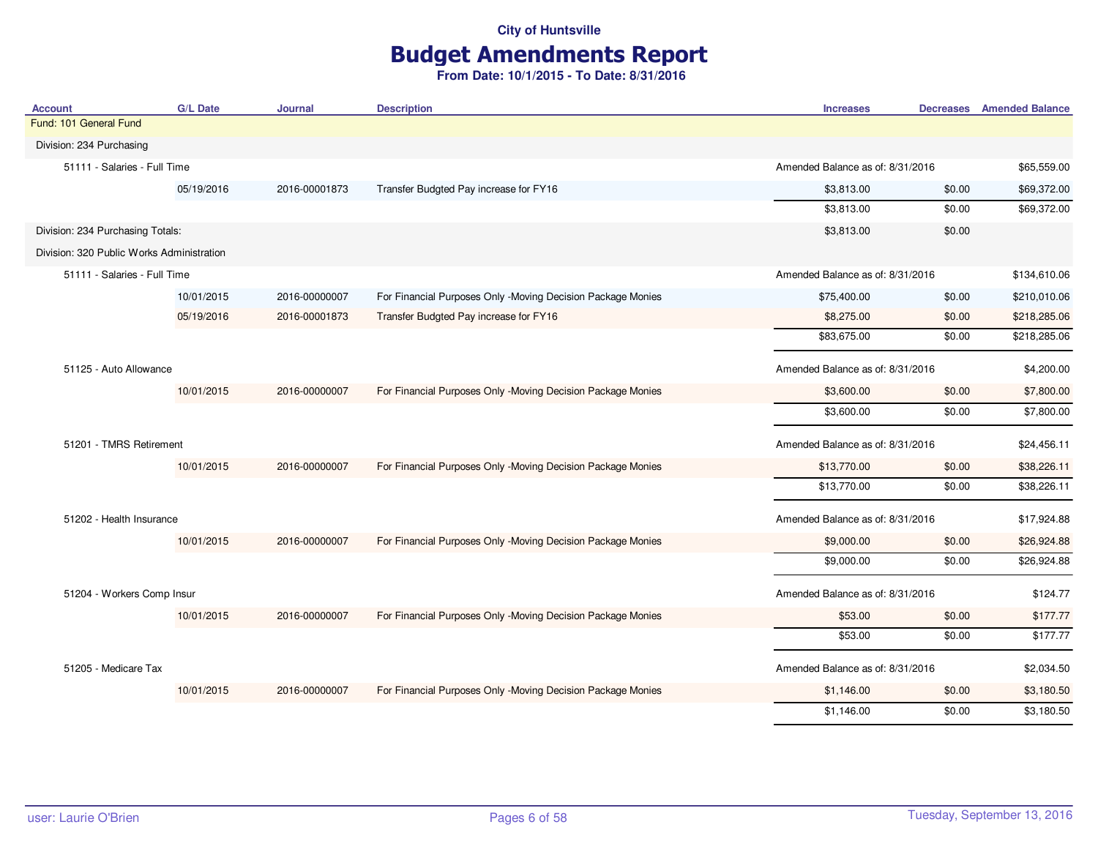## Budget Amendments Report

| <b>Account</b>                            | <b>G/L Date</b>         | <b>Journal</b> | <b>Description</b>                                          | <b>Increases</b>                 |                                  | <b>Decreases</b> Amended Balance |
|-------------------------------------------|-------------------------|----------------|-------------------------------------------------------------|----------------------------------|----------------------------------|----------------------------------|
| Fund: 101 General Fund                    |                         |                |                                                             |                                  |                                  |                                  |
| Division: 234 Purchasing                  |                         |                |                                                             |                                  |                                  |                                  |
| 51111 - Salaries - Full Time              |                         |                |                                                             | Amended Balance as of: 8/31/2016 |                                  | \$65,559.00                      |
|                                           | 05/19/2016              | 2016-00001873  | Transfer Budgted Pay increase for FY16                      | \$3,813.00                       | \$0.00                           | \$69,372.00                      |
|                                           |                         |                |                                                             | \$3,813.00                       | \$0.00                           | \$69,372.00                      |
| Division: 234 Purchasing Totals:          |                         |                |                                                             | \$3,813.00                       | \$0.00                           |                                  |
| Division: 320 Public Works Administration |                         |                |                                                             |                                  |                                  |                                  |
| 51111 - Salaries - Full Time              |                         |                |                                                             |                                  | Amended Balance as of: 8/31/2016 |                                  |
|                                           | 10/01/2015              | 2016-00000007  | For Financial Purposes Only -Moving Decision Package Monies | \$75,400.00                      | \$0.00                           | \$210,010.06                     |
|                                           | 05/19/2016              | 2016-00001873  | Transfer Budgted Pay increase for FY16                      | \$8,275.00                       | \$0.00                           | \$218,285.06                     |
|                                           |                         |                |                                                             | \$83,675.00                      | \$0.00                           | \$218,285.06                     |
| 51125 - Auto Allowance                    |                         |                |                                                             | Amended Balance as of: 8/31/2016 |                                  | \$4,200.00                       |
|                                           | 10/01/2015              | 2016-00000007  | For Financial Purposes Only -Moving Decision Package Monies | \$3,600.00                       | \$0.00                           | \$7,800.00                       |
|                                           |                         |                |                                                             | \$3,600.00                       | \$0.00                           | \$7,800.00                       |
|                                           | 51201 - TMRS Retirement |                |                                                             | Amended Balance as of: 8/31/2016 |                                  | \$24,456.11                      |
|                                           | 10/01/2015              | 2016-00000007  | For Financial Purposes Only -Moving Decision Package Monies | \$13,770.00                      | \$0.00                           | \$38,226.11                      |
|                                           |                         |                |                                                             | \$13,770.00                      | \$0.00                           | \$38,226.11                      |
| 51202 - Health Insurance                  |                         |                |                                                             | Amended Balance as of: 8/31/2016 |                                  | \$17,924.88                      |
|                                           | 10/01/2015              | 2016-00000007  | For Financial Purposes Only -Moving Decision Package Monies | \$9,000.00                       | \$0.00                           | \$26,924.88                      |
|                                           |                         |                |                                                             | \$9,000.00                       | \$0.00                           | \$26,924.88                      |
| 51204 - Workers Comp Insur                |                         |                |                                                             | Amended Balance as of: 8/31/2016 |                                  | \$124.77                         |
|                                           | 10/01/2015              | 2016-00000007  | For Financial Purposes Only -Moving Decision Package Monies | \$53.00                          | \$0.00                           | \$177.77                         |
|                                           |                         |                |                                                             | \$53.00                          | \$0.00                           | \$177.77                         |
| 51205 - Medicare Tax                      |                         |                |                                                             | Amended Balance as of: 8/31/2016 |                                  | \$2,034.50                       |
|                                           | 10/01/2015              | 2016-00000007  | For Financial Purposes Only -Moving Decision Package Monies | \$1,146.00                       | \$0.00                           | \$3,180.50                       |
|                                           |                         |                |                                                             | \$1,146.00                       | \$0.00                           | \$3,180.50                       |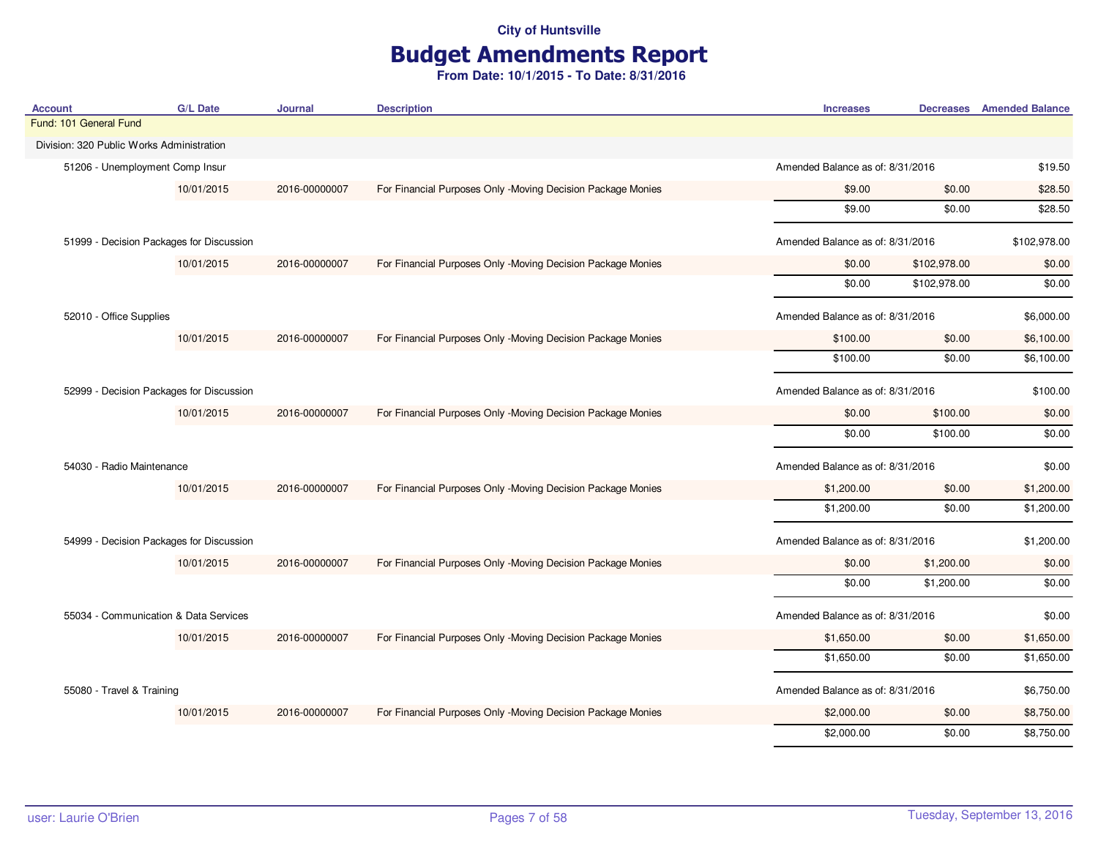# Budget Amendments Report

| <b>Account</b>                            | <b>G/L Date</b>                          | Journal       | <b>Description</b>                                          | <b>Increases</b>                 |                                  | <b>Decreases</b> Amended Balance |
|-------------------------------------------|------------------------------------------|---------------|-------------------------------------------------------------|----------------------------------|----------------------------------|----------------------------------|
| Fund: 101 General Fund                    |                                          |               |                                                             |                                  |                                  |                                  |
| Division: 320 Public Works Administration |                                          |               |                                                             |                                  |                                  |                                  |
| 51206 - Unemployment Comp Insur           |                                          |               |                                                             | Amended Balance as of: 8/31/2016 |                                  | \$19.50                          |
|                                           | 10/01/2015                               | 2016-00000007 | For Financial Purposes Only -Moving Decision Package Monies | \$9.00                           | \$0.00                           | \$28.50                          |
|                                           |                                          |               |                                                             | \$9.00                           | \$0.00                           | \$28.50                          |
| 51999 - Decision Packages for Discussion  |                                          |               |                                                             | Amended Balance as of: 8/31/2016 |                                  | \$102,978.00                     |
|                                           | 10/01/2015                               | 2016-00000007 | For Financial Purposes Only -Moving Decision Package Monies | \$0.00                           | \$102,978.00                     | \$0.00                           |
|                                           |                                          |               |                                                             | \$0.00                           | \$102,978.00                     | \$0.00                           |
|                                           | 52010 - Office Supplies                  |               |                                                             | Amended Balance as of: 8/31/2016 |                                  | \$6,000.00                       |
|                                           | 10/01/2015                               | 2016-00000007 | For Financial Purposes Only -Moving Decision Package Monies | \$100.00                         | \$0.00                           | \$6,100.00                       |
|                                           |                                          |               |                                                             | \$100.00                         | \$0.00                           | \$6,100.00                       |
|                                           | 52999 - Decision Packages for Discussion |               |                                                             |                                  | Amended Balance as of: 8/31/2016 |                                  |
|                                           | 10/01/2015                               | 2016-00000007 | For Financial Purposes Only -Moving Decision Package Monies | \$0.00                           | \$100.00                         | \$0.00                           |
|                                           |                                          |               |                                                             | \$0.00                           | \$100.00                         | \$0.00                           |
| 54030 - Radio Maintenance                 |                                          |               |                                                             | Amended Balance as of: 8/31/2016 |                                  | \$0.00                           |
|                                           | 10/01/2015                               | 2016-00000007 | For Financial Purposes Only -Moving Decision Package Monies | \$1,200.00                       | \$0.00                           | \$1,200.00                       |
|                                           |                                          |               |                                                             | \$1,200.00                       | \$0.00                           | \$1,200.00                       |
| 54999 - Decision Packages for Discussion  |                                          |               |                                                             | Amended Balance as of: 8/31/2016 |                                  | \$1,200.00                       |
|                                           | 10/01/2015                               | 2016-00000007 | For Financial Purposes Only -Moving Decision Package Monies | \$0.00                           | \$1,200.00                       | \$0.00                           |
|                                           |                                          |               |                                                             | \$0.00                           | \$1,200.00                       | \$0.00                           |
| 55034 - Communication & Data Services     |                                          |               |                                                             | Amended Balance as of: 8/31/2016 |                                  | \$0.00                           |
|                                           | 10/01/2015                               | 2016-00000007 | For Financial Purposes Only -Moving Decision Package Monies | \$1,650.00                       | \$0.00                           | \$1,650.00                       |
|                                           |                                          |               |                                                             | \$1,650.00                       | \$0.00                           | \$1,650.00                       |
| 55080 - Travel & Training                 |                                          |               |                                                             | Amended Balance as of: 8/31/2016 |                                  | \$6,750.00                       |
|                                           | 10/01/2015                               | 2016-00000007 | For Financial Purposes Only -Moving Decision Package Monies | \$2,000.00                       | \$0.00                           | \$8,750.00                       |
|                                           |                                          |               |                                                             | \$2,000.00                       | \$0.00                           | \$8,750.00                       |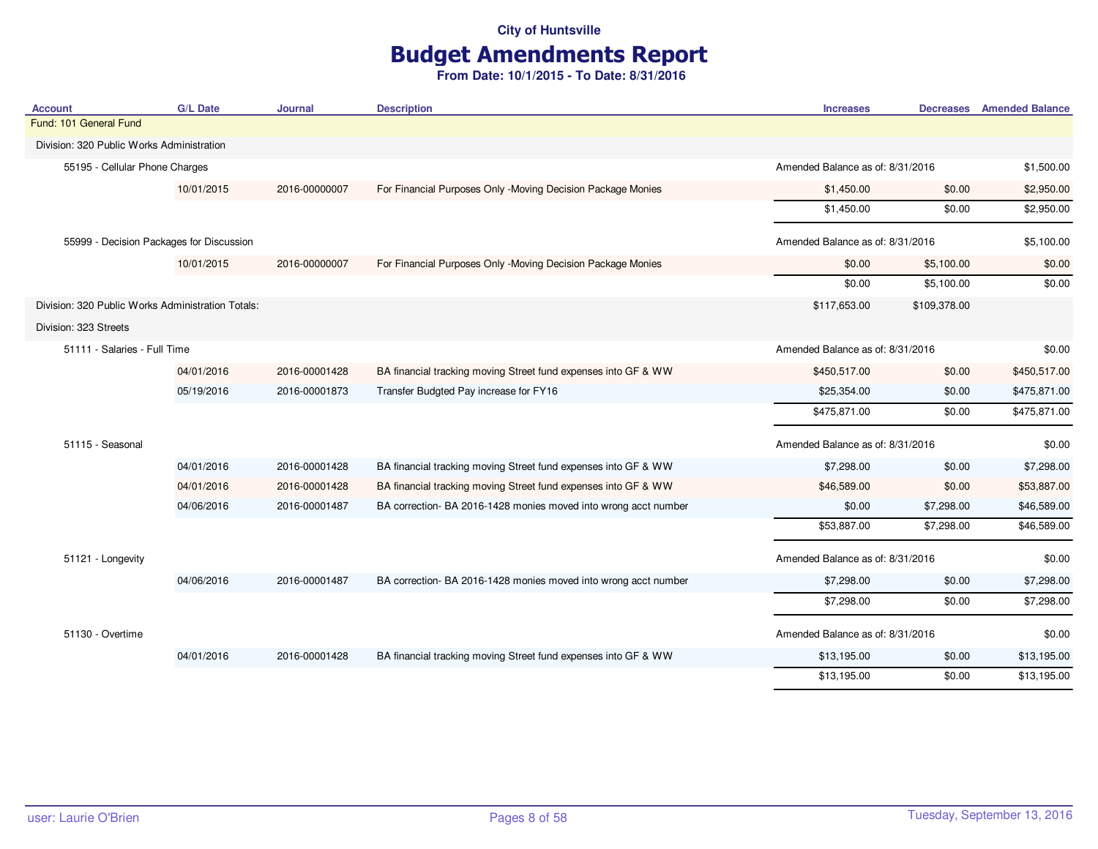# Budget Amendments Report

| <b>Account</b>                                    | <b>G/L Date</b> | Journal       | <b>Description</b>                                              | <b>Increases</b>                 |              | <b>Decreases</b> Amended Balance |
|---------------------------------------------------|-----------------|---------------|-----------------------------------------------------------------|----------------------------------|--------------|----------------------------------|
| Fund: 101 General Fund                            |                 |               |                                                                 |                                  |              |                                  |
| Division: 320 Public Works Administration         |                 |               |                                                                 |                                  |              |                                  |
| 55195 - Cellular Phone Charges                    |                 |               |                                                                 | Amended Balance as of: 8/31/2016 |              | \$1,500.00                       |
|                                                   | 10/01/2015      | 2016-00000007 | For Financial Purposes Only -Moving Decision Package Monies     | \$1,450.00                       | \$0.00       | \$2,950.00                       |
|                                                   |                 |               |                                                                 | \$1,450.00                       | \$0.00       | \$2,950.00                       |
| 55999 - Decision Packages for Discussion          |                 |               |                                                                 | Amended Balance as of: 8/31/2016 |              | \$5,100.00                       |
|                                                   | 10/01/2015      | 2016-00000007 | For Financial Purposes Only -Moving Decision Package Monies     | \$0.00                           | \$5,100.00   | \$0.00                           |
|                                                   |                 |               |                                                                 | \$0.00                           | \$5,100.00   | \$0.00                           |
| Division: 320 Public Works Administration Totals: |                 |               |                                                                 | \$117,653.00                     | \$109,378.00 |                                  |
| Division: 323 Streets                             |                 |               |                                                                 |                                  |              |                                  |
| 51111 - Salaries - Full Time                      |                 |               |                                                                 | Amended Balance as of: 8/31/2016 |              | \$0.00                           |
|                                                   | 04/01/2016      | 2016-00001428 | BA financial tracking moving Street fund expenses into GF & WW  | \$450,517.00                     | \$0.00       | \$450,517.00                     |
|                                                   | 05/19/2016      | 2016-00001873 | Transfer Budgted Pay increase for FY16                          | \$25,354.00                      | \$0.00       | \$475,871.00                     |
|                                                   |                 |               |                                                                 | \$475,871.00                     | \$0.00       | \$475,871.00                     |
| 51115 - Seasonal                                  |                 |               |                                                                 | Amended Balance as of: 8/31/2016 |              | \$0.00                           |
|                                                   | 04/01/2016      | 2016-00001428 | BA financial tracking moving Street fund expenses into GF & WW  | \$7,298.00                       | \$0.00       | \$7,298.00                       |
|                                                   | 04/01/2016      | 2016-00001428 | BA financial tracking moving Street fund expenses into GF & WW  | \$46,589.00                      | \$0.00       | \$53,887.00                      |
|                                                   | 04/06/2016      | 2016-00001487 | BA correction- BA 2016-1428 monies moved into wrong acct number | \$0.00                           | \$7,298.00   | \$46,589.00                      |
|                                                   |                 |               |                                                                 | \$53,887.00                      | \$7,298.00   | \$46,589.00                      |
| 51121 - Longevity                                 |                 |               |                                                                 | Amended Balance as of: 8/31/2016 |              | \$0.00                           |
|                                                   | 04/06/2016      | 2016-00001487 | BA correction- BA 2016-1428 monies moved into wrong acct number | \$7,298.00                       | \$0.00       | \$7,298.00                       |
|                                                   |                 |               |                                                                 | \$7,298.00                       | \$0.00       | \$7,298.00                       |
| 51130 - Overtime                                  |                 |               |                                                                 | Amended Balance as of: 8/31/2016 |              | \$0.00                           |
|                                                   | 04/01/2016      | 2016-00001428 | BA financial tracking moving Street fund expenses into GF & WW  | \$13,195.00                      | \$0.00       | \$13,195.00                      |
|                                                   |                 |               |                                                                 | \$13,195.00                      | \$0.00       | \$13,195.00                      |
|                                                   |                 |               |                                                                 |                                  |              |                                  |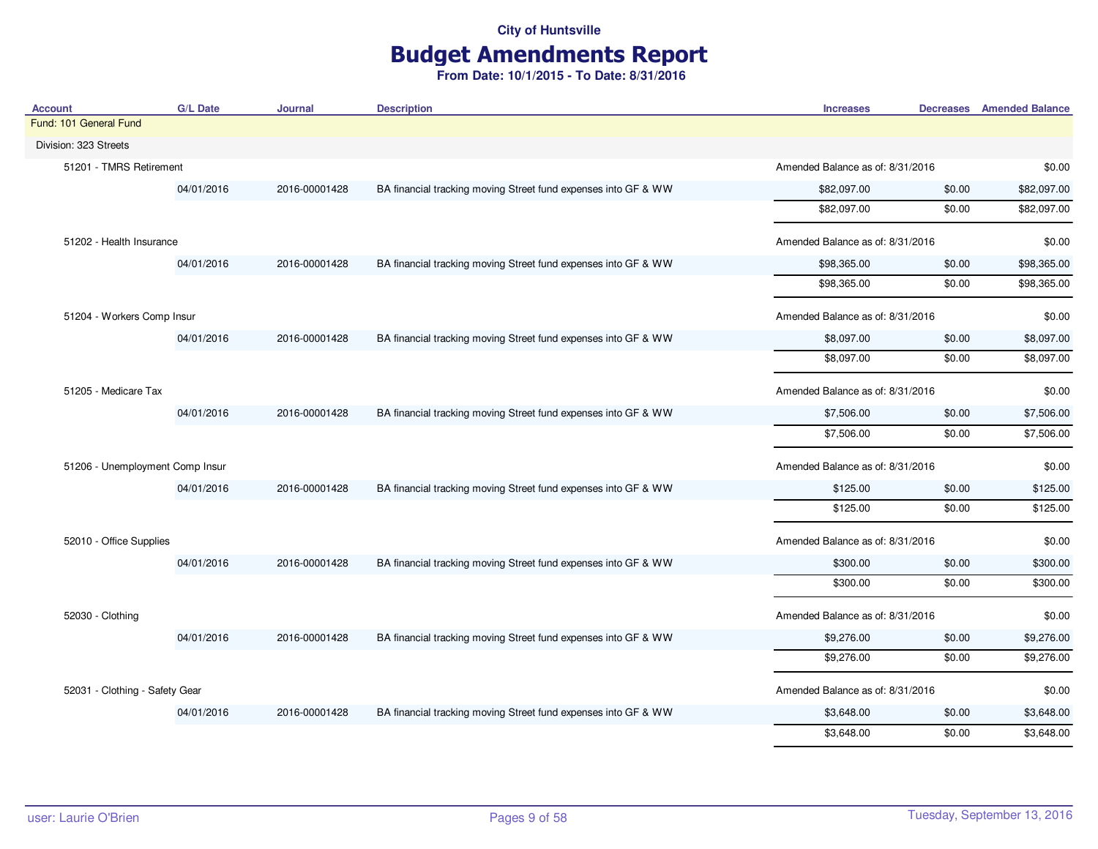## Budget Amendments Report

| <b>Account</b>                  | <b>G/L Date</b> | Journal       | <b>Description</b>                                             | <b>Increases</b>                 |                                  | <b>Decreases</b> Amended Balance |
|---------------------------------|-----------------|---------------|----------------------------------------------------------------|----------------------------------|----------------------------------|----------------------------------|
| Fund: 101 General Fund          |                 |               |                                                                |                                  |                                  |                                  |
| Division: 323 Streets           |                 |               |                                                                |                                  |                                  |                                  |
| 51201 - TMRS Retirement         |                 |               |                                                                |                                  | Amended Balance as of: 8/31/2016 |                                  |
|                                 | 04/01/2016      | 2016-00001428 | BA financial tracking moving Street fund expenses into GF & WW | \$82,097.00                      | \$0.00                           | \$82,097.00                      |
|                                 |                 |               |                                                                | \$82,097.00                      | \$0.00                           | \$82,097.00                      |
| 51202 - Health Insurance        |                 |               |                                                                | Amended Balance as of: 8/31/2016 |                                  | \$0.00                           |
|                                 | 04/01/2016      | 2016-00001428 | BA financial tracking moving Street fund expenses into GF & WW | \$98,365.00                      | \$0.00                           | \$98,365.00                      |
|                                 |                 |               |                                                                | \$98,365.00                      | \$0.00                           | \$98,365.00                      |
| 51204 - Workers Comp Insur      |                 |               |                                                                | Amended Balance as of: 8/31/2016 |                                  | \$0.00                           |
|                                 | 04/01/2016      | 2016-00001428 | BA financial tracking moving Street fund expenses into GF & WW | \$8,097.00                       | \$0.00                           | \$8,097.00                       |
|                                 |                 |               |                                                                | \$8,097.00                       | \$0.00                           | \$8,097.00                       |
| 51205 - Medicare Tax            |                 |               |                                                                | Amended Balance as of: 8/31/2016 |                                  | \$0.00                           |
|                                 | 04/01/2016      | 2016-00001428 | BA financial tracking moving Street fund expenses into GF & WW | \$7,506.00                       | \$0.00                           | \$7,506.00                       |
|                                 |                 |               |                                                                | \$7,506.00                       | \$0.00                           | \$7,506.00                       |
| 51206 - Unemployment Comp Insur |                 |               |                                                                | Amended Balance as of: 8/31/2016 |                                  | \$0.00                           |
|                                 | 04/01/2016      | 2016-00001428 | BA financial tracking moving Street fund expenses into GF & WW | \$125.00                         | \$0.00                           | \$125.00                         |
|                                 |                 |               |                                                                | \$125.00                         | \$0.00                           | \$125.00                         |
| 52010 - Office Supplies         |                 |               |                                                                | Amended Balance as of: 8/31/2016 |                                  | \$0.00                           |
|                                 | 04/01/2016      | 2016-00001428 | BA financial tracking moving Street fund expenses into GF & WW | \$300.00                         | \$0.00                           | \$300.00                         |
|                                 |                 |               |                                                                | \$300.00                         | \$0.00                           | \$300.00                         |
| 52030 - Clothing                |                 |               |                                                                | Amended Balance as of: 8/31/2016 |                                  | \$0.00                           |
|                                 | 04/01/2016      | 2016-00001428 | BA financial tracking moving Street fund expenses into GF & WW | \$9,276.00                       | \$0.00                           | \$9,276.00                       |
|                                 |                 |               |                                                                | \$9,276.00                       | \$0.00                           | \$9,276.00                       |
| 52031 - Clothing - Safety Gear  |                 |               |                                                                | Amended Balance as of: 8/31/2016 |                                  | \$0.00                           |
|                                 | 04/01/2016      | 2016-00001428 | BA financial tracking moving Street fund expenses into GF & WW | \$3,648.00                       | \$0.00                           | \$3,648.00                       |
|                                 |                 |               |                                                                | \$3,648.00                       | \$0.00                           | \$3,648.00                       |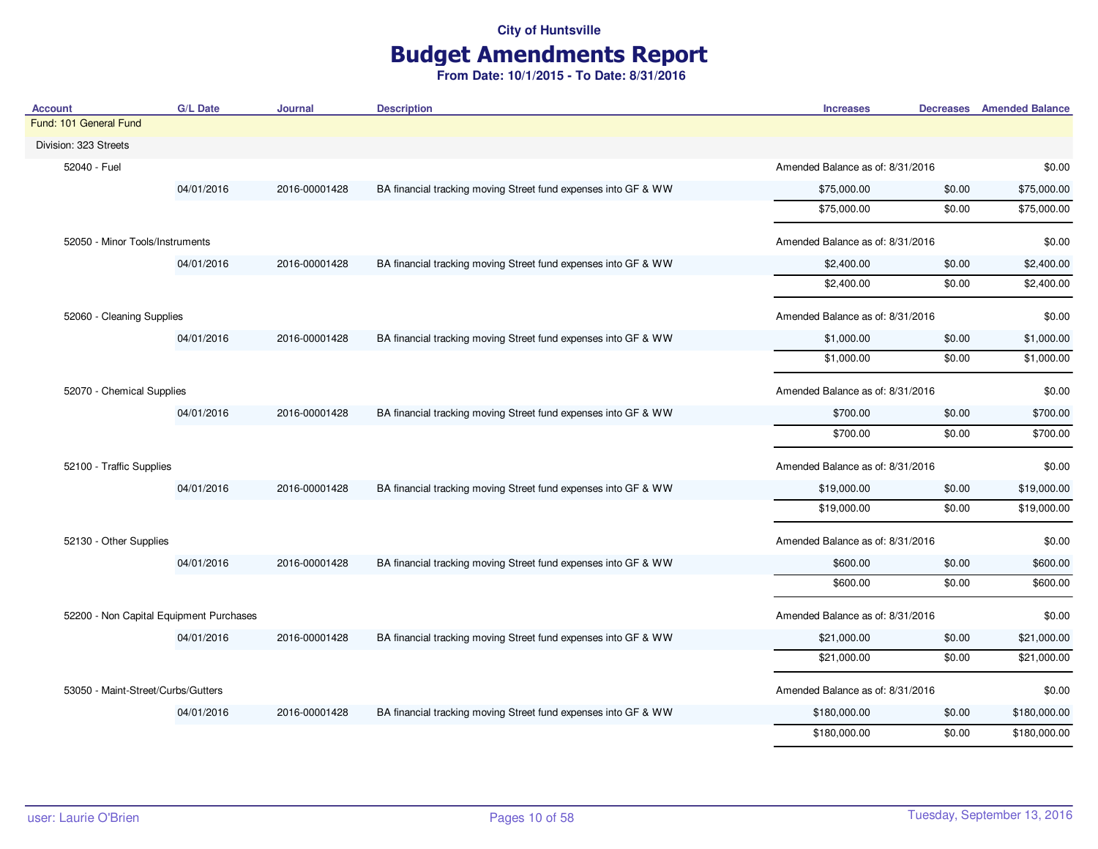# Budget Amendments Report

| <b>Account</b>                          | <b>G/L Date</b> | <b>Journal</b> | <b>Description</b>                                             | <b>Increases</b>                 |                                  | <b>Decreases</b> Amended Balance |
|-----------------------------------------|-----------------|----------------|----------------------------------------------------------------|----------------------------------|----------------------------------|----------------------------------|
| Fund: 101 General Fund                  |                 |                |                                                                |                                  |                                  |                                  |
| Division: 323 Streets                   |                 |                |                                                                |                                  |                                  |                                  |
| 52040 - Fuel                            |                 |                |                                                                |                                  | Amended Balance as of: 8/31/2016 |                                  |
|                                         | 04/01/2016      | 2016-00001428  | BA financial tracking moving Street fund expenses into GF & WW | \$75,000.00                      | \$0.00                           | \$75,000.00                      |
|                                         |                 |                |                                                                | \$75,000.00                      | \$0.00                           | \$75,000.00                      |
| 52050 - Minor Tools/Instruments         |                 |                |                                                                | Amended Balance as of: 8/31/2016 |                                  | \$0.00                           |
|                                         | 04/01/2016      | 2016-00001428  | BA financial tracking moving Street fund expenses into GF & WW | \$2,400.00                       | \$0.00                           | \$2,400.00                       |
|                                         |                 |                |                                                                | \$2,400.00                       | \$0.00                           | \$2,400.00                       |
| 52060 - Cleaning Supplies               |                 |                |                                                                | Amended Balance as of: 8/31/2016 |                                  | \$0.00                           |
|                                         | 04/01/2016      | 2016-00001428  | BA financial tracking moving Street fund expenses into GF & WW | \$1,000.00                       | \$0.00                           | \$1,000.00                       |
|                                         |                 |                |                                                                | \$1,000.00                       | \$0.00                           | \$1,000.00                       |
| 52070 - Chemical Supplies               |                 |                | Amended Balance as of: 8/31/2016                               |                                  |                                  |                                  |
|                                         | 04/01/2016      | 2016-00001428  | BA financial tracking moving Street fund expenses into GF & WW | \$700.00                         | \$0.00                           | \$700.00                         |
|                                         |                 |                |                                                                | \$700.00                         | \$0.00                           | \$700.00                         |
| 52100 - Traffic Supplies                |                 |                |                                                                |                                  | Amended Balance as of: 8/31/2016 |                                  |
|                                         | 04/01/2016      | 2016-00001428  | BA financial tracking moving Street fund expenses into GF & WW | \$19,000.00                      | \$0.00                           | \$19,000.00                      |
|                                         |                 |                |                                                                | \$19,000.00                      | \$0.00                           | \$19,000.00                      |
| 52130 - Other Supplies                  |                 |                |                                                                | Amended Balance as of: 8/31/2016 |                                  | \$0.00                           |
|                                         | 04/01/2016      | 2016-00001428  | BA financial tracking moving Street fund expenses into GF & WW | \$600.00                         | \$0.00                           | \$600.00                         |
|                                         |                 |                |                                                                | \$600.00                         | \$0.00                           | \$600.00                         |
| 52200 - Non Capital Equipment Purchases |                 |                |                                                                | Amended Balance as of: 8/31/2016 |                                  | \$0.00                           |
|                                         | 04/01/2016      | 2016-00001428  | BA financial tracking moving Street fund expenses into GF & WW | \$21,000.00                      | \$0.00                           | \$21,000.00                      |
|                                         |                 |                |                                                                | \$21,000.00                      | \$0.00                           | \$21,000.00                      |
| 53050 - Maint-Street/Curbs/Gutters      |                 |                |                                                                | Amended Balance as of: 8/31/2016 |                                  | \$0.00                           |
|                                         | 04/01/2016      | 2016-00001428  | BA financial tracking moving Street fund expenses into GF & WW | \$180,000.00                     | \$0.00                           | \$180,000.00                     |
|                                         |                 |                |                                                                | \$180,000.00                     | \$0.00                           | \$180,000.00                     |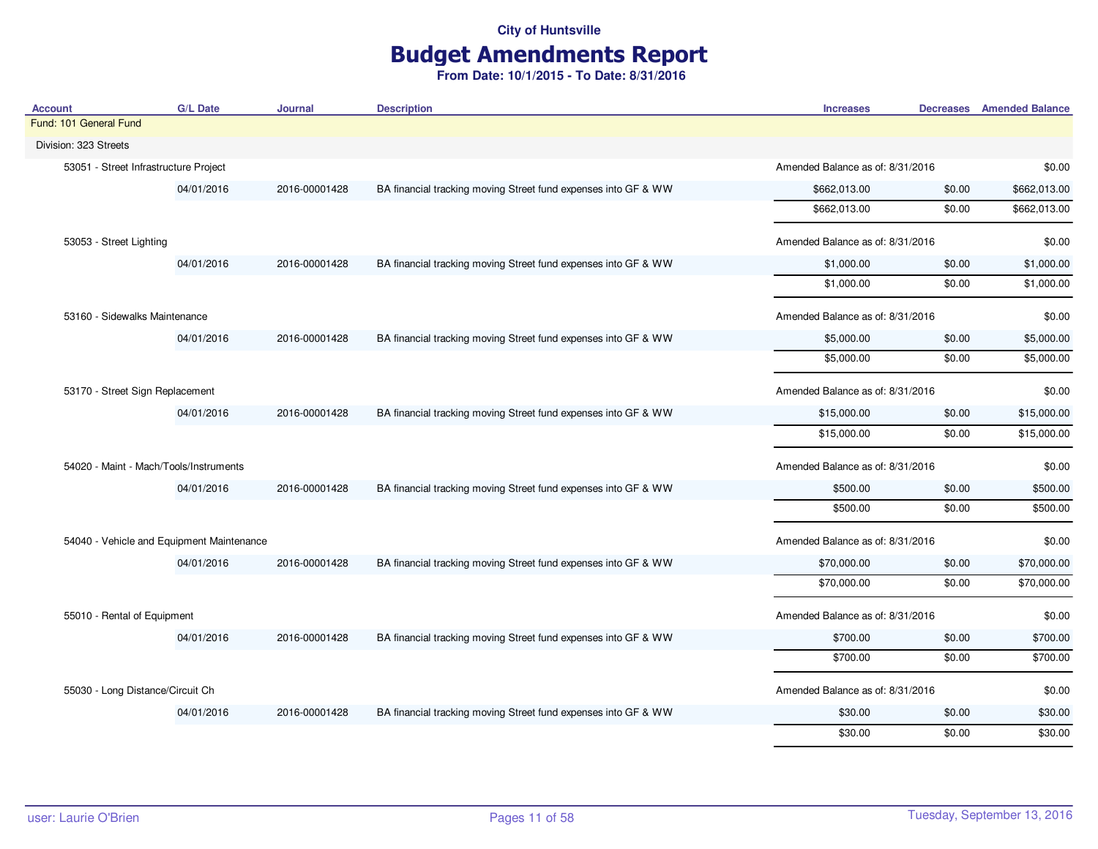# Budget Amendments Report

| <b>Account</b>                            | <b>G/L Date</b>                 | <b>Journal</b> | <b>Description</b>                                             | <b>Increases</b>                 |        | <b>Decreases</b> Amended Balance |
|-------------------------------------------|---------------------------------|----------------|----------------------------------------------------------------|----------------------------------|--------|----------------------------------|
| Fund: 101 General Fund                    |                                 |                |                                                                |                                  |        |                                  |
| Division: 323 Streets                     |                                 |                |                                                                |                                  |        |                                  |
| 53051 - Street Infrastructure Project     |                                 |                |                                                                | Amended Balance as of: 8/31/2016 |        | \$0.00                           |
|                                           | 04/01/2016                      | 2016-00001428  | BA financial tracking moving Street fund expenses into GF & WW | \$662,013.00                     | \$0.00 | \$662,013.00                     |
|                                           |                                 |                |                                                                | \$662,013.00                     | \$0.00 | \$662,013.00                     |
| 53053 - Street Lighting                   |                                 |                |                                                                | Amended Balance as of: 8/31/2016 |        | \$0.00                           |
|                                           | 04/01/2016                      | 2016-00001428  | BA financial tracking moving Street fund expenses into GF & WW | \$1,000.00                       | \$0.00 | \$1,000.00                       |
|                                           |                                 |                |                                                                | \$1,000.00                       | \$0.00 | \$1,000.00                       |
| 53160 - Sidewalks Maintenance             |                                 |                |                                                                | Amended Balance as of: 8/31/2016 |        | \$0.00                           |
|                                           | 04/01/2016                      | 2016-00001428  | BA financial tracking moving Street fund expenses into GF & WW | \$5,000.00                       | \$0.00 | \$5,000.00                       |
|                                           |                                 |                |                                                                | \$5,000.00                       | \$0.00 | \$5,000.00                       |
|                                           | 53170 - Street Sign Replacement |                |                                                                | Amended Balance as of: 8/31/2016 |        | \$0.00                           |
|                                           | 04/01/2016                      | 2016-00001428  | BA financial tracking moving Street fund expenses into GF & WW | \$15,000.00                      | \$0.00 | \$15,000.00                      |
|                                           |                                 |                |                                                                | \$15,000.00                      | \$0.00 | \$15,000.00                      |
| 54020 - Maint - Mach/Tools/Instruments    |                                 |                |                                                                | Amended Balance as of: 8/31/2016 |        | \$0.00                           |
|                                           | 04/01/2016                      | 2016-00001428  | BA financial tracking moving Street fund expenses into GF & WW | \$500.00                         | \$0.00 | \$500.00                         |
|                                           |                                 |                |                                                                | \$500.00                         | \$0.00 | \$500.00                         |
| 54040 - Vehicle and Equipment Maintenance |                                 |                |                                                                | Amended Balance as of: 8/31/2016 |        | \$0.00                           |
|                                           | 04/01/2016                      | 2016-00001428  | BA financial tracking moving Street fund expenses into GF & WW | \$70,000.00                      | \$0.00 | \$70,000.00                      |
|                                           |                                 |                |                                                                | \$70,000.00                      | \$0.00 | \$70,000.00                      |
| 55010 - Rental of Equipment               |                                 |                |                                                                | Amended Balance as of: 8/31/2016 |        | \$0.00                           |
|                                           | 04/01/2016                      | 2016-00001428  | BA financial tracking moving Street fund expenses into GF & WW | \$700.00                         | \$0.00 | \$700.00                         |
|                                           |                                 |                |                                                                | \$700.00                         | \$0.00 | \$700.00                         |
| 55030 - Long Distance/Circuit Ch          |                                 |                |                                                                | Amended Balance as of: 8/31/2016 |        | \$0.00                           |
|                                           | 04/01/2016                      | 2016-00001428  | BA financial tracking moving Street fund expenses into GF & WW | \$30.00                          | \$0.00 | \$30.00                          |
|                                           |                                 |                |                                                                | \$30.00                          | \$0.00 | \$30.00                          |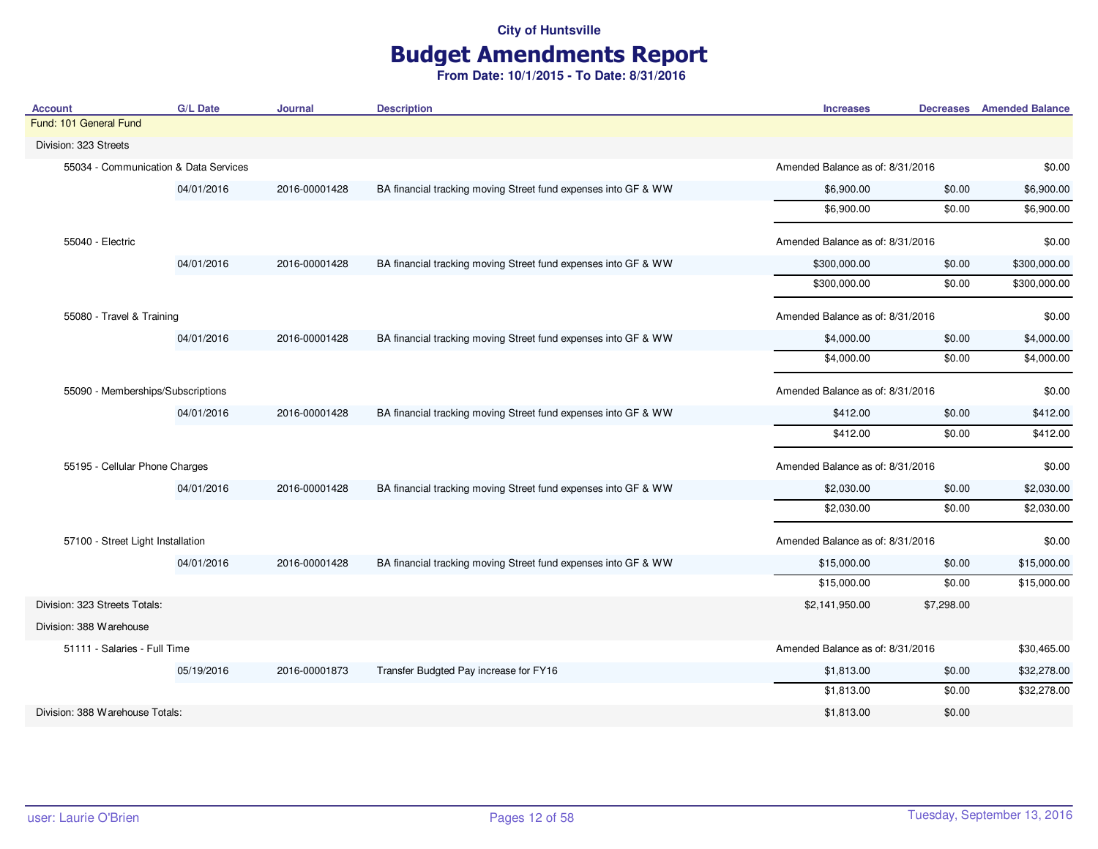# Budget Amendments Report

| <b>Account</b>                        | <b>G/L Date</b> | <b>Journal</b> | <b>Description</b>                                             | <b>Increases</b>                 |            | <b>Decreases</b> Amended Balance |
|---------------------------------------|-----------------|----------------|----------------------------------------------------------------|----------------------------------|------------|----------------------------------|
| Fund: 101 General Fund                |                 |                |                                                                |                                  |            |                                  |
| Division: 323 Streets                 |                 |                |                                                                |                                  |            |                                  |
| 55034 - Communication & Data Services |                 |                |                                                                | Amended Balance as of: 8/31/2016 |            | \$0.00                           |
|                                       | 04/01/2016      | 2016-00001428  | BA financial tracking moving Street fund expenses into GF & WW | \$6,900.00                       | \$0.00     | \$6,900.00                       |
|                                       |                 |                |                                                                | \$6,900.00                       | \$0.00     | \$6,900.00                       |
| 55040 - Electric                      |                 |                |                                                                | Amended Balance as of: 8/31/2016 |            | \$0.00                           |
|                                       | 04/01/2016      | 2016-00001428  | BA financial tracking moving Street fund expenses into GF & WW | \$300,000.00                     | \$0.00     | \$300,000.00                     |
|                                       |                 |                |                                                                | \$300,000.00                     | \$0.00     | \$300,000.00                     |
| 55080 - Travel & Training             |                 |                | Amended Balance as of: 8/31/2016                               |                                  | \$0.00     |                                  |
|                                       | 04/01/2016      | 2016-00001428  | BA financial tracking moving Street fund expenses into GF & WW | \$4,000.00                       | \$0.00     | \$4,000.00                       |
|                                       |                 |                |                                                                | \$4,000.00                       | \$0.00     | \$4,000.00                       |
| 55090 - Memberships/Subscriptions     |                 |                |                                                                | Amended Balance as of: 8/31/2016 |            | \$0.00                           |
|                                       | 04/01/2016      | 2016-00001428  | BA financial tracking moving Street fund expenses into GF & WW | \$412.00                         | \$0.00     | \$412.00                         |
|                                       |                 |                |                                                                | \$412.00                         | \$0.00     | \$412.00                         |
| 55195 - Cellular Phone Charges        |                 |                |                                                                | Amended Balance as of: 8/31/2016 |            | \$0.00                           |
|                                       | 04/01/2016      | 2016-00001428  | BA financial tracking moving Street fund expenses into GF & WW | \$2,030.00                       | \$0.00     | \$2,030.00                       |
|                                       |                 |                |                                                                | \$2,030.00                       | \$0.00     | \$2,030.00                       |
| 57100 - Street Light Installation     |                 |                |                                                                | Amended Balance as of: 8/31/2016 |            | \$0.00                           |
|                                       | 04/01/2016      | 2016-00001428  | BA financial tracking moving Street fund expenses into GF & WW | \$15,000.00                      | \$0.00     | \$15,000.00                      |
|                                       |                 |                |                                                                | \$15,000.00                      | \$0.00     | \$15,000.00                      |
| Division: 323 Streets Totals:         |                 |                |                                                                | \$2,141,950.00                   | \$7,298.00 |                                  |
| Division: 388 Warehouse               |                 |                |                                                                |                                  |            |                                  |
| 51111 - Salaries - Full Time          |                 |                |                                                                | Amended Balance as of: 8/31/2016 |            | \$30,465.00                      |
|                                       | 05/19/2016      | 2016-00001873  | Transfer Budgted Pay increase for FY16                         | \$1,813.00                       | \$0.00     | \$32,278.00                      |
|                                       |                 |                |                                                                | \$1,813.00                       | \$0.00     | \$32,278.00                      |
| Division: 388 Warehouse Totals:       |                 |                |                                                                | \$1,813.00                       | \$0.00     |                                  |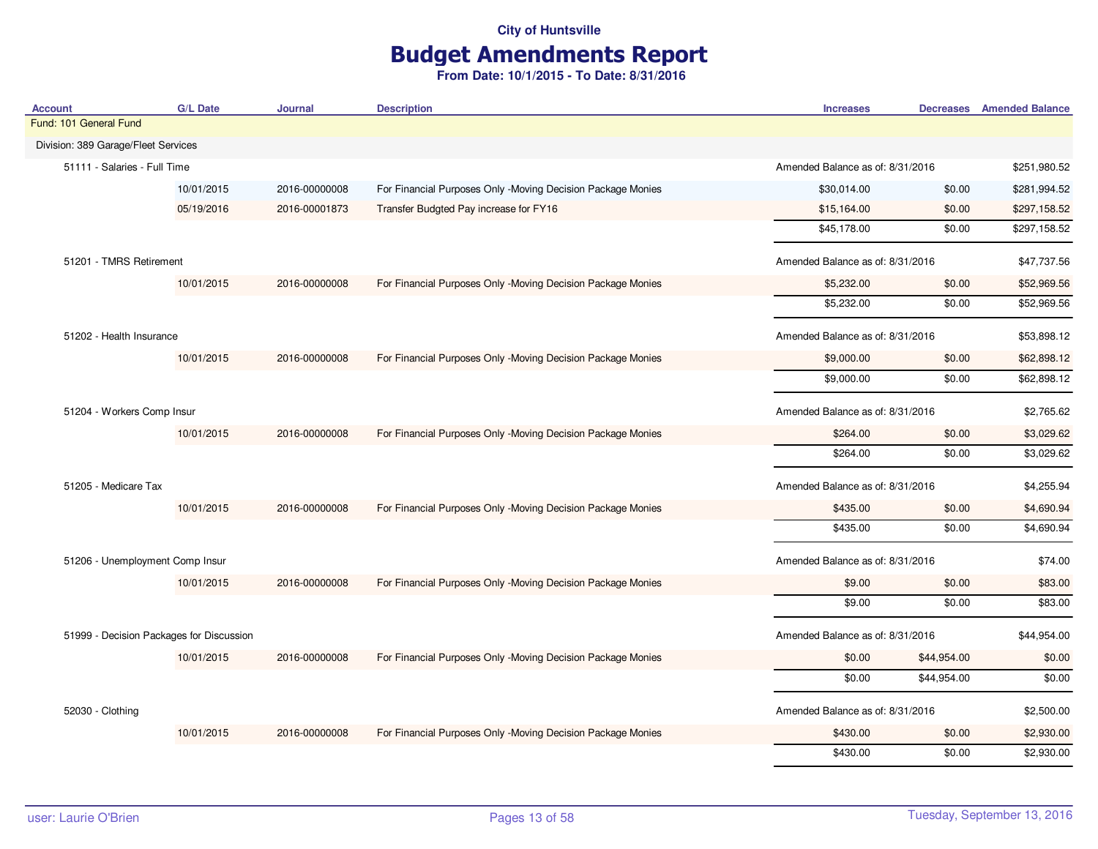# Budget Amendments Report

| <b>Account</b>                      | <b>G/L Date</b>                          | <b>Journal</b>                   | <b>Description</b>                                          | <b>Increases</b>                 |                                  | <b>Decreases</b> Amended Balance |
|-------------------------------------|------------------------------------------|----------------------------------|-------------------------------------------------------------|----------------------------------|----------------------------------|----------------------------------|
| Fund: 101 General Fund              |                                          |                                  |                                                             |                                  |                                  |                                  |
| Division: 389 Garage/Fleet Services |                                          |                                  |                                                             |                                  |                                  |                                  |
| 51111 - Salaries - Full Time        |                                          |                                  |                                                             |                                  | Amended Balance as of: 8/31/2016 |                                  |
|                                     | 10/01/2015                               | 2016-00000008                    | For Financial Purposes Only -Moving Decision Package Monies | \$30,014.00                      | \$0.00                           | \$281,994.52                     |
|                                     | 05/19/2016                               | 2016-00001873                    | Transfer Budgted Pay increase for FY16                      | \$15,164.00                      | \$0.00                           | \$297,158.52                     |
|                                     |                                          |                                  |                                                             | \$45,178.00                      | \$0.00                           | \$297,158.52                     |
| 51201 - TMRS Retirement             |                                          | Amended Balance as of: 8/31/2016 |                                                             | \$47,737.56                      |                                  |                                  |
|                                     | 10/01/2015                               | 2016-00000008                    | For Financial Purposes Only -Moving Decision Package Monies | \$5,232.00                       | \$0.00                           | \$52,969.56                      |
|                                     |                                          |                                  |                                                             | \$5,232.00                       | \$0.00                           | \$52,969.56                      |
|                                     | 51202 - Health Insurance                 |                                  | Amended Balance as of: 8/31/2016                            |                                  | \$53,898.12                      |                                  |
|                                     | 10/01/2015                               | 2016-00000008                    | For Financial Purposes Only -Moving Decision Package Monies | \$9,000.00                       | \$0.00                           | \$62,898.12                      |
|                                     |                                          |                                  |                                                             | \$9,000.00                       | \$0.00                           | \$62,898.12                      |
| 51204 - Workers Comp Insur          |                                          | Amended Balance as of: 8/31/2016 |                                                             | \$2,765.62                       |                                  |                                  |
|                                     | 10/01/2015                               | 2016-00000008                    | For Financial Purposes Only -Moving Decision Package Monies | \$264.00                         | \$0.00                           | \$3,029.62                       |
|                                     |                                          |                                  |                                                             | \$264.00                         | \$0.00                           | \$3,029.62                       |
| 51205 - Medicare Tax                |                                          |                                  |                                                             | Amended Balance as of: 8/31/2016 |                                  | \$4,255.94                       |
|                                     | 10/01/2015                               | 2016-00000008                    | For Financial Purposes Only -Moving Decision Package Monies | \$435.00                         | \$0.00                           | \$4,690.94                       |
|                                     |                                          |                                  |                                                             | \$435.00                         | \$0.00                           | \$4,690.94                       |
| 51206 - Unemployment Comp Insur     |                                          |                                  |                                                             | Amended Balance as of: 8/31/2016 |                                  | \$74.00                          |
|                                     | 10/01/2015                               | 2016-00000008                    | For Financial Purposes Only -Moving Decision Package Monies | \$9.00                           | \$0.00                           | \$83.00                          |
|                                     |                                          |                                  |                                                             | \$9.00                           | \$0.00                           | \$83.00                          |
|                                     | 51999 - Decision Packages for Discussion |                                  |                                                             | Amended Balance as of: 8/31/2016 |                                  | \$44,954.00                      |
|                                     | 10/01/2015                               | 2016-00000008                    | For Financial Purposes Only -Moving Decision Package Monies | \$0.00                           | \$44,954.00                      | \$0.00                           |
|                                     |                                          |                                  |                                                             | \$0.00                           | \$44,954.00                      | \$0.00                           |
| 52030 - Clothing                    |                                          |                                  |                                                             | Amended Balance as of: 8/31/2016 |                                  | \$2,500.00                       |
|                                     | 10/01/2015                               | 2016-00000008                    | For Financial Purposes Only -Moving Decision Package Monies | \$430.00                         | \$0.00                           | \$2,930.00                       |
|                                     |                                          |                                  |                                                             | \$430.00                         | \$0.00                           | \$2,930.00                       |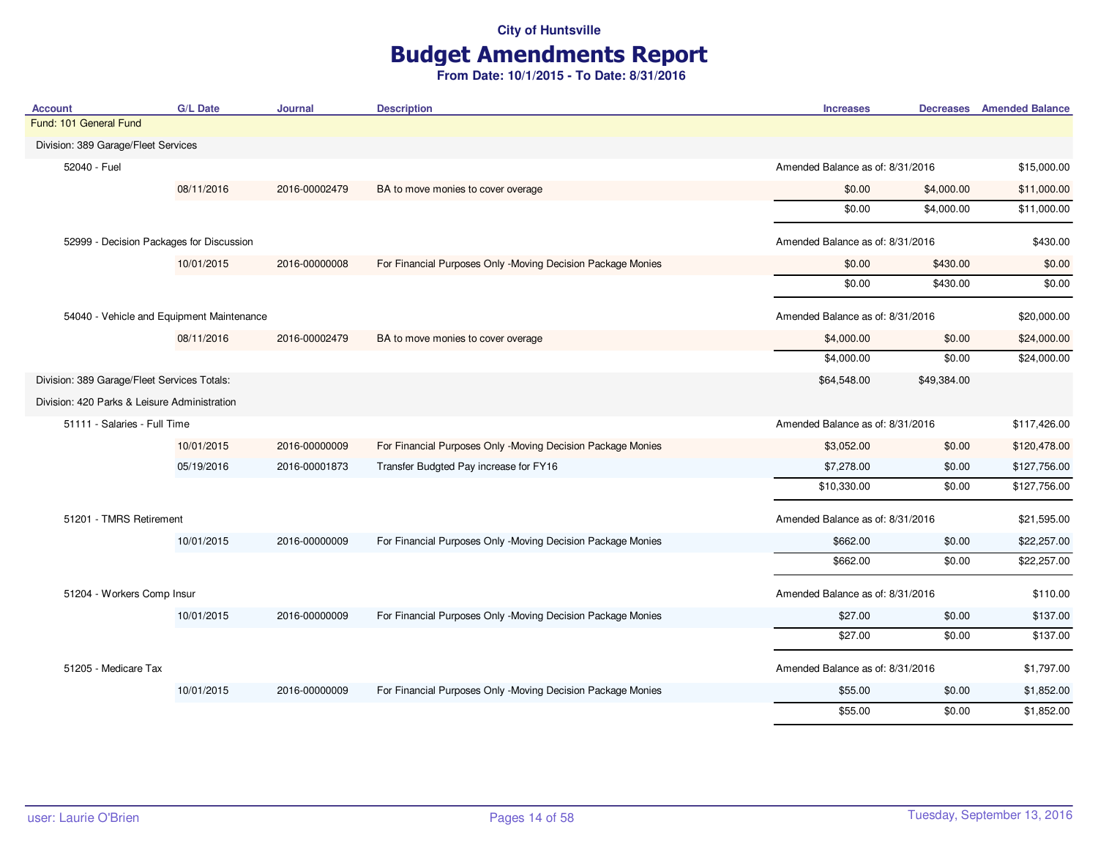# Budget Amendments Report

| <b>Account</b>                               | <b>G/L Date</b> | <b>Journal</b> | <b>Description</b>                                          | <b>Increases</b>                 |                                  | <b>Decreases</b> Amended Balance |
|----------------------------------------------|-----------------|----------------|-------------------------------------------------------------|----------------------------------|----------------------------------|----------------------------------|
| Fund: 101 General Fund                       |                 |                |                                                             |                                  |                                  |                                  |
| Division: 389 Garage/Fleet Services          |                 |                |                                                             |                                  |                                  |                                  |
| 52040 - Fuel                                 |                 |                |                                                             |                                  | Amended Balance as of: 8/31/2016 |                                  |
|                                              | 08/11/2016      | 2016-00002479  | BA to move monies to cover overage                          | \$0.00                           | \$4,000.00                       | \$11,000.00                      |
|                                              |                 |                |                                                             | \$0.00                           | \$4,000.00                       | \$11,000.00                      |
| 52999 - Decision Packages for Discussion     |                 |                |                                                             | Amended Balance as of: 8/31/2016 |                                  | \$430.00                         |
|                                              | 10/01/2015      | 2016-00000008  | For Financial Purposes Only -Moving Decision Package Monies | \$0.00                           | \$430.00                         | \$0.00                           |
|                                              |                 |                |                                                             | \$0.00                           | \$430.00                         | \$0.00                           |
| 54040 - Vehicle and Equipment Maintenance    |                 |                |                                                             | Amended Balance as of: 8/31/2016 |                                  | \$20,000.00                      |
|                                              | 08/11/2016      | 2016-00002479  | BA to move monies to cover overage                          | \$4,000.00                       | \$0.00                           | \$24,000.00                      |
|                                              |                 |                |                                                             | \$4,000.00                       | \$0.00                           | \$24,000.00                      |
| Division: 389 Garage/Fleet Services Totals:  |                 |                |                                                             | \$64,548.00                      | \$49,384.00                      |                                  |
| Division: 420 Parks & Leisure Administration |                 |                |                                                             |                                  |                                  |                                  |
| 51111 - Salaries - Full Time                 |                 |                |                                                             | Amended Balance as of: 8/31/2016 |                                  | \$117,426.00                     |
|                                              | 10/01/2015      | 2016-00000009  | For Financial Purposes Only -Moving Decision Package Monies | \$3,052.00                       | \$0.00                           | \$120,478.00                     |
|                                              | 05/19/2016      | 2016-00001873  | Transfer Budgted Pay increase for FY16                      | \$7,278.00                       | \$0.00                           | \$127,756.00                     |
|                                              |                 |                |                                                             | \$10,330.00                      | \$0.00                           | \$127,756.00                     |
| 51201 - TMRS Retirement                      |                 |                |                                                             | Amended Balance as of: 8/31/2016 |                                  | \$21,595.00                      |
|                                              | 10/01/2015      | 2016-00000009  | For Financial Purposes Only -Moving Decision Package Monies | \$662.00                         | \$0.00                           | \$22,257.00                      |
|                                              |                 |                |                                                             | \$662.00                         | \$0.00                           | \$22,257.00                      |
| 51204 - Workers Comp Insur                   |                 |                |                                                             | Amended Balance as of: 8/31/2016 |                                  | \$110.00                         |
|                                              | 10/01/2015      | 2016-00000009  | For Financial Purposes Only -Moving Decision Package Monies | \$27.00                          | \$0.00                           | \$137.00                         |
|                                              |                 |                |                                                             | \$27.00                          | \$0.00                           | \$137.00                         |
| 51205 - Medicare Tax                         |                 |                |                                                             | Amended Balance as of: 8/31/2016 |                                  | \$1,797.00                       |
|                                              | 10/01/2015      | 2016-00000009  | For Financial Purposes Only -Moving Decision Package Monies | \$55.00                          | \$0.00                           | \$1,852.00                       |
|                                              |                 |                |                                                             | \$55.00                          | \$0.00                           | \$1,852.00                       |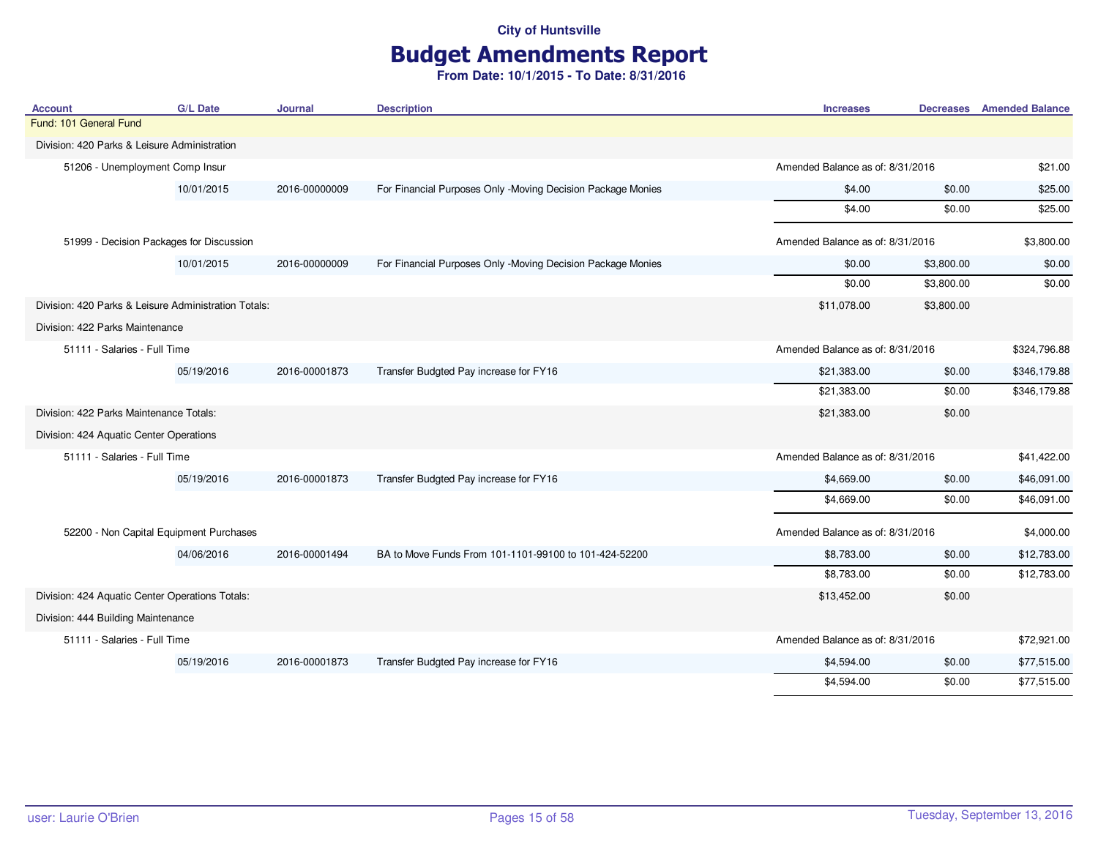# Budget Amendments Report

| <b>Account</b>                                       | <b>G/L Date</b>                         | <b>Journal</b> | <b>Description</b>                                          | <b>Increases</b>                 |            | <b>Decreases</b> Amended Balance |
|------------------------------------------------------|-----------------------------------------|----------------|-------------------------------------------------------------|----------------------------------|------------|----------------------------------|
| Fund: 101 General Fund                               |                                         |                |                                                             |                                  |            |                                  |
| Division: 420 Parks & Leisure Administration         |                                         |                |                                                             |                                  |            |                                  |
| 51206 - Unemployment Comp Insur                      |                                         |                |                                                             | Amended Balance as of: 8/31/2016 |            | \$21.00                          |
|                                                      | 10/01/2015                              | 2016-00000009  | For Financial Purposes Only -Moving Decision Package Monies | \$4.00                           | \$0.00     | \$25.00                          |
|                                                      |                                         |                |                                                             | \$4.00                           | \$0.00     | \$25.00                          |
| 51999 - Decision Packages for Discussion             |                                         |                |                                                             | Amended Balance as of: 8/31/2016 |            | \$3,800.00                       |
|                                                      | 10/01/2015                              | 2016-00000009  | For Financial Purposes Only -Moving Decision Package Monies | \$0.00                           | \$3,800.00 | \$0.00                           |
|                                                      |                                         |                |                                                             | \$0.00                           | \$3,800.00 | \$0.00                           |
| Division: 420 Parks & Leisure Administration Totals: |                                         |                |                                                             | \$11,078.00                      | \$3,800.00 |                                  |
| Division: 422 Parks Maintenance                      |                                         |                |                                                             |                                  |            |                                  |
| 51111 - Salaries - Full Time                         |                                         |                |                                                             | Amended Balance as of: 8/31/2016 |            | \$324,796.88                     |
|                                                      | 05/19/2016                              | 2016-00001873  | Transfer Budgted Pay increase for FY16                      | \$21,383.00                      | \$0.00     | \$346,179.88                     |
|                                                      |                                         |                |                                                             | \$21,383.00                      | \$0.00     | \$346,179.88                     |
|                                                      | Division: 422 Parks Maintenance Totals: |                |                                                             | \$21,383.00                      | \$0.00     |                                  |
| Division: 424 Aquatic Center Operations              |                                         |                |                                                             |                                  |            |                                  |
| 51111 - Salaries - Full Time                         |                                         |                |                                                             | Amended Balance as of: 8/31/2016 |            | \$41,422.00                      |
|                                                      | 05/19/2016                              | 2016-00001873  | Transfer Budgted Pay increase for FY16                      | \$4,669.00                       | \$0.00     | \$46,091.00                      |
|                                                      |                                         |                |                                                             | \$4,669.00                       | \$0.00     | \$46,091.00                      |
| 52200 - Non Capital Equipment Purchases              |                                         |                |                                                             | Amended Balance as of: 8/31/2016 |            | \$4,000.00                       |
|                                                      | 04/06/2016                              | 2016-00001494  | BA to Move Funds From 101-1101-99100 to 101-424-52200       | \$8,783.00                       | \$0.00     | \$12,783.00                      |
|                                                      |                                         |                |                                                             | \$8,783.00                       | \$0.00     | \$12,783.00                      |
| Division: 424 Aquatic Center Operations Totals:      |                                         |                |                                                             | \$13,452.00                      | \$0.00     |                                  |
| Division: 444 Building Maintenance                   |                                         |                |                                                             |                                  |            |                                  |
| 51111 - Salaries - Full Time                         |                                         |                |                                                             | Amended Balance as of: 8/31/2016 |            | \$72,921.00                      |
|                                                      | 05/19/2016                              | 2016-00001873  | Transfer Budgted Pay increase for FY16                      | \$4,594.00                       | \$0.00     | \$77,515.00                      |
|                                                      |                                         |                |                                                             | \$4,594.00                       | \$0.00     | \$77,515.00                      |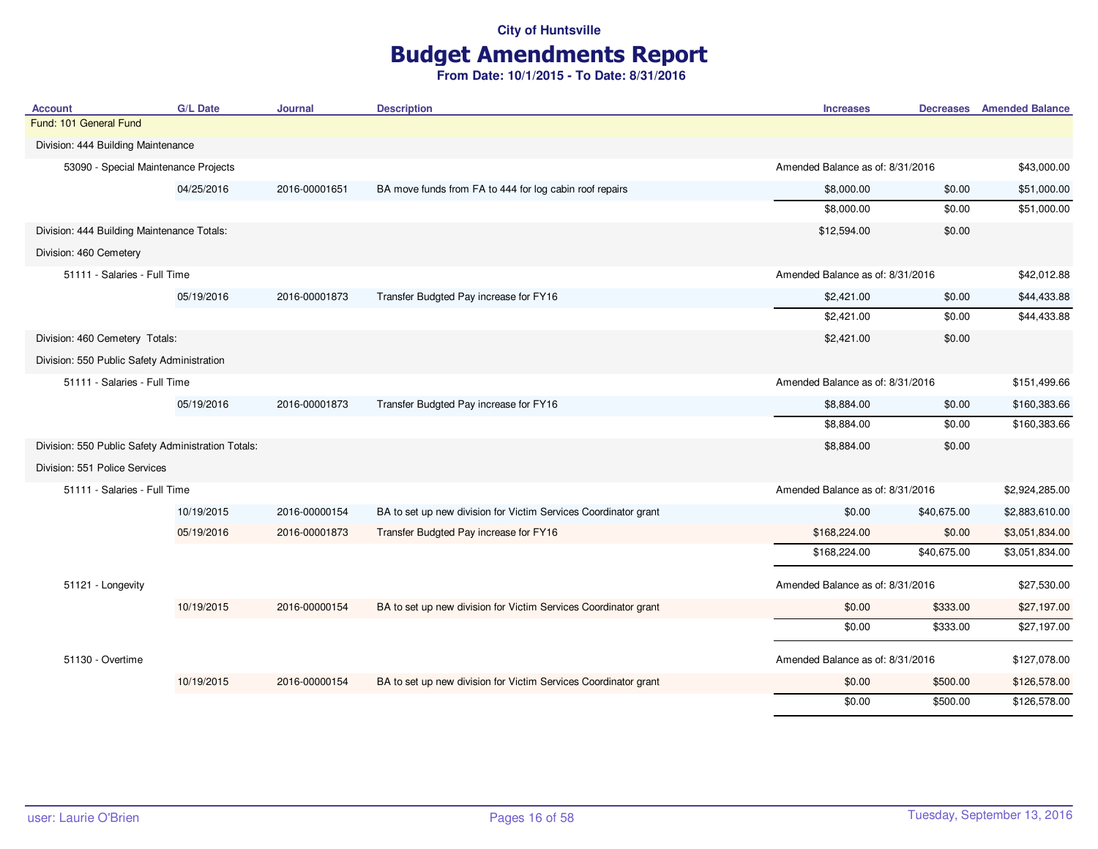# Budget Amendments Report

| <b>Account</b>                                     | <b>G/L Date</b> | <b>Journal</b> | <b>Description</b>                                              | <b>Increases</b>                 |             | <b>Decreases</b> Amended Balance |
|----------------------------------------------------|-----------------|----------------|-----------------------------------------------------------------|----------------------------------|-------------|----------------------------------|
| Fund: 101 General Fund                             |                 |                |                                                                 |                                  |             |                                  |
| Division: 444 Building Maintenance                 |                 |                |                                                                 |                                  |             |                                  |
| 53090 - Special Maintenance Projects               |                 |                |                                                                 | Amended Balance as of: 8/31/2016 |             | \$43,000.00                      |
|                                                    | 04/25/2016      | 2016-00001651  | BA move funds from FA to 444 for log cabin roof repairs         | \$8,000.00                       | \$0.00      | \$51,000.00                      |
|                                                    |                 |                |                                                                 | \$8,000.00                       | \$0.00      | \$51,000.00                      |
| Division: 444 Building Maintenance Totals:         |                 |                |                                                                 | \$12,594.00                      | \$0.00      |                                  |
| Division: 460 Cemetery                             |                 |                |                                                                 |                                  |             |                                  |
| 51111 - Salaries - Full Time                       |                 |                |                                                                 | Amended Balance as of: 8/31/2016 |             | \$42,012.88                      |
|                                                    | 05/19/2016      | 2016-00001873  | Transfer Budgted Pay increase for FY16                          | \$2,421.00                       | \$0.00      | \$44,433.88                      |
|                                                    |                 |                |                                                                 | \$2,421.00                       | \$0.00      | \$44,433.88                      |
| Division: 460 Cemetery Totals:                     |                 |                |                                                                 | \$2,421.00                       | \$0.00      |                                  |
| Division: 550 Public Safety Administration         |                 |                |                                                                 |                                  |             |                                  |
| 51111 - Salaries - Full Time                       |                 |                |                                                                 | Amended Balance as of: 8/31/2016 |             | \$151,499.66                     |
|                                                    | 05/19/2016      | 2016-00001873  | Transfer Budgted Pay increase for FY16                          | \$8,884.00                       | \$0.00      | \$160,383.66                     |
|                                                    |                 |                |                                                                 | \$8,884.00                       | \$0.00      | \$160,383.66                     |
| Division: 550 Public Safety Administration Totals: |                 |                |                                                                 | \$8,884.00                       | \$0.00      |                                  |
| Division: 551 Police Services                      |                 |                |                                                                 |                                  |             |                                  |
| 51111 - Salaries - Full Time                       |                 |                |                                                                 | Amended Balance as of: 8/31/2016 |             | \$2,924,285.00                   |
|                                                    | 10/19/2015      | 2016-00000154  | BA to set up new division for Victim Services Coordinator grant | \$0.00                           | \$40,675.00 | \$2,883,610.00                   |
|                                                    | 05/19/2016      | 2016-00001873  | Transfer Budgted Pay increase for FY16                          | \$168,224.00                     | \$0.00      | \$3,051,834.00                   |
|                                                    |                 |                |                                                                 | \$168,224.00                     | \$40,675.00 | \$3,051,834.00                   |
| 51121 - Longevity                                  |                 |                |                                                                 | Amended Balance as of: 8/31/2016 |             | \$27,530.00                      |
|                                                    | 10/19/2015      | 2016-00000154  | BA to set up new division for Victim Services Coordinator grant | \$0.00                           | \$333.00    | \$27,197.00                      |
|                                                    |                 |                |                                                                 | \$0.00                           | \$333.00    | \$27,197.00                      |
| 51130 - Overtime                                   |                 |                |                                                                 | Amended Balance as of: 8/31/2016 |             | \$127,078.00                     |
|                                                    | 10/19/2015      | 2016-00000154  | BA to set up new division for Victim Services Coordinator grant | \$0.00                           | \$500.00    | \$126,578.00                     |
|                                                    |                 |                |                                                                 | \$0.00                           | \$500.00    | \$126,578.00                     |
|                                                    |                 |                |                                                                 |                                  |             |                                  |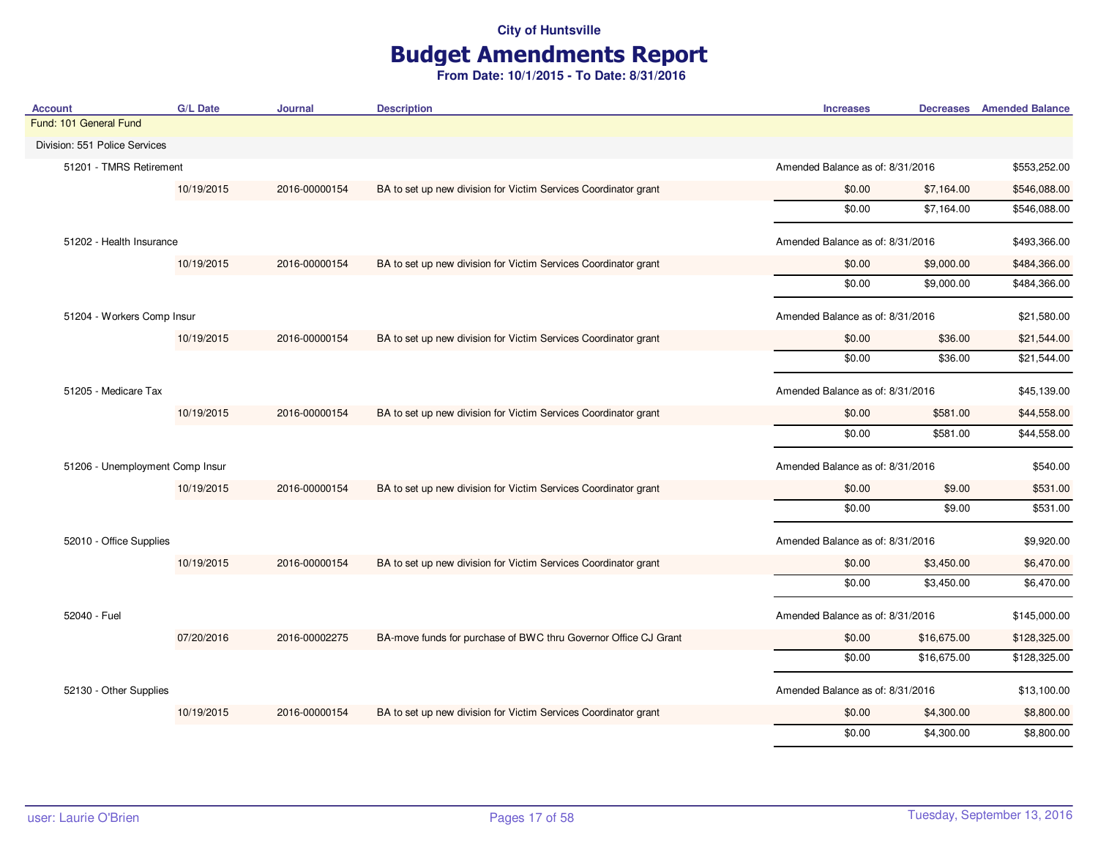# Budget Amendments Report

| <b>Account</b>                  | <b>G/L Date</b>            | <b>Journal</b> | <b>Description</b>                                              | <b>Increases</b>                 |                                  | <b>Decreases</b> Amended Balance |
|---------------------------------|----------------------------|----------------|-----------------------------------------------------------------|----------------------------------|----------------------------------|----------------------------------|
| Fund: 101 General Fund          |                            |                |                                                                 |                                  |                                  |                                  |
| Division: 551 Police Services   |                            |                |                                                                 |                                  |                                  |                                  |
| 51201 - TMRS Retirement         |                            |                |                                                                 |                                  | Amended Balance as of: 8/31/2016 |                                  |
|                                 | 10/19/2015                 | 2016-00000154  | BA to set up new division for Victim Services Coordinator grant | \$0.00                           | \$7,164.00                       | \$546,088.00                     |
|                                 |                            |                |                                                                 | \$0.00                           | \$7,164.00                       | \$546,088.00                     |
|                                 | 51202 - Health Insurance   |                |                                                                 | Amended Balance as of: 8/31/2016 |                                  | \$493,366.00                     |
|                                 | 10/19/2015                 | 2016-00000154  | BA to set up new division for Victim Services Coordinator grant | \$0.00                           | \$9,000.00                       | \$484,366.00                     |
|                                 |                            |                |                                                                 | \$0.00                           | \$9,000.00                       | \$484,366.00                     |
|                                 | 51204 - Workers Comp Insur |                |                                                                 | Amended Balance as of: 8/31/2016 |                                  | \$21,580.00                      |
|                                 | 10/19/2015                 | 2016-00000154  | BA to set up new division for Victim Services Coordinator grant | \$0.00                           | \$36.00                          | \$21,544.00                      |
|                                 |                            |                |                                                                 | \$0.00                           | \$36.00                          | \$21,544.00                      |
| 51205 - Medicare Tax            |                            |                |                                                                 | Amended Balance as of: 8/31/2016 |                                  | \$45,139.00                      |
|                                 | 10/19/2015                 | 2016-00000154  | BA to set up new division for Victim Services Coordinator grant | \$0.00                           | \$581.00                         | \$44,558.00                      |
|                                 |                            |                |                                                                 | \$0.00                           | \$581.00                         | \$44,558.00                      |
| 51206 - Unemployment Comp Insur |                            |                |                                                                 |                                  | Amended Balance as of: 8/31/2016 |                                  |
|                                 | 10/19/2015                 | 2016-00000154  | BA to set up new division for Victim Services Coordinator grant | \$0.00                           | \$9.00                           | \$531.00                         |
|                                 |                            |                |                                                                 | \$0.00                           | \$9.00                           | \$531.00                         |
| 52010 - Office Supplies         |                            |                |                                                                 | Amended Balance as of: 8/31/2016 |                                  | \$9,920.00                       |
|                                 | 10/19/2015                 | 2016-00000154  | BA to set up new division for Victim Services Coordinator grant | \$0.00                           | \$3,450.00                       | \$6,470.00                       |
|                                 |                            |                |                                                                 | \$0.00                           | \$3,450.00                       | \$6,470.00                       |
| 52040 - Fuel                    |                            |                |                                                                 | Amended Balance as of: 8/31/2016 |                                  | \$145,000.00                     |
|                                 | 07/20/2016                 | 2016-00002275  | BA-move funds for purchase of BWC thru Governor Office CJ Grant | \$0.00                           | \$16,675.00                      | \$128,325.00                     |
|                                 |                            |                |                                                                 | \$0.00                           | \$16,675.00                      | \$128,325.00                     |
| 52130 - Other Supplies          |                            |                |                                                                 | Amended Balance as of: 8/31/2016 |                                  | \$13,100.00                      |
|                                 | 10/19/2015                 | 2016-00000154  | BA to set up new division for Victim Services Coordinator grant | \$0.00                           | \$4,300.00                       | \$8,800.00                       |
|                                 |                            |                |                                                                 | \$0.00                           | \$4,300.00                       | \$8,800.00                       |
|                                 |                            |                |                                                                 |                                  |                                  |                                  |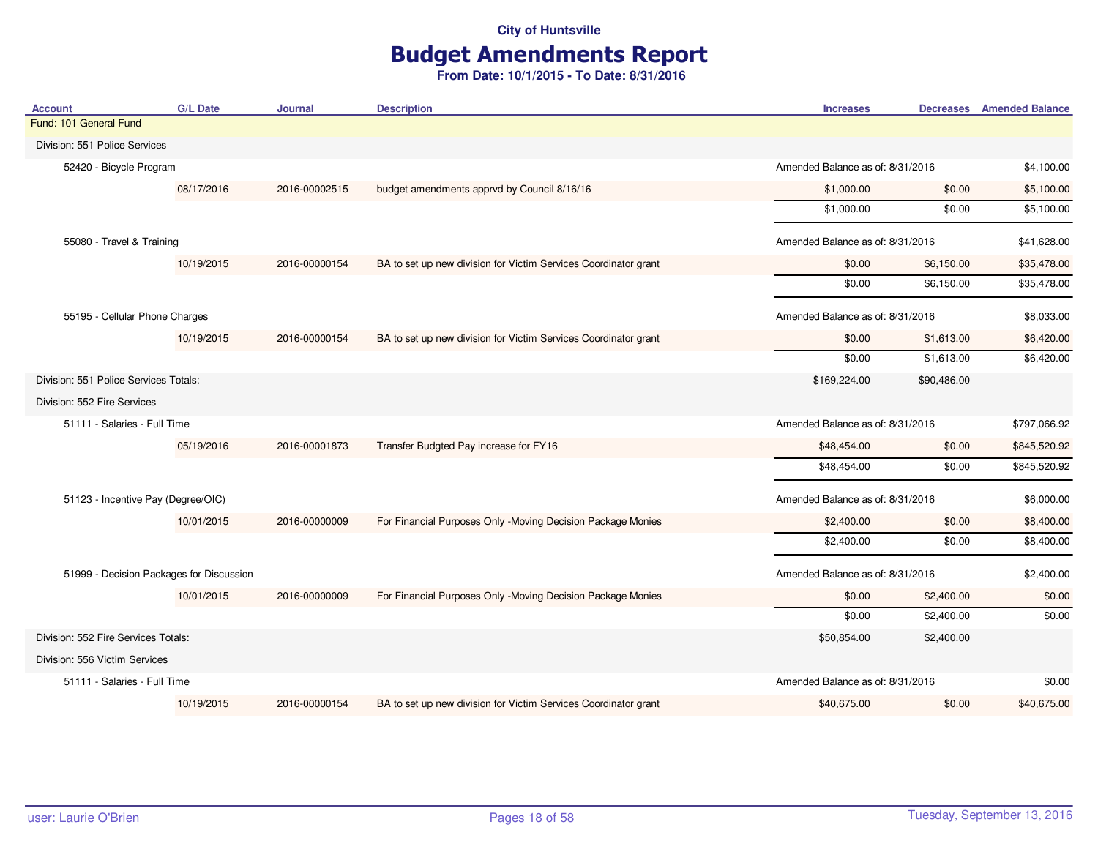# Budget Amendments Report

| <b>Account</b>                           | <b>G/L Date</b> | <b>Journal</b> | <b>Description</b>                                              | <b>Increases</b>                 |             | <b>Decreases</b> Amended Balance |
|------------------------------------------|-----------------|----------------|-----------------------------------------------------------------|----------------------------------|-------------|----------------------------------|
| Fund: 101 General Fund                   |                 |                |                                                                 |                                  |             |                                  |
| Division: 551 Police Services            |                 |                |                                                                 |                                  |             |                                  |
| 52420 - Bicycle Program                  |                 |                |                                                                 | Amended Balance as of: 8/31/2016 |             | \$4,100.00                       |
|                                          | 08/17/2016      | 2016-00002515  | budget amendments apprvd by Council 8/16/16                     | \$1,000.00                       | \$0.00      | \$5,100.00                       |
|                                          |                 |                |                                                                 | \$1,000.00                       | \$0.00      | \$5,100.00                       |
| 55080 - Travel & Training                |                 |                |                                                                 | Amended Balance as of: 8/31/2016 |             | \$41,628.00                      |
|                                          | 10/19/2015      | 2016-00000154  | BA to set up new division for Victim Services Coordinator grant | \$0.00                           | \$6,150.00  | \$35,478.00                      |
|                                          |                 |                |                                                                 | \$0.00                           | \$6,150.00  | \$35,478.00                      |
| 55195 - Cellular Phone Charges           |                 |                |                                                                 | Amended Balance as of: 8/31/2016 |             | \$8,033.00                       |
|                                          | 10/19/2015      | 2016-00000154  | BA to set up new division for Victim Services Coordinator grant | \$0.00                           | \$1,613.00  | \$6,420.00                       |
|                                          |                 |                |                                                                 | \$0.00                           | \$1,613.00  | \$6,420.00                       |
| Division: 551 Police Services Totals:    |                 |                |                                                                 | \$169,224.00                     | \$90,486.00 |                                  |
| Division: 552 Fire Services              |                 |                |                                                                 |                                  |             |                                  |
| 51111 - Salaries - Full Time             |                 |                |                                                                 | Amended Balance as of: 8/31/2016 |             | \$797,066.92                     |
|                                          | 05/19/2016      | 2016-00001873  | Transfer Budgted Pay increase for FY16                          | \$48,454.00                      | \$0.00      | \$845,520.92                     |
|                                          |                 |                |                                                                 | \$48,454.00                      | \$0.00      | \$845,520.92                     |
| 51123 - Incentive Pay (Degree/OIC)       |                 |                |                                                                 | Amended Balance as of: 8/31/2016 |             | \$6,000.00                       |
|                                          | 10/01/2015      | 2016-00000009  | For Financial Purposes Only -Moving Decision Package Monies     | \$2,400.00                       | \$0.00      | \$8,400.00                       |
|                                          |                 |                |                                                                 | \$2,400.00                       | \$0.00      | \$8,400.00                       |
| 51999 - Decision Packages for Discussion |                 |                |                                                                 | Amended Balance as of: 8/31/2016 |             | \$2,400.00                       |
|                                          | 10/01/2015      | 2016-00000009  | For Financial Purposes Only -Moving Decision Package Monies     | \$0.00                           | \$2,400.00  | \$0.00                           |
|                                          |                 |                |                                                                 | \$0.00                           | \$2,400.00  | \$0.00                           |
| Division: 552 Fire Services Totals:      |                 |                |                                                                 | \$50,854.00                      | \$2,400.00  |                                  |
| Division: 556 Victim Services            |                 |                |                                                                 |                                  |             |                                  |
| 51111 - Salaries - Full Time             |                 |                |                                                                 | Amended Balance as of: 8/31/2016 |             | \$0.00                           |
|                                          | 10/19/2015      | 2016-00000154  | BA to set up new division for Victim Services Coordinator grant | \$40,675.00                      | \$0.00      | \$40,675.00                      |
|                                          |                 |                |                                                                 |                                  |             |                                  |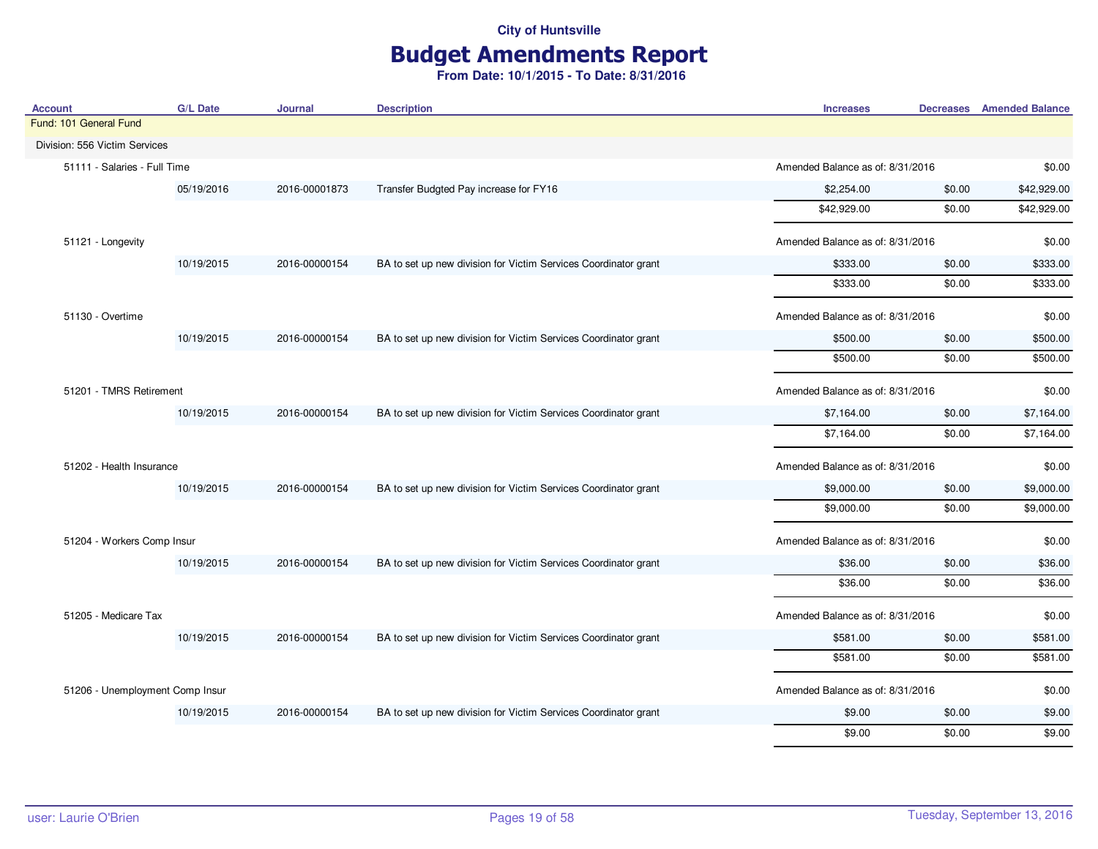# Budget Amendments Report

| <b>Account</b>                  | <b>G/L Date</b> | <b>Journal</b> | <b>Description</b>                                              | <b>Increases</b>                 |                                  | <b>Decreases</b> Amended Balance |
|---------------------------------|-----------------|----------------|-----------------------------------------------------------------|----------------------------------|----------------------------------|----------------------------------|
| Fund: 101 General Fund          |                 |                |                                                                 |                                  |                                  |                                  |
| Division: 556 Victim Services   |                 |                |                                                                 |                                  |                                  |                                  |
| 51111 - Salaries - Full Time    |                 |                |                                                                 | Amended Balance as of: 8/31/2016 |                                  | \$0.00                           |
|                                 | 05/19/2016      | 2016-00001873  | Transfer Budgted Pay increase for FY16                          | \$2,254.00                       | \$0.00                           | \$42,929.00                      |
|                                 |                 |                |                                                                 | \$42,929.00                      | \$0.00                           | \$42,929.00                      |
| 51121 - Longevity               |                 |                |                                                                 | Amended Balance as of: 8/31/2016 |                                  | \$0.00                           |
|                                 | 10/19/2015      | 2016-00000154  | BA to set up new division for Victim Services Coordinator grant | \$333.00                         | \$0.00                           | \$333.00                         |
|                                 |                 |                |                                                                 | \$333.00                         | \$0.00                           | \$333.00                         |
| 51130 - Overtime                |                 |                |                                                                 |                                  | Amended Balance as of: 8/31/2016 |                                  |
|                                 | 10/19/2015      | 2016-00000154  | BA to set up new division for Victim Services Coordinator grant | \$500.00                         | \$0.00                           | \$500.00                         |
|                                 |                 |                |                                                                 | \$500.00                         | \$0.00                           | \$500.00                         |
| 51201 - TMRS Retirement         |                 |                | Amended Balance as of: 8/31/2016                                |                                  | \$0.00                           |                                  |
|                                 | 10/19/2015      | 2016-00000154  | BA to set up new division for Victim Services Coordinator grant | \$7,164.00                       | \$0.00                           | \$7,164.00                       |
|                                 |                 |                |                                                                 | \$7,164.00                       | \$0.00                           | \$7,164.00                       |
| 51202 - Health Insurance        |                 |                |                                                                 | Amended Balance as of: 8/31/2016 |                                  | \$0.00                           |
|                                 | 10/19/2015      | 2016-00000154  | BA to set up new division for Victim Services Coordinator grant | \$9,000.00                       | \$0.00                           | \$9,000.00                       |
|                                 |                 |                |                                                                 | \$9,000.00                       | \$0.00                           | \$9,000.00                       |
| 51204 - Workers Comp Insur      |                 |                |                                                                 | Amended Balance as of: 8/31/2016 |                                  | \$0.00                           |
|                                 | 10/19/2015      | 2016-00000154  | BA to set up new division for Victim Services Coordinator grant | \$36.00                          | \$0.00                           | \$36.00                          |
|                                 |                 |                |                                                                 | \$36.00                          | \$0.00                           | \$36.00                          |
| 51205 - Medicare Tax            |                 |                |                                                                 | Amended Balance as of: 8/31/2016 |                                  | \$0.00                           |
|                                 | 10/19/2015      | 2016-00000154  | BA to set up new division for Victim Services Coordinator grant | \$581.00                         | \$0.00                           | \$581.00                         |
|                                 |                 |                |                                                                 | \$581.00                         | \$0.00                           | \$581.00                         |
| 51206 - Unemployment Comp Insur |                 |                |                                                                 | Amended Balance as of: 8/31/2016 |                                  | \$0.00                           |
|                                 | 10/19/2015      | 2016-00000154  | BA to set up new division for Victim Services Coordinator grant | \$9.00                           | \$0.00                           | \$9.00                           |
|                                 |                 |                |                                                                 | \$9.00                           | \$0.00                           | \$9.00                           |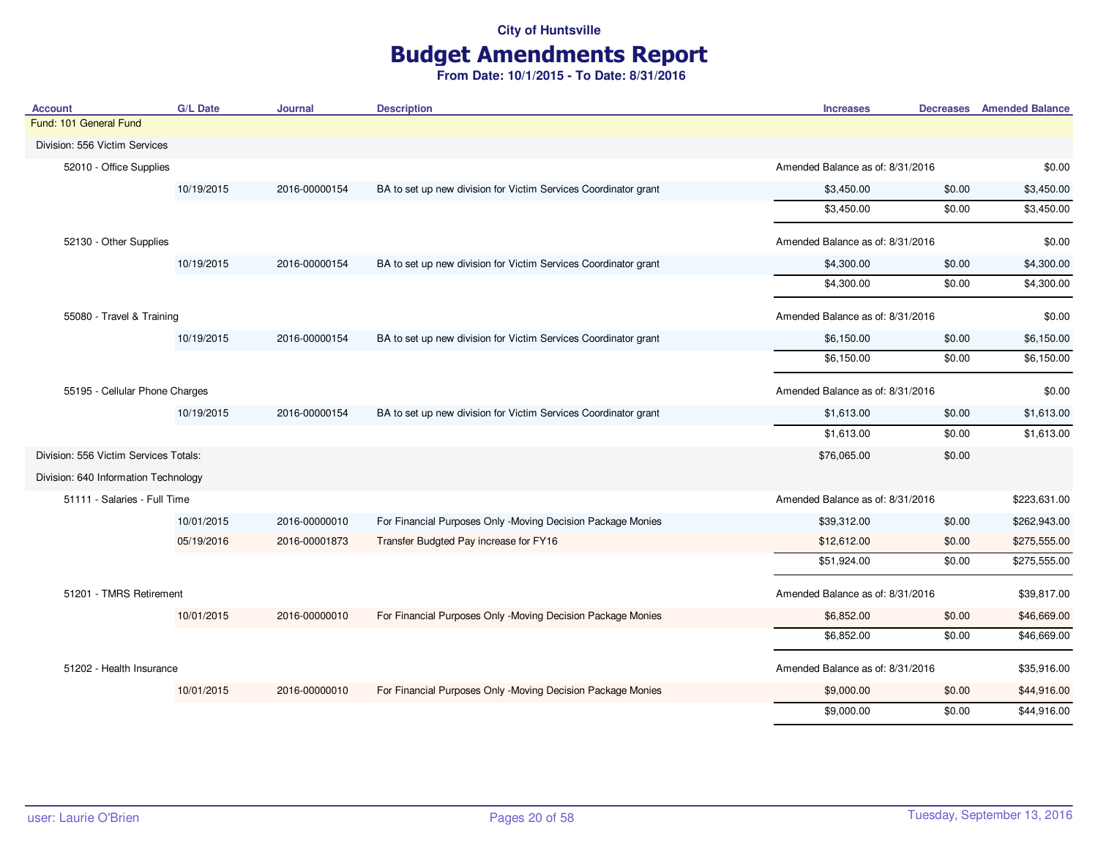# Budget Amendments Report

| <b>Account</b>                        | <b>G/L Date</b> | Journal       | <b>Description</b>                                              | <b>Increases</b>                 | <b>Decreases</b> Amended Balance |
|---------------------------------------|-----------------|---------------|-----------------------------------------------------------------|----------------------------------|----------------------------------|
| Fund: 101 General Fund                |                 |               |                                                                 |                                  |                                  |
| Division: 556 Victim Services         |                 |               |                                                                 |                                  |                                  |
| 52010 - Office Supplies               |                 |               |                                                                 | Amended Balance as of: 8/31/2016 | \$0.00                           |
|                                       | 10/19/2015      | 2016-00000154 | BA to set up new division for Victim Services Coordinator grant | \$3,450.00                       | \$0.00<br>\$3,450.00             |
|                                       |                 |               |                                                                 | \$3,450.00                       | \$3,450.00<br>\$0.00             |
| 52130 - Other Supplies                |                 |               |                                                                 | Amended Balance as of: 8/31/2016 | \$0.00                           |
|                                       | 10/19/2015      | 2016-00000154 | BA to set up new division for Victim Services Coordinator grant | \$4,300.00                       | \$4,300.00<br>\$0.00             |
|                                       |                 |               |                                                                 | \$4,300.00                       | \$4,300.00<br>\$0.00             |
| 55080 - Travel & Training             |                 |               |                                                                 | Amended Balance as of: 8/31/2016 | \$0.00                           |
|                                       | 10/19/2015      | 2016-00000154 | BA to set up new division for Victim Services Coordinator grant | \$6,150.00                       | \$0.00<br>\$6,150.00             |
|                                       |                 |               |                                                                 | \$6,150.00                       | \$0.00<br>\$6,150.00             |
| 55195 - Cellular Phone Charges        |                 |               | Amended Balance as of: 8/31/2016                                | \$0.00                           |                                  |
|                                       | 10/19/2015      | 2016-00000154 | BA to set up new division for Victim Services Coordinator grant | \$1,613.00                       | \$0.00<br>\$1,613.00             |
|                                       |                 |               |                                                                 | \$1,613.00                       | \$0.00<br>\$1,613.00             |
| Division: 556 Victim Services Totals: |                 |               |                                                                 | \$76,065.00                      | \$0.00                           |
| Division: 640 Information Technology  |                 |               |                                                                 |                                  |                                  |
| 51111 - Salaries - Full Time          |                 |               |                                                                 | Amended Balance as of: 8/31/2016 | \$223,631.00                     |
|                                       | 10/01/2015      | 2016-00000010 | For Financial Purposes Only -Moving Decision Package Monies     | \$39,312.00                      | \$0.00<br>\$262,943.00           |
|                                       | 05/19/2016      | 2016-00001873 | Transfer Budgted Pay increase for FY16                          | \$12,612.00                      | \$0.00<br>\$275,555.00           |
|                                       |                 |               |                                                                 | \$51,924.00                      | \$275,555.00<br>\$0.00           |
| 51201 - TMRS Retirement               |                 |               |                                                                 | Amended Balance as of: 8/31/2016 | \$39,817.00                      |
|                                       | 10/01/2015      | 2016-00000010 | For Financial Purposes Only -Moving Decision Package Monies     | \$6,852.00                       | \$0.00<br>\$46,669.00            |
|                                       |                 |               |                                                                 | \$6,852.00                       | \$46,669.00<br>\$0.00            |
| 51202 - Health Insurance              |                 |               |                                                                 | Amended Balance as of: 8/31/2016 | \$35,916.00                      |
|                                       | 10/01/2015      | 2016-00000010 | For Financial Purposes Only -Moving Decision Package Monies     | \$9,000.00                       | \$44,916.00<br>\$0.00            |
|                                       |                 |               |                                                                 | \$9,000.00                       | \$0.00<br>\$44,916.00            |
|                                       |                 |               |                                                                 |                                  |                                  |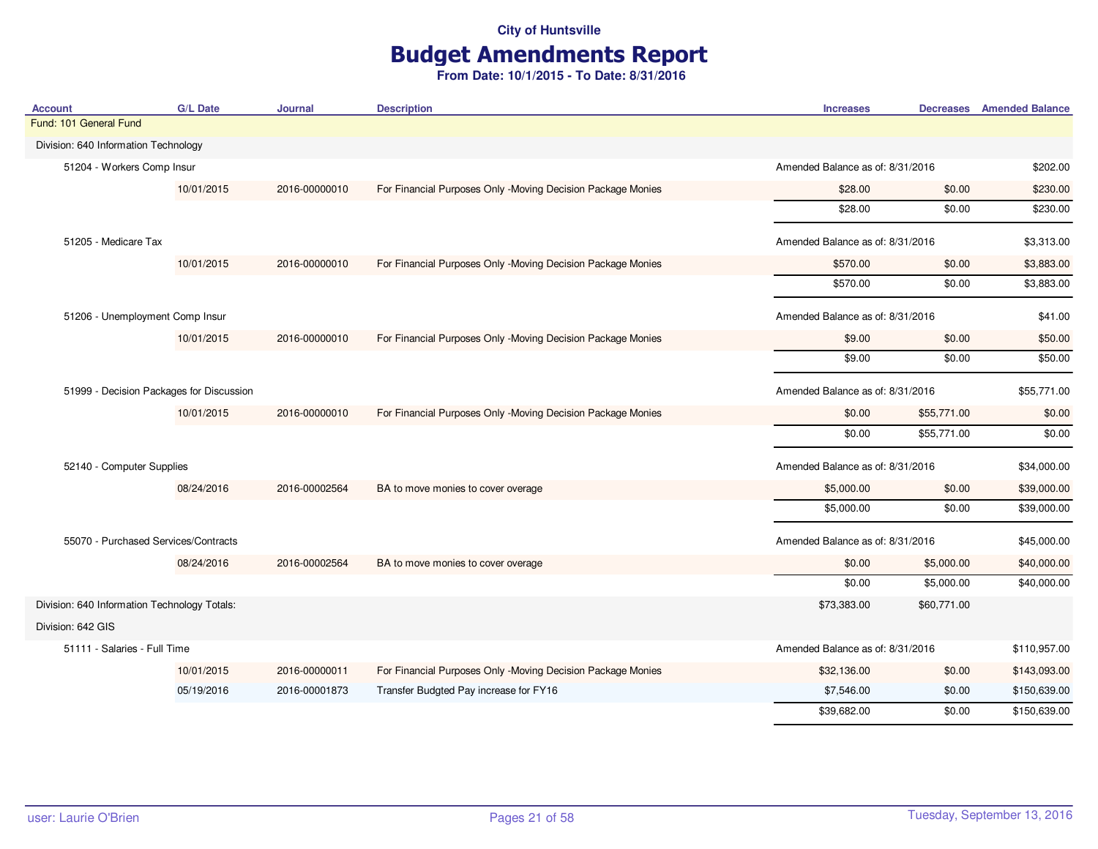# Budget Amendments Report

| <b>Account</b>                               | <b>G/L Date</b> | <b>Journal</b> | <b>Description</b>                                          | <b>Increases</b>                 |             | <b>Decreases</b> Amended Balance |
|----------------------------------------------|-----------------|----------------|-------------------------------------------------------------|----------------------------------|-------------|----------------------------------|
| Fund: 101 General Fund                       |                 |                |                                                             |                                  |             |                                  |
| Division: 640 Information Technology         |                 |                |                                                             |                                  |             |                                  |
| 51204 - Workers Comp Insur                   |                 |                |                                                             | Amended Balance as of: 8/31/2016 |             | \$202.00                         |
|                                              | 10/01/2015      | 2016-00000010  | For Financial Purposes Only -Moving Decision Package Monies | \$28.00                          | \$0.00      | \$230.00                         |
|                                              |                 |                |                                                             | \$28.00                          | \$0.00      | \$230.00                         |
| 51205 - Medicare Tax                         |                 |                |                                                             | Amended Balance as of: 8/31/2016 |             | \$3,313.00                       |
|                                              | 10/01/2015      | 2016-00000010  | For Financial Purposes Only -Moving Decision Package Monies | \$570.00                         | \$0.00      | \$3,883.00                       |
|                                              |                 |                |                                                             | \$570.00                         | \$0.00      | \$3,883.00                       |
| 51206 - Unemployment Comp Insur              |                 |                |                                                             | Amended Balance as of: 8/31/2016 |             | \$41.00                          |
|                                              | 10/01/2015      | 2016-00000010  | For Financial Purposes Only -Moving Decision Package Monies | \$9.00                           | \$0.00      | \$50.00                          |
|                                              |                 |                |                                                             | \$9.00                           | \$0.00      | \$50.00                          |
| 51999 - Decision Packages for Discussion     |                 |                |                                                             | Amended Balance as of: 8/31/2016 |             | \$55,771.00                      |
|                                              | 10/01/2015      | 2016-00000010  | For Financial Purposes Only -Moving Decision Package Monies | \$0.00                           | \$55,771.00 | \$0.00                           |
|                                              |                 |                |                                                             | \$0.00                           | \$55,771.00 | \$0.00                           |
| 52140 - Computer Supplies                    |                 |                |                                                             | Amended Balance as of: 8/31/2016 |             | \$34,000.00                      |
|                                              | 08/24/2016      | 2016-00002564  | BA to move monies to cover overage                          | \$5,000.00                       | \$0.00      | \$39,000.00                      |
|                                              |                 |                |                                                             | \$5,000.00                       | \$0.00      | \$39,000.00                      |
| 55070 - Purchased Services/Contracts         |                 |                |                                                             | Amended Balance as of: 8/31/2016 |             | \$45,000.00                      |
|                                              | 08/24/2016      | 2016-00002564  | BA to move monies to cover overage                          | \$0.00                           | \$5,000.00  | \$40,000.00                      |
|                                              |                 |                |                                                             | \$0.00                           | \$5,000.00  | \$40,000.00                      |
| Division: 640 Information Technology Totals: |                 |                |                                                             | \$73,383.00                      | \$60,771.00 |                                  |
| Division: 642 GIS                            |                 |                |                                                             |                                  |             |                                  |
| 51111 - Salaries - Full Time                 |                 |                |                                                             | Amended Balance as of: 8/31/2016 |             | \$110,957.00                     |
|                                              | 10/01/2015      | 2016-00000011  | For Financial Purposes Only -Moving Decision Package Monies | \$32,136.00                      | \$0.00      | \$143,093.00                     |
|                                              | 05/19/2016      | 2016-00001873  | Transfer Budgted Pay increase for FY16                      | \$7,546.00                       | \$0.00      | \$150,639.00                     |
|                                              |                 |                |                                                             | \$39,682.00                      | \$0.00      | \$150,639.00                     |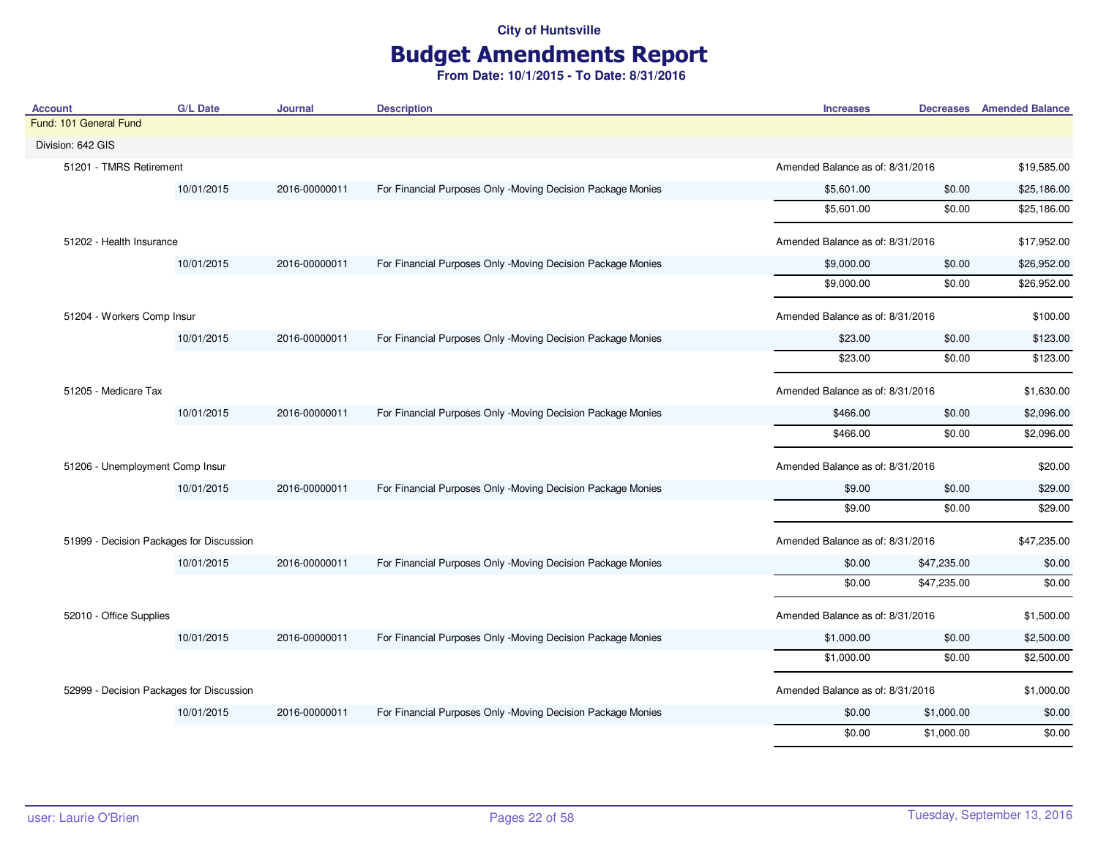# Budget Amendments Report

| <b>Account</b>                           | <b>G/L Date</b>            | <b>Journal</b> | <b>Description</b>                                          | <b>Increases</b>                 |                                  | <b>Decreases</b> Amended Balance |
|------------------------------------------|----------------------------|----------------|-------------------------------------------------------------|----------------------------------|----------------------------------|----------------------------------|
| Fund: 101 General Fund                   |                            |                |                                                             |                                  |                                  |                                  |
| Division: 642 GIS                        |                            |                |                                                             |                                  |                                  |                                  |
| 51201 - TMRS Retirement                  |                            |                |                                                             |                                  | Amended Balance as of: 8/31/2016 |                                  |
|                                          | 10/01/2015                 | 2016-00000011  | For Financial Purposes Only -Moving Decision Package Monies | \$5,601.00                       | \$0.00                           | \$25,186.00                      |
|                                          |                            |                |                                                             | \$5,601.00                       | \$0.00                           | \$25,186.00                      |
|                                          | 51202 - Health Insurance   |                |                                                             | Amended Balance as of: 8/31/2016 |                                  | \$17,952.00                      |
|                                          | 10/01/2015                 | 2016-00000011  | For Financial Purposes Only -Moving Decision Package Monies | \$9,000.00                       | \$0.00                           | \$26,952.00                      |
|                                          |                            |                |                                                             | \$9,000.00                       | \$0.00                           | \$26,952.00                      |
|                                          | 51204 - Workers Comp Insur |                |                                                             |                                  | Amended Balance as of: 8/31/2016 | \$100.00                         |
|                                          | 10/01/2015                 | 2016-00000011  | For Financial Purposes Only -Moving Decision Package Monies | \$23.00                          | \$0.00                           | \$123.00                         |
|                                          |                            |                |                                                             | \$23.00                          | \$0.00                           | \$123.00                         |
| 51205 - Medicare Tax                     |                            |                |                                                             | Amended Balance as of: 8/31/2016 |                                  | \$1,630.00                       |
|                                          | 10/01/2015                 | 2016-00000011  | For Financial Purposes Only -Moving Decision Package Monies | \$466.00                         | \$0.00                           | \$2,096.00                       |
|                                          |                            |                |                                                             | \$466.00                         | \$0.00                           | \$2,096.00                       |
| 51206 - Unemployment Comp Insur          |                            |                |                                                             | Amended Balance as of: 8/31/2016 |                                  | \$20.00                          |
|                                          | 10/01/2015                 | 2016-00000011  | For Financial Purposes Only -Moving Decision Package Monies | \$9.00                           | \$0.00                           | \$29.00                          |
|                                          |                            |                |                                                             | \$9.00                           | \$0.00                           | \$29.00                          |
| 51999 - Decision Packages for Discussion |                            |                |                                                             | Amended Balance as of: 8/31/2016 |                                  | \$47,235.00                      |
|                                          | 10/01/2015                 | 2016-00000011  | For Financial Purposes Only -Moving Decision Package Monies | \$0.00                           | \$47,235.00                      | \$0.00                           |
|                                          |                            |                |                                                             | \$0.00                           | \$47,235.00                      | \$0.00                           |
| 52010 - Office Supplies                  |                            |                |                                                             | Amended Balance as of: 8/31/2016 |                                  | \$1,500.00                       |
|                                          | 10/01/2015                 | 2016-00000011  | For Financial Purposes Only -Moving Decision Package Monies | \$1,000.00                       | \$0.00                           | \$2,500.00                       |
|                                          |                            |                |                                                             | \$1,000.00                       | \$0.00                           | \$2,500.00                       |
| 52999 - Decision Packages for Discussion |                            |                |                                                             | Amended Balance as of: 8/31/2016 |                                  | \$1,000.00                       |
|                                          | 10/01/2015                 | 2016-00000011  | For Financial Purposes Only -Moving Decision Package Monies | \$0.00                           | \$1,000.00                       | \$0.00                           |
|                                          |                            |                |                                                             | \$0.00                           | \$1,000.00                       | \$0.00                           |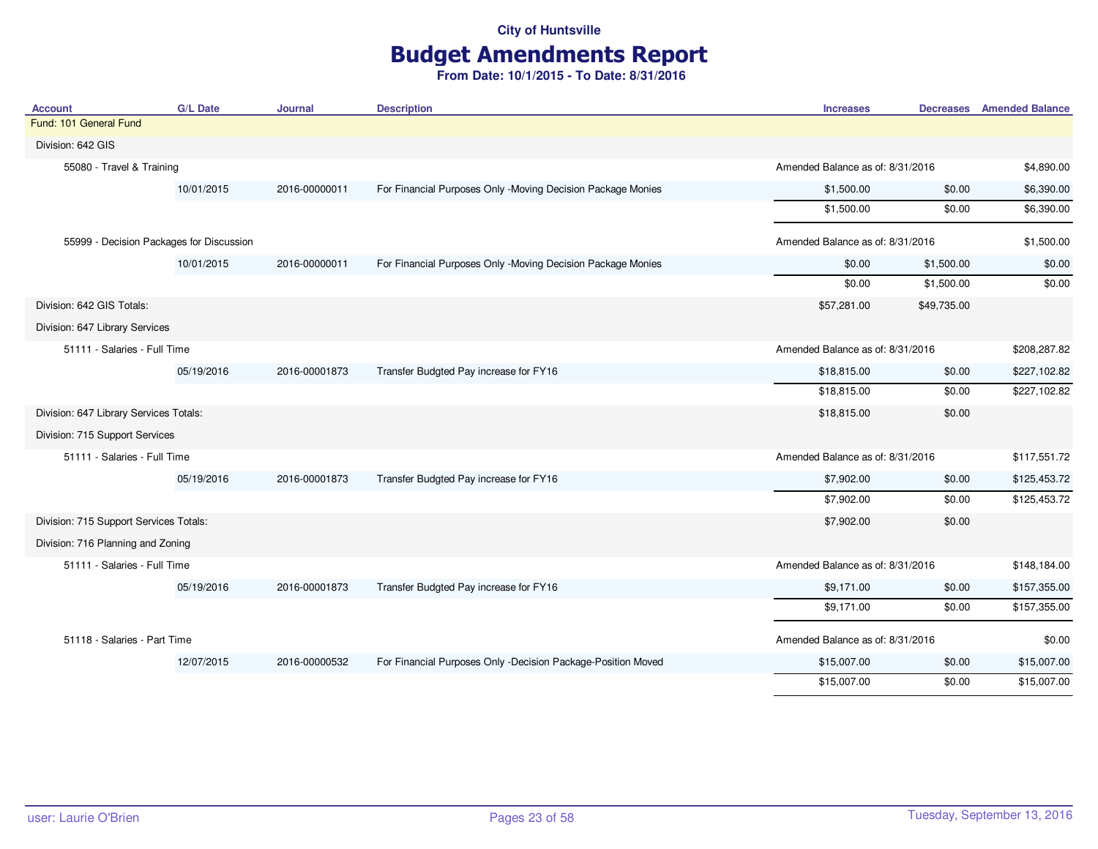# Budget Amendments Report

| <b>Account</b>                           | <b>G/L Date</b> | <b>Journal</b> | <b>Description</b>                                           | <b>Increases</b>                 |                                  | <b>Decreases</b> Amended Balance |
|------------------------------------------|-----------------|----------------|--------------------------------------------------------------|----------------------------------|----------------------------------|----------------------------------|
| Fund: 101 General Fund                   |                 |                |                                                              |                                  |                                  |                                  |
| Division: 642 GIS                        |                 |                |                                                              |                                  |                                  |                                  |
| 55080 - Travel & Training                |                 |                |                                                              | Amended Balance as of: 8/31/2016 |                                  | \$4,890.00                       |
|                                          | 10/01/2015      | 2016-00000011  | For Financial Purposes Only -Moving Decision Package Monies  | \$1,500.00                       | \$0.00                           | \$6,390.00                       |
|                                          |                 |                |                                                              | \$1,500.00                       | \$0.00                           | \$6,390.00                       |
| 55999 - Decision Packages for Discussion |                 |                |                                                              | Amended Balance as of: 8/31/2016 |                                  | \$1,500.00                       |
|                                          | 10/01/2015      | 2016-00000011  | For Financial Purposes Only -Moving Decision Package Monies  | \$0.00                           | \$1,500.00                       | \$0.00                           |
|                                          |                 |                |                                                              | \$0.00                           | \$1,500.00                       | \$0.00                           |
| Division: 642 GIS Totals:                |                 |                |                                                              | \$57,281.00                      | \$49,735.00                      |                                  |
| Division: 647 Library Services           |                 |                |                                                              |                                  |                                  |                                  |
| 51111 - Salaries - Full Time             |                 |                |                                                              |                                  | Amended Balance as of: 8/31/2016 |                                  |
|                                          | 05/19/2016      | 2016-00001873  | Transfer Budgted Pay increase for FY16                       | \$18,815.00                      | \$0.00                           | \$227,102.82                     |
|                                          |                 |                |                                                              | \$18,815.00                      | \$0.00                           | \$227,102.82                     |
| Division: 647 Library Services Totals:   |                 | \$18,815.00    | \$0.00                                                       |                                  |                                  |                                  |
| Division: 715 Support Services           |                 |                |                                                              |                                  |                                  |                                  |
| 51111 - Salaries - Full Time             |                 |                |                                                              | Amended Balance as of: 8/31/2016 |                                  | \$117,551.72                     |
|                                          | 05/19/2016      | 2016-00001873  | Transfer Budgted Pay increase for FY16                       | \$7,902.00                       | \$0.00                           | \$125,453.72                     |
|                                          |                 |                |                                                              | \$7,902.00                       | \$0.00                           | \$125,453.72                     |
| Division: 715 Support Services Totals:   |                 |                |                                                              | \$7,902.00                       | \$0.00                           |                                  |
| Division: 716 Planning and Zoning        |                 |                |                                                              |                                  |                                  |                                  |
| 51111 - Salaries - Full Time             |                 |                |                                                              | Amended Balance as of: 8/31/2016 |                                  | \$148,184.00                     |
|                                          | 05/19/2016      | 2016-00001873  | Transfer Budgted Pay increase for FY16                       | \$9,171.00                       | \$0.00                           | \$157,355.00                     |
|                                          |                 |                |                                                              | \$9,171.00                       | \$0.00                           | \$157,355.00                     |
| 51118 - Salaries - Part Time             |                 |                |                                                              | Amended Balance as of: 8/31/2016 |                                  | \$0.00                           |
|                                          | 12/07/2015      | 2016-00000532  | For Financial Purposes Only -Decision Package-Position Moved | \$15,007.00                      | \$0.00                           | \$15,007.00                      |
|                                          |                 |                |                                                              | \$15,007.00                      | \$0.00                           | \$15,007.00                      |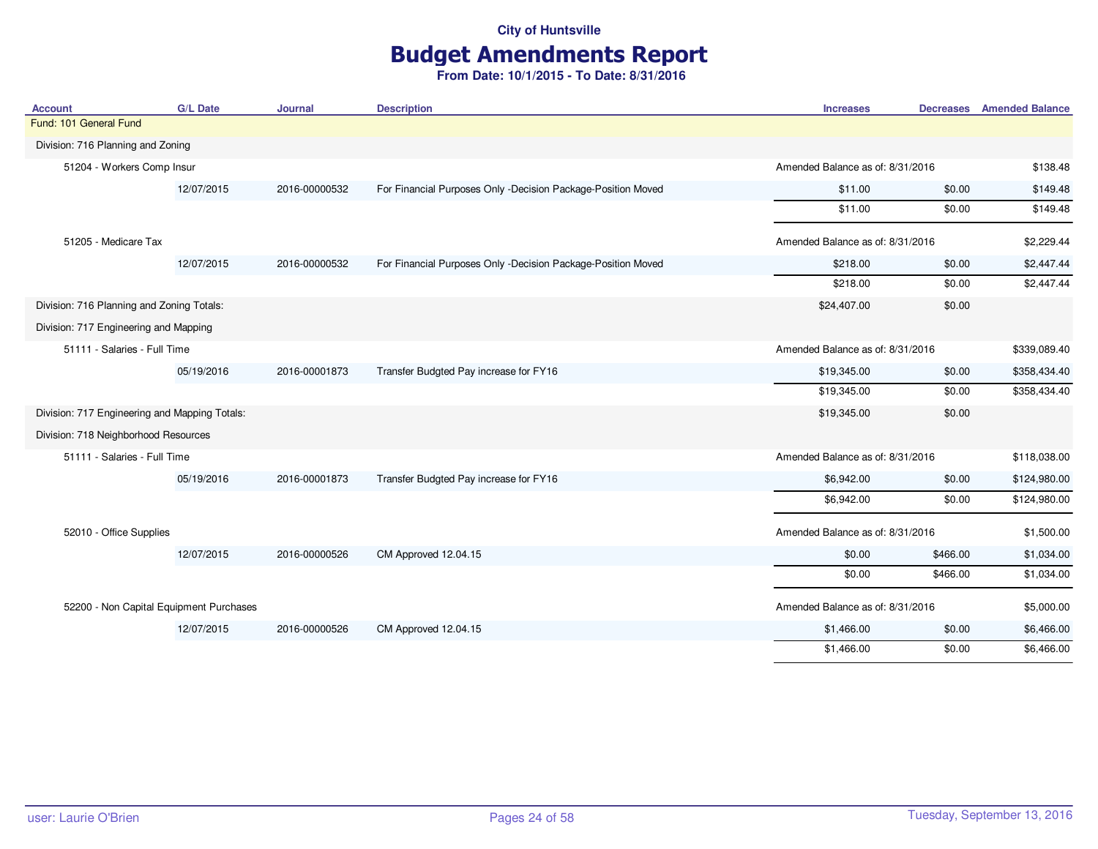# Budget Amendments Report

| <b>Account</b>                                | <b>G/L Date</b> | <b>Journal</b> | <b>Description</b>                                           | <b>Increases</b>                 | <b>Decreases</b>                 | <b>Amended Balance</b> |
|-----------------------------------------------|-----------------|----------------|--------------------------------------------------------------|----------------------------------|----------------------------------|------------------------|
| Fund: 101 General Fund                        |                 |                |                                                              |                                  |                                  |                        |
| Division: 716 Planning and Zoning             |                 |                |                                                              |                                  |                                  |                        |
| 51204 - Workers Comp Insur                    |                 |                |                                                              |                                  | Amended Balance as of: 8/31/2016 |                        |
|                                               | 12/07/2015      | 2016-00000532  | For Financial Purposes Only -Decision Package-Position Moved | \$11.00                          | \$0.00                           | \$149.48               |
|                                               |                 |                |                                                              | \$11.00                          | \$0.00                           | \$149.48               |
| 51205 - Medicare Tax                          |                 |                |                                                              | Amended Balance as of: 8/31/2016 |                                  | \$2,229.44             |
|                                               | 12/07/2015      | 2016-00000532  | For Financial Purposes Only -Decision Package-Position Moved | \$218.00                         | \$0.00                           | \$2,447.44             |
|                                               |                 |                |                                                              | \$218.00                         | \$0.00                           | \$2,447.44             |
| Division: 716 Planning and Zoning Totals:     |                 |                |                                                              | \$24,407.00                      | \$0.00                           |                        |
| Division: 717 Engineering and Mapping         |                 |                |                                                              |                                  |                                  |                        |
| 51111 - Salaries - Full Time                  |                 |                |                                                              | Amended Balance as of: 8/31/2016 |                                  | \$339,089.40           |
|                                               | 05/19/2016      | 2016-00001873  | Transfer Budgted Pay increase for FY16                       | \$19,345.00                      | \$0.00                           | \$358,434.40           |
|                                               |                 |                |                                                              | \$19,345.00                      | \$0.00                           | \$358,434.40           |
| Division: 717 Engineering and Mapping Totals: |                 |                |                                                              | \$19,345.00                      | \$0.00                           |                        |
| Division: 718 Neighborhood Resources          |                 |                |                                                              |                                  |                                  |                        |
| 51111 - Salaries - Full Time                  |                 |                |                                                              | Amended Balance as of: 8/31/2016 |                                  | \$118,038.00           |
|                                               | 05/19/2016      | 2016-00001873  | Transfer Budgted Pay increase for FY16                       | \$6,942.00                       | \$0.00                           | \$124,980.00           |
|                                               |                 |                |                                                              | \$6,942.00                       | \$0.00                           | \$124,980.00           |
| 52010 - Office Supplies                       |                 |                |                                                              | Amended Balance as of: 8/31/2016 |                                  | \$1,500.00             |
|                                               | 12/07/2015      | 2016-00000526  | CM Approved 12.04.15                                         | \$0.00                           | \$466.00                         | \$1,034.00             |
|                                               |                 |                |                                                              | \$0.00                           | \$466.00                         | \$1,034.00             |
| 52200 - Non Capital Equipment Purchases       |                 |                |                                                              | Amended Balance as of: 8/31/2016 |                                  | \$5,000.00             |
|                                               | 12/07/2015      | 2016-00000526  | CM Approved 12.04.15                                         | \$1,466.00                       | \$0.00                           | \$6,466.00             |
|                                               |                 |                |                                                              | \$1,466.00                       | \$0.00                           | \$6,466.00             |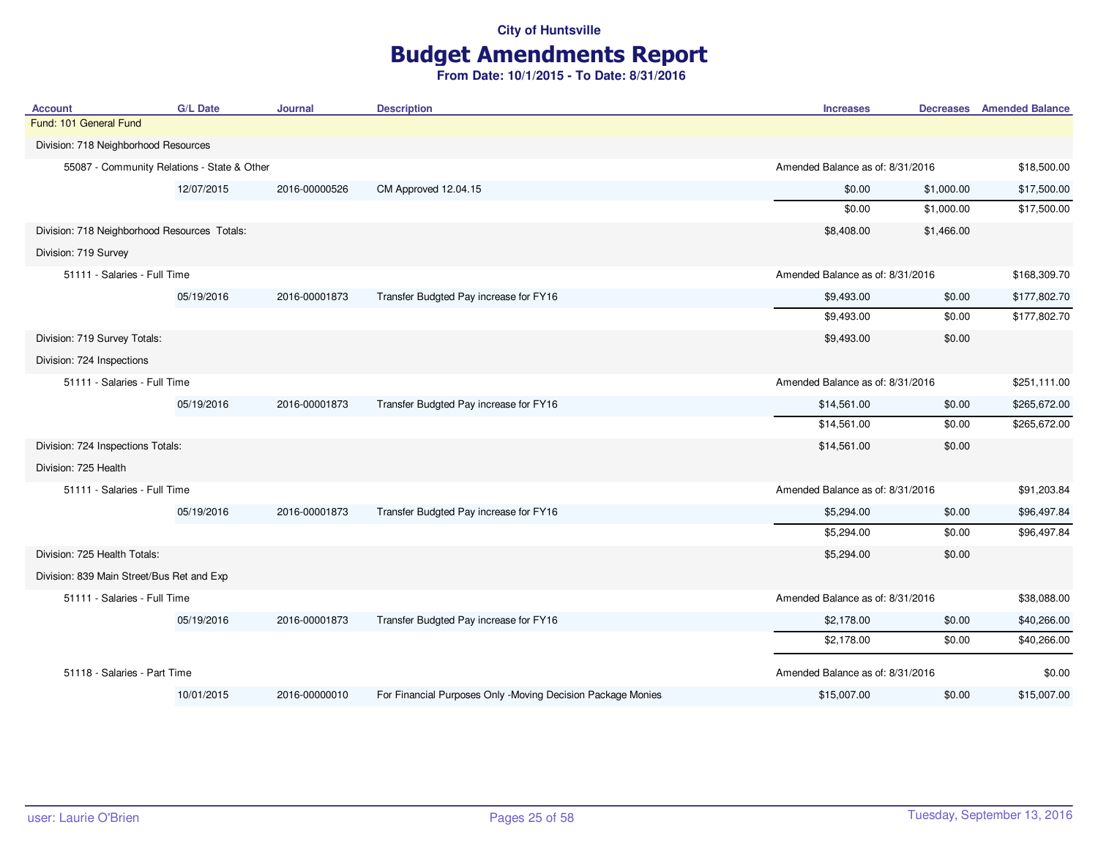# Budget Amendments Report

| <b>Account</b>                               | <b>G/L Date</b> | Journal       | <b>Description</b>                                          | <b>Increases</b>                 | <b>Decreases</b> Amended Balance |
|----------------------------------------------|-----------------|---------------|-------------------------------------------------------------|----------------------------------|----------------------------------|
| Fund: 101 General Fund                       |                 |               |                                                             |                                  |                                  |
| Division: 718 Neighborhood Resources         |                 |               |                                                             |                                  |                                  |
| 55087 - Community Relations - State & Other  |                 |               |                                                             | Amended Balance as of: 8/31/2016 | \$18,500.00                      |
|                                              | 12/07/2015      | 2016-00000526 | CM Approved 12.04.15                                        | \$0.00<br>\$1,000.00             | \$17,500.00                      |
|                                              |                 |               |                                                             | \$0.00<br>\$1,000.00             | \$17,500.00                      |
| Division: 718 Neighborhood Resources Totals: |                 |               |                                                             | \$8,408.00<br>\$1,466.00         |                                  |
| Division: 719 Survey                         |                 |               |                                                             |                                  |                                  |
| 51111 - Salaries - Full Time                 |                 |               |                                                             | Amended Balance as of: 8/31/2016 | \$168,309.70                     |
|                                              | 05/19/2016      | 2016-00001873 | Transfer Budgted Pay increase for FY16                      | \$9,493.00                       | \$177,802.70<br>\$0.00           |
|                                              |                 |               |                                                             | \$9,493.00                       | \$177,802.70<br>\$0.00           |
| Division: 719 Survey Totals:                 |                 |               |                                                             | \$9,493.00                       | \$0.00                           |
| Division: 724 Inspections                    |                 |               |                                                             |                                  |                                  |
| 51111 - Salaries - Full Time                 |                 |               |                                                             | Amended Balance as of: 8/31/2016 | \$251,111.00                     |
|                                              | 05/19/2016      | 2016-00001873 | Transfer Budgted Pay increase for FY16                      | \$14,561.00                      | \$265,672.00<br>\$0.00           |
|                                              |                 |               |                                                             | \$14,561.00                      | \$265,672.00<br>\$0.00           |
| Division: 724 Inspections Totals:            |                 |               |                                                             | \$14,561.00                      | \$0.00                           |
| Division: 725 Health                         |                 |               |                                                             |                                  |                                  |
| 51111 - Salaries - Full Time                 |                 |               |                                                             | Amended Balance as of: 8/31/2016 | \$91,203.84                      |
|                                              | 05/19/2016      | 2016-00001873 | Transfer Budgted Pay increase for FY16                      | \$5,294.00                       | \$0.00<br>\$96,497.84            |
|                                              |                 |               |                                                             | \$5,294.00                       | \$96,497.84<br>\$0.00            |
| Division: 725 Health Totals:                 |                 |               |                                                             | \$5,294.00                       | \$0.00                           |
| Division: 839 Main Street/Bus Ret and Exp    |                 |               |                                                             |                                  |                                  |
| 51111 - Salaries - Full Time                 |                 |               |                                                             | Amended Balance as of: 8/31/2016 | \$38,088.00                      |
|                                              | 05/19/2016      | 2016-00001873 | Transfer Budgted Pay increase for FY16                      | \$2,178.00                       | \$40,266.00<br>\$0.00            |
|                                              |                 |               |                                                             | \$2,178.00                       | \$0.00<br>\$40,266.00            |
| 51118 - Salaries - Part Time                 |                 |               |                                                             | Amended Balance as of: 8/31/2016 | \$0.00                           |
|                                              | 10/01/2015      | 2016-00000010 | For Financial Purposes Only -Moving Decision Package Monies | \$15,007.00                      | \$0.00<br>\$15,007.00            |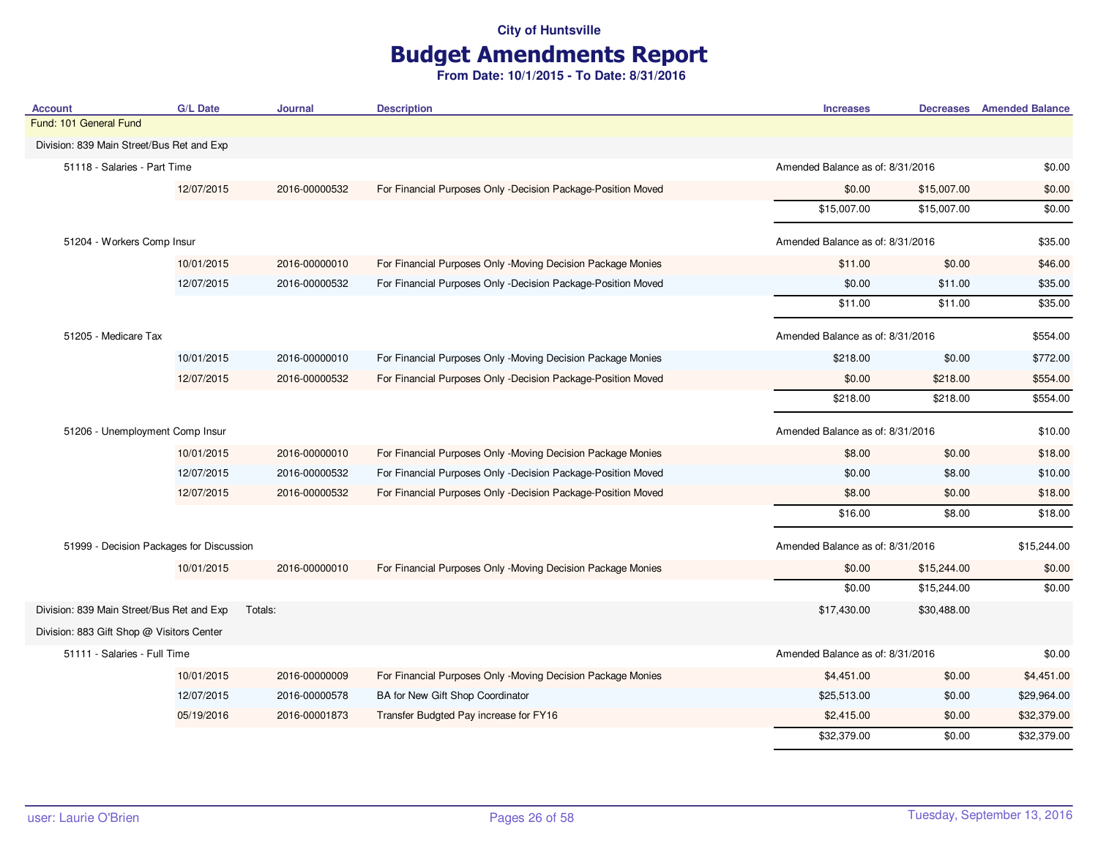# Budget Amendments Report

| <b>Account</b>                            | <b>G/L Date</b> | Journal       | <b>Description</b>                                           | <b>Increases</b>                 |                                  | <b>Decreases</b> Amended Balance |
|-------------------------------------------|-----------------|---------------|--------------------------------------------------------------|----------------------------------|----------------------------------|----------------------------------|
| Fund: 101 General Fund                    |                 |               |                                                              |                                  |                                  |                                  |
| Division: 839 Main Street/Bus Ret and Exp |                 |               |                                                              |                                  |                                  |                                  |
| 51118 - Salaries - Part Time              |                 |               |                                                              |                                  | Amended Balance as of: 8/31/2016 |                                  |
|                                           | 12/07/2015      | 2016-00000532 | For Financial Purposes Only -Decision Package-Position Moved | \$0.00                           | \$15,007.00                      | \$0.00                           |
|                                           |                 |               |                                                              | \$15,007.00                      | \$15,007.00                      | \$0.00                           |
| 51204 - Workers Comp Insur                |                 |               |                                                              | Amended Balance as of: 8/31/2016 |                                  | \$35.00                          |
|                                           | 10/01/2015      | 2016-00000010 | For Financial Purposes Only -Moving Decision Package Monies  | \$11.00                          | \$0.00                           | \$46.00                          |
|                                           | 12/07/2015      | 2016-00000532 | For Financial Purposes Only -Decision Package-Position Moved | \$0.00                           | \$11.00                          | \$35.00                          |
|                                           |                 |               |                                                              | \$11.00                          | \$11.00                          | \$35.00                          |
| 51205 - Medicare Tax                      |                 |               |                                                              | Amended Balance as of: 8/31/2016 |                                  | \$554.00                         |
|                                           | 10/01/2015      | 2016-00000010 | For Financial Purposes Only -Moving Decision Package Monies  | \$218.00                         | \$0.00                           | \$772.00                         |
|                                           | 12/07/2015      | 2016-00000532 | For Financial Purposes Only -Decision Package-Position Moved | \$0.00                           | \$218.00                         | \$554.00                         |
|                                           |                 |               |                                                              | \$218.00                         | \$218.00                         | \$554.00                         |
| 51206 - Unemployment Comp Insur           |                 |               |                                                              | Amended Balance as of: 8/31/2016 |                                  | \$10.00                          |
|                                           | 10/01/2015      | 2016-00000010 | For Financial Purposes Only -Moving Decision Package Monies  | \$8.00                           | \$0.00                           | \$18.00                          |
|                                           | 12/07/2015      | 2016-00000532 | For Financial Purposes Only -Decision Package-Position Moved | \$0.00                           | \$8.00                           | \$10.00                          |
|                                           | 12/07/2015      | 2016-00000532 | For Financial Purposes Only -Decision Package-Position Moved | \$8.00                           | \$0.00                           | \$18.00                          |
|                                           |                 |               |                                                              | \$16.00                          | \$8.00                           | \$18.00                          |
| 51999 - Decision Packages for Discussion  |                 |               |                                                              |                                  | Amended Balance as of: 8/31/2016 |                                  |
|                                           | 10/01/2015      | 2016-00000010 | For Financial Purposes Only -Moving Decision Package Monies  | \$0.00                           | \$15,244.00                      | \$0.00                           |
|                                           |                 |               |                                                              | \$0.00                           | \$15,244.00                      | \$0.00                           |
| Division: 839 Main Street/Bus Ret and Exp |                 | Totals:       |                                                              | \$17,430.00                      | \$30,488.00                      |                                  |
| Division: 883 Gift Shop @ Visitors Center |                 |               |                                                              |                                  |                                  |                                  |
| 51111 - Salaries - Full Time              |                 |               |                                                              | Amended Balance as of: 8/31/2016 |                                  | \$0.00                           |
|                                           | 10/01/2015      | 2016-00000009 | For Financial Purposes Only -Moving Decision Package Monies  | \$4,451.00                       | \$0.00                           | \$4,451.00                       |
|                                           | 12/07/2015      | 2016-00000578 | BA for New Gift Shop Coordinator                             | \$25,513.00                      | \$0.00                           | \$29,964.00                      |
|                                           | 05/19/2016      | 2016-00001873 | Transfer Budgted Pay increase for FY16                       | \$2,415.00                       | \$0.00                           | \$32,379.00                      |
|                                           |                 |               |                                                              | \$32,379.00                      | \$0.00                           | \$32,379.00                      |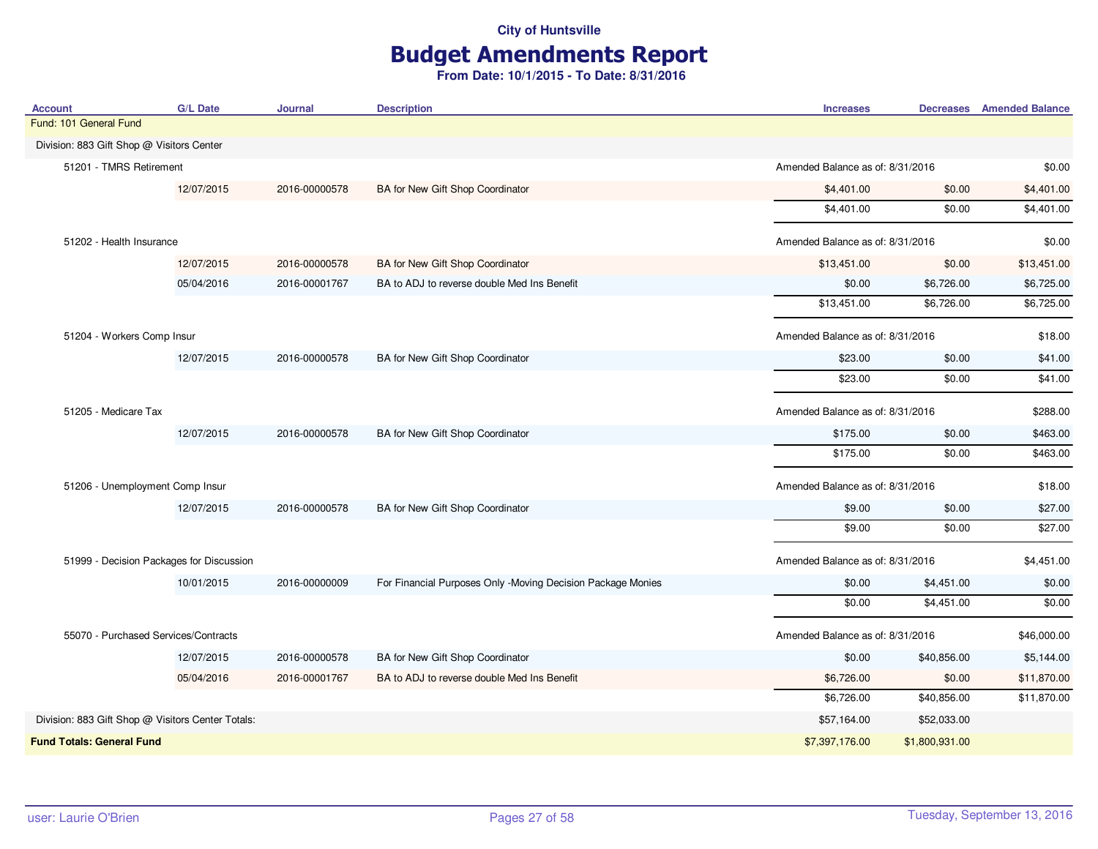# Budget Amendments Report

| <b>Account</b>                                    | <b>G/L Date</b> | <b>Journal</b> | <b>Description</b>                                          | <b>Increases</b>                 |                                  | <b>Decreases</b> Amended Balance |
|---------------------------------------------------|-----------------|----------------|-------------------------------------------------------------|----------------------------------|----------------------------------|----------------------------------|
| Fund: 101 General Fund                            |                 |                |                                                             |                                  |                                  |                                  |
| Division: 883 Gift Shop @ Visitors Center         |                 |                |                                                             |                                  |                                  |                                  |
| 51201 - TMRS Retirement                           |                 |                |                                                             |                                  | Amended Balance as of: 8/31/2016 |                                  |
|                                                   | 12/07/2015      | 2016-00000578  | BA for New Gift Shop Coordinator                            | \$4,401.00                       | \$0.00                           | \$4,401.00                       |
|                                                   |                 |                |                                                             | \$4,401.00                       | \$0.00                           | \$4,401.00                       |
| 51202 - Health Insurance                          |                 |                |                                                             | Amended Balance as of: 8/31/2016 | \$0.00                           |                                  |
|                                                   | 12/07/2015      | 2016-00000578  | BA for New Gift Shop Coordinator                            | \$13,451.00                      | \$0.00                           | \$13,451.00                      |
|                                                   | 05/04/2016      | 2016-00001767  | BA to ADJ to reverse double Med Ins Benefit                 | \$0.00                           | \$6,726.00                       | \$6,725.00                       |
|                                                   |                 |                |                                                             | \$13,451.00                      | \$6,726.00                       | \$6,725.00                       |
| 51204 - Workers Comp Insur                        |                 |                |                                                             | Amended Balance as of: 8/31/2016 |                                  | \$18.00                          |
|                                                   | 12/07/2015      | 2016-00000578  | BA for New Gift Shop Coordinator                            | \$23.00                          | \$0.00                           | \$41.00                          |
|                                                   |                 |                |                                                             | \$23.00                          | \$0.00                           | \$41.00                          |
| 51205 - Medicare Tax                              |                 |                |                                                             | Amended Balance as of: 8/31/2016 |                                  | \$288.00                         |
| 12/07/2015                                        |                 | 2016-00000578  | BA for New Gift Shop Coordinator                            | \$175.00                         | \$0.00                           | \$463.00                         |
|                                                   |                 |                |                                                             | \$175.00                         | \$0.00                           | \$463.00                         |
| 51206 - Unemployment Comp Insur                   |                 |                |                                                             | Amended Balance as of: 8/31/2016 |                                  | \$18.00                          |
|                                                   | 12/07/2015      | 2016-00000578  | BA for New Gift Shop Coordinator                            | \$9.00                           | \$0.00                           | \$27.00                          |
|                                                   |                 |                |                                                             | \$9.00                           | \$0.00                           | \$27.00                          |
| 51999 - Decision Packages for Discussion          |                 |                |                                                             | Amended Balance as of: 8/31/2016 |                                  | \$4,451.00                       |
|                                                   | 10/01/2015      | 2016-00000009  | For Financial Purposes Only -Moving Decision Package Monies | \$0.00                           | \$4,451.00                       | \$0.00                           |
|                                                   |                 |                |                                                             | \$0.00                           | \$4,451.00                       | \$0.00                           |
| 55070 - Purchased Services/Contracts              |                 |                |                                                             | Amended Balance as of: 8/31/2016 |                                  | \$46,000.00                      |
|                                                   | 12/07/2015      | 2016-00000578  | BA for New Gift Shop Coordinator                            | \$0.00                           | \$40,856.00                      | \$5,144.00                       |
|                                                   | 05/04/2016      | 2016-00001767  | BA to ADJ to reverse double Med Ins Benefit                 | \$6,726.00                       | \$0.00                           | \$11,870.00                      |
|                                                   |                 |                |                                                             | \$6,726.00                       | \$40,856.00                      | \$11,870.00                      |
| Division: 883 Gift Shop @ Visitors Center Totals: |                 |                |                                                             | \$57,164.00                      | \$52,033.00                      |                                  |
| <b>Fund Totals: General Fund</b>                  |                 |                |                                                             | \$7,397,176.00                   | \$1,800,931.00                   |                                  |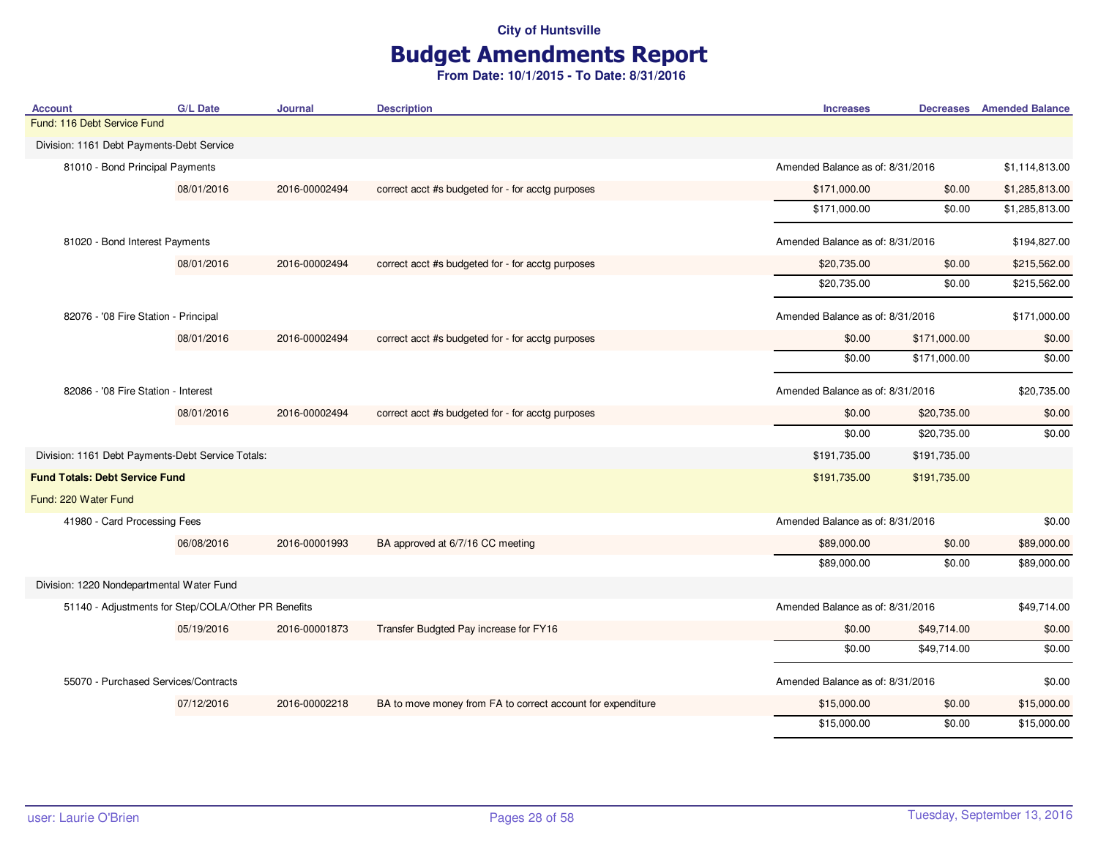## Budget Amendments Report

| <b>Account</b>                                      | <b>G/L Date</b> | <b>Journal</b> | <b>Description</b>                                          | <b>Increases</b>                 |                                  | <b>Decreases</b> Amended Balance |
|-----------------------------------------------------|-----------------|----------------|-------------------------------------------------------------|----------------------------------|----------------------------------|----------------------------------|
| Fund: 116 Debt Service Fund                         |                 |                |                                                             |                                  |                                  |                                  |
| Division: 1161 Debt Payments-Debt Service           |                 |                |                                                             |                                  |                                  |                                  |
| 81010 - Bond Principal Payments                     |                 |                |                                                             | Amended Balance as of: 8/31/2016 |                                  | \$1,114,813.00                   |
|                                                     | 08/01/2016      | 2016-00002494  | correct acct #s budgeted for - for acctg purposes           | \$171,000.00                     | \$0.00                           | \$1,285,813.00                   |
|                                                     |                 |                |                                                             | \$171,000.00                     | \$0.00                           | \$1,285,813.00                   |
| 81020 - Bond Interest Payments                      |                 |                |                                                             | Amended Balance as of: 8/31/2016 |                                  | \$194,827.00                     |
|                                                     | 08/01/2016      | 2016-00002494  | correct acct #s budgeted for - for acctg purposes           | \$20,735.00                      | \$0.00                           | \$215,562.00                     |
|                                                     |                 |                |                                                             | \$20,735.00                      | \$0.00                           | \$215,562.00                     |
| 82076 - '08 Fire Station - Principal                |                 |                |                                                             | Amended Balance as of: 8/31/2016 |                                  | \$171,000.00                     |
|                                                     | 08/01/2016      | 2016-00002494  | correct acct #s budgeted for - for acctg purposes           | \$0.00                           | \$171,000.00                     | \$0.00                           |
|                                                     |                 |                |                                                             | \$0.00                           | \$171,000.00                     | \$0.00                           |
| 82086 - '08 Fire Station - Interest                 |                 |                |                                                             | Amended Balance as of: 8/31/2016 |                                  | \$20,735.00                      |
|                                                     | 08/01/2016      | 2016-00002494  | correct acct #s budgeted for - for acctg purposes           | \$0.00                           | \$20,735.00                      | \$0.00                           |
|                                                     |                 |                |                                                             | \$0.00                           | \$20,735.00                      | \$0.00                           |
| Division: 1161 Debt Payments-Debt Service Totals:   |                 |                |                                                             | \$191,735.00                     | \$191,735.00                     |                                  |
| <b>Fund Totals: Debt Service Fund</b>               |                 |                |                                                             | \$191,735.00                     | \$191,735.00                     |                                  |
| Fund: 220 Water Fund                                |                 |                |                                                             |                                  |                                  |                                  |
| 41980 - Card Processing Fees                        |                 |                |                                                             |                                  | Amended Balance as of: 8/31/2016 |                                  |
|                                                     | 06/08/2016      | 2016-00001993  | BA approved at 6/7/16 CC meeting                            | \$89,000.00                      | \$0.00                           | \$89,000.00                      |
|                                                     |                 |                |                                                             | \$89,000.00                      | \$0.00                           | \$89,000.00                      |
| Division: 1220 Nondepartmental Water Fund           |                 |                |                                                             |                                  |                                  |                                  |
| 51140 - Adjustments for Step/COLA/Other PR Benefits |                 |                |                                                             | Amended Balance as of: 8/31/2016 |                                  | \$49,714.00                      |
|                                                     | 05/19/2016      | 2016-00001873  | Transfer Budgted Pay increase for FY16                      | \$0.00                           | \$49,714.00                      | \$0.00                           |
|                                                     |                 |                |                                                             | \$0.00                           | \$49,714.00                      | \$0.00                           |
| 55070 - Purchased Services/Contracts                |                 |                |                                                             | Amended Balance as of: 8/31/2016 |                                  | \$0.00                           |
|                                                     | 07/12/2016      | 2016-00002218  | BA to move money from FA to correct account for expenditure | \$15,000.00                      | \$0.00                           | \$15,000.00                      |
|                                                     |                 |                |                                                             | \$15,000.00                      | \$0.00                           | \$15,000.00                      |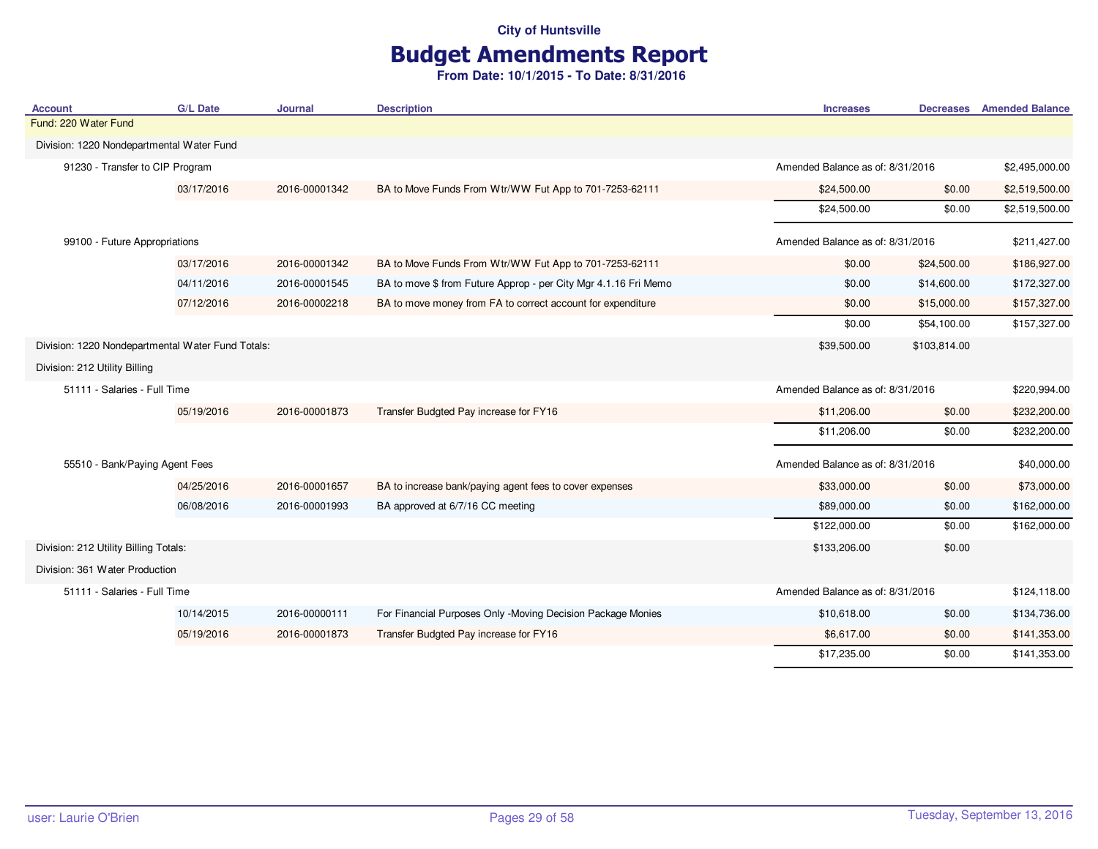# Budget Amendments Report

| <b>Account</b>                                    | <b>G/L Date</b> | <b>Journal</b> | <b>Description</b>                                              | <b>Increases</b>                 |                                  | <b>Decreases</b> Amended Balance |
|---------------------------------------------------|-----------------|----------------|-----------------------------------------------------------------|----------------------------------|----------------------------------|----------------------------------|
| Fund: 220 Water Fund                              |                 |                |                                                                 |                                  |                                  |                                  |
| Division: 1220 Nondepartmental Water Fund         |                 |                |                                                                 |                                  |                                  |                                  |
| 91230 - Transfer to CIP Program                   |                 |                |                                                                 | Amended Balance as of: 8/31/2016 |                                  | \$2,495,000.00                   |
|                                                   | 03/17/2016      | 2016-00001342  | BA to Move Funds From Wtr/WW Fut App to 701-7253-62111          | \$24,500.00                      | \$0.00                           | \$2,519,500.00                   |
|                                                   |                 |                |                                                                 | \$24,500.00                      | \$0.00                           | \$2,519,500.00                   |
| 99100 - Future Appropriations                     |                 |                | Amended Balance as of: 8/31/2016                                |                                  | \$211,427.00                     |                                  |
|                                                   | 03/17/2016      | 2016-00001342  | BA to Move Funds From Wtr/WW Fut App to 701-7253-62111          | \$0.00                           | \$24,500.00                      | \$186,927.00                     |
|                                                   | 04/11/2016      | 2016-00001545  | BA to move \$ from Future Approp - per City Mgr 4.1.16 Fri Memo | \$0.00                           | \$14,600.00                      | \$172,327.00                     |
|                                                   | 07/12/2016      | 2016-00002218  | BA to move money from FA to correct account for expenditure     | \$0.00                           | \$15,000.00                      | \$157,327.00                     |
|                                                   |                 |                |                                                                 | \$0.00                           | \$54,100.00                      | \$157,327.00                     |
| Division: 1220 Nondepartmental Water Fund Totals: |                 |                | \$39,500.00                                                     | \$103,814.00                     |                                  |                                  |
| Division: 212 Utility Billing                     |                 |                |                                                                 |                                  |                                  |                                  |
| 51111 - Salaries - Full Time                      |                 |                |                                                                 |                                  | Amended Balance as of: 8/31/2016 |                                  |
|                                                   | 05/19/2016      | 2016-00001873  | Transfer Budgted Pay increase for FY16                          | \$11,206.00                      | \$0.00                           | \$232,200.00                     |
|                                                   |                 |                |                                                                 | \$11,206.00                      | \$0.00                           | \$232,200.00                     |
| 55510 - Bank/Paying Agent Fees                    |                 |                |                                                                 |                                  | Amended Balance as of: 8/31/2016 |                                  |
|                                                   | 04/25/2016      | 2016-00001657  | BA to increase bank/paying agent fees to cover expenses         | \$33,000.00                      | \$0.00                           | \$73,000.00                      |
|                                                   | 06/08/2016      | 2016-00001993  | BA approved at 6/7/16 CC meeting                                | \$89,000.00                      | \$0.00                           | \$162,000.00                     |
|                                                   |                 |                |                                                                 | \$122,000.00                     | \$0.00                           | \$162,000.00                     |
| Division: 212 Utility Billing Totals:             |                 |                |                                                                 | \$133,206.00                     | \$0.00                           |                                  |
| Division: 361 Water Production                    |                 |                |                                                                 |                                  |                                  |                                  |
| 51111 - Salaries - Full Time                      |                 |                |                                                                 | Amended Balance as of: 8/31/2016 |                                  | \$124,118.00                     |
|                                                   | 10/14/2015      | 2016-00000111  | For Financial Purposes Only -Moving Decision Package Monies     | \$10,618.00                      | \$0.00                           | \$134,736.00                     |
|                                                   | 05/19/2016      | 2016-00001873  | Transfer Budgted Pay increase for FY16                          | \$6,617.00                       | \$0.00                           | \$141,353.00                     |
|                                                   |                 |                |                                                                 | \$17,235.00                      | \$0.00                           | \$141,353.00                     |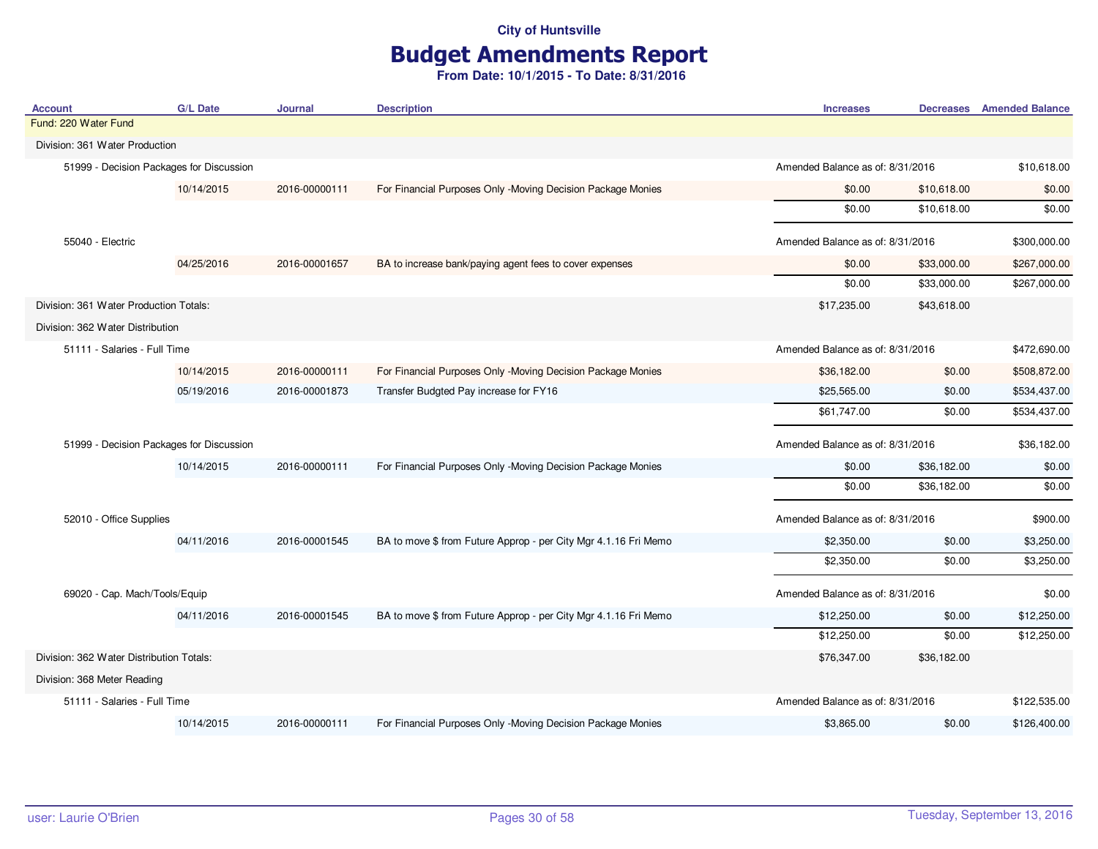# Budget Amendments Report

| <b>Account</b>                           | <b>G/L Date</b> | <b>Journal</b> | <b>Description</b>                                              | <b>Increases</b>                 |                                  | <b>Decreases</b> Amended Balance |
|------------------------------------------|-----------------|----------------|-----------------------------------------------------------------|----------------------------------|----------------------------------|----------------------------------|
| Fund: 220 Water Fund                     |                 |                |                                                                 |                                  |                                  |                                  |
| Division: 361 Water Production           |                 |                |                                                                 |                                  |                                  |                                  |
| 51999 - Decision Packages for Discussion |                 |                |                                                                 | Amended Balance as of: 8/31/2016 |                                  | \$10,618.00                      |
|                                          | 10/14/2015      | 2016-00000111  | For Financial Purposes Only -Moving Decision Package Monies     | \$0.00                           | \$10,618.00                      | \$0.00                           |
|                                          |                 |                |                                                                 | \$0.00                           | \$10,618.00                      | \$0.00                           |
| 55040 - Electric                         |                 |                |                                                                 | Amended Balance as of: 8/31/2016 |                                  | \$300,000.00                     |
|                                          | 04/25/2016      | 2016-00001657  | BA to increase bank/paying agent fees to cover expenses         | \$0.00                           | \$33,000.00                      | \$267,000.00                     |
|                                          |                 |                |                                                                 | \$0.00                           | \$33,000.00                      | \$267,000.00                     |
| Division: 361 Water Production Totals:   |                 |                |                                                                 | \$17,235.00                      | \$43,618.00                      |                                  |
| Division: 362 Water Distribution         |                 |                |                                                                 |                                  |                                  |                                  |
| 51111 - Salaries - Full Time             |                 |                |                                                                 |                                  | Amended Balance as of: 8/31/2016 |                                  |
|                                          | 10/14/2015      | 2016-00000111  | For Financial Purposes Only -Moving Decision Package Monies     | \$36,182.00                      | \$0.00                           | \$508,872.00                     |
|                                          | 05/19/2016      | 2016-00001873  | Transfer Budgted Pay increase for FY16                          | \$25,565.00                      | \$0.00                           | \$534,437.00                     |
|                                          |                 |                |                                                                 | \$61,747.00                      | \$0.00                           | \$534,437.00                     |
| 51999 - Decision Packages for Discussion |                 |                |                                                                 | Amended Balance as of: 8/31/2016 |                                  | \$36,182.00                      |
|                                          | 10/14/2015      | 2016-00000111  | For Financial Purposes Only -Moving Decision Package Monies     | \$0.00                           | \$36,182.00                      | \$0.00                           |
|                                          |                 |                |                                                                 | \$0.00                           | \$36,182.00                      | \$0.00                           |
| 52010 - Office Supplies                  |                 |                |                                                                 | Amended Balance as of: 8/31/2016 |                                  | \$900.00                         |
|                                          | 04/11/2016      | 2016-00001545  | BA to move \$ from Future Approp - per City Mgr 4.1.16 Fri Memo | \$2,350.00                       | \$0.00                           | \$3,250.00                       |
|                                          |                 |                |                                                                 | \$2,350.00                       | \$0.00                           | \$3,250.00                       |
| 69020 - Cap. Mach/Tools/Equip            |                 |                |                                                                 | Amended Balance as of: 8/31/2016 |                                  | \$0.00                           |
|                                          | 04/11/2016      | 2016-00001545  | BA to move \$ from Future Approp - per City Mgr 4.1.16 Fri Memo | \$12,250.00                      | \$0.00                           | \$12,250.00                      |
|                                          |                 |                |                                                                 | \$12,250.00                      | \$0.00                           | \$12,250.00                      |
| Division: 362 Water Distribution Totals: |                 |                |                                                                 | \$76,347.00                      | \$36,182.00                      |                                  |
| Division: 368 Meter Reading              |                 |                |                                                                 |                                  |                                  |                                  |
| 51111 - Salaries - Full Time             |                 |                |                                                                 | Amended Balance as of: 8/31/2016 |                                  | \$122,535.00                     |
|                                          | 10/14/2015      | 2016-00000111  | For Financial Purposes Only -Moving Decision Package Monies     | \$3,865.00                       | \$0.00                           | \$126,400.00                     |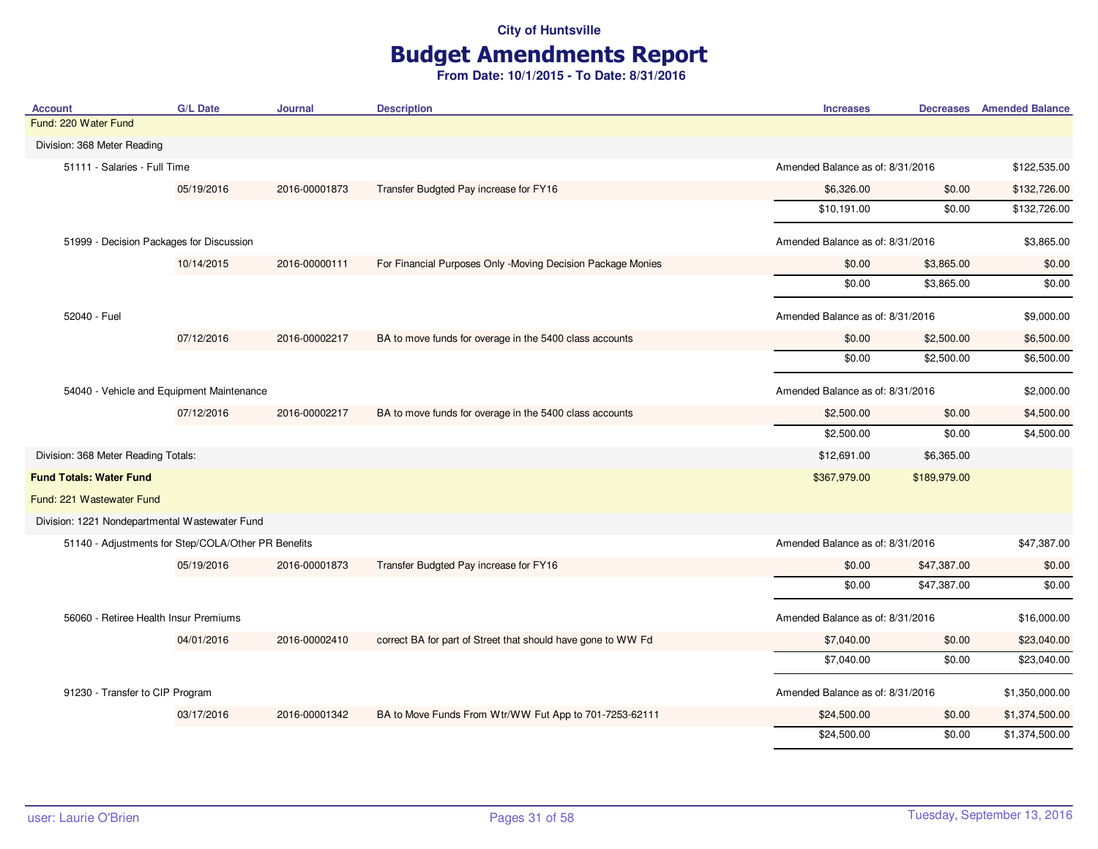# Budget Amendments Report

| <b>Account</b>                                      | <b>G/L Date</b> | <b>Journal</b> | <b>Description</b>                                           | <b>Increases</b>                 |              | <b>Decreases</b> Amended Balance |
|-----------------------------------------------------|-----------------|----------------|--------------------------------------------------------------|----------------------------------|--------------|----------------------------------|
| Fund: 220 Water Fund                                |                 |                |                                                              |                                  |              |                                  |
| Division: 368 Meter Reading                         |                 |                |                                                              |                                  |              |                                  |
| 51111 - Salaries - Full Time                        |                 |                |                                                              | Amended Balance as of: 8/31/2016 |              | \$122,535.00                     |
|                                                     | 05/19/2016      | 2016-00001873  | Transfer Budgted Pay increase for FY16                       | \$6,326.00                       | \$0.00       | \$132,726.00                     |
|                                                     |                 |                |                                                              | \$10,191.00                      | \$0.00       | \$132,726.00                     |
| 51999 - Decision Packages for Discussion            |                 |                |                                                              | Amended Balance as of: 8/31/2016 |              | \$3,865.00                       |
|                                                     | 10/14/2015      | 2016-00000111  | For Financial Purposes Only -Moving Decision Package Monies  | \$0.00                           | \$3,865.00   | \$0.00                           |
|                                                     |                 |                |                                                              | \$0.00                           | \$3,865.00   | \$0.00                           |
| 52040 - Fuel                                        |                 |                |                                                              | Amended Balance as of: 8/31/2016 |              | \$9,000.00                       |
|                                                     | 07/12/2016      | 2016-00002217  | BA to move funds for overage in the 5400 class accounts      | \$0.00                           | \$2,500.00   | \$6,500.00                       |
|                                                     |                 |                |                                                              | \$0.00                           | \$2,500.00   | \$6,500.00                       |
| 54040 - Vehicle and Equipment Maintenance           |                 |                |                                                              | Amended Balance as of: 8/31/2016 |              |                                  |
|                                                     | 07/12/2016      | 2016-00002217  | BA to move funds for overage in the 5400 class accounts      | \$2,500.00                       | \$0.00       | \$4,500.00                       |
|                                                     |                 |                |                                                              | \$2,500.00                       | \$0.00       | \$4,500.00                       |
| Division: 368 Meter Reading Totals:                 |                 |                |                                                              | \$12,691.00                      | \$6,365.00   |                                  |
| <b>Fund Totals: Water Fund</b>                      |                 |                |                                                              | \$367,979.00                     | \$189,979.00 |                                  |
| Fund: 221 Wastewater Fund                           |                 |                |                                                              |                                  |              |                                  |
| Division: 1221 Nondepartmental Wastewater Fund      |                 |                |                                                              |                                  |              |                                  |
| 51140 - Adjustments for Step/COLA/Other PR Benefits |                 |                |                                                              | Amended Balance as of: 8/31/2016 |              | \$47,387.00                      |
|                                                     | 05/19/2016      | 2016-00001873  | Transfer Budgted Pay increase for FY16                       | \$0.00                           | \$47,387.00  | \$0.00                           |
|                                                     |                 |                |                                                              | \$0.00                           | \$47,387.00  | \$0.00                           |
| 56060 - Retiree Health Insur Premiums               |                 |                |                                                              | Amended Balance as of: 8/31/2016 |              | \$16,000.00                      |
|                                                     | 04/01/2016      | 2016-00002410  | correct BA for part of Street that should have gone to WW Fd | \$7,040.00                       | \$0.00       | \$23,040.00                      |
|                                                     |                 |                |                                                              | \$7,040.00                       | \$0.00       | \$23,040.00                      |
| 91230 - Transfer to CIP Program                     |                 |                |                                                              | Amended Balance as of: 8/31/2016 |              | \$1,350,000.00                   |
|                                                     | 03/17/2016      | 2016-00001342  | BA to Move Funds From Wtr/WW Fut App to 701-7253-62111       | \$24,500.00                      | \$0.00       | \$1,374,500.00                   |
|                                                     |                 |                |                                                              | \$24,500.00                      | \$0.00       | \$1,374,500.00                   |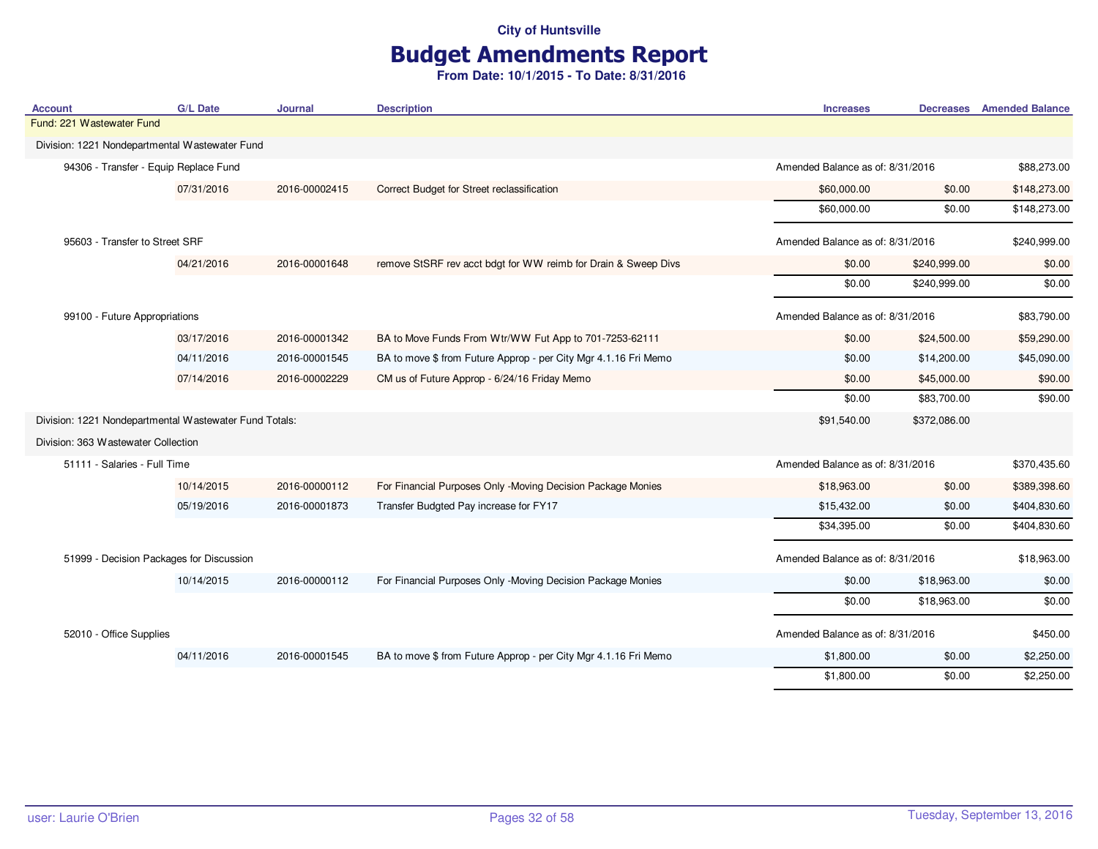## Budget Amendments Report

| <b>Account</b>                                         | <b>G/L Date</b> | Journal       | <b>Description</b>                                              | <b>Increases</b>                 |              | <b>Decreases</b> Amended Balance |
|--------------------------------------------------------|-----------------|---------------|-----------------------------------------------------------------|----------------------------------|--------------|----------------------------------|
| Fund: 221 Wastewater Fund                              |                 |               |                                                                 |                                  |              |                                  |
| Division: 1221 Nondepartmental Wastewater Fund         |                 |               |                                                                 |                                  |              |                                  |
| 94306 - Transfer - Equip Replace Fund                  |                 |               |                                                                 | Amended Balance as of: 8/31/2016 |              | \$88,273.00                      |
|                                                        | 07/31/2016      | 2016-00002415 | Correct Budget for Street reclassification                      | \$60,000.00                      | \$0.00       | \$148,273.00                     |
|                                                        |                 |               |                                                                 | \$60,000.00                      | \$0.00       | \$148,273.00                     |
| 95603 - Transfer to Street SRF                         |                 |               |                                                                 | Amended Balance as of: 8/31/2016 |              | \$240,999.00                     |
|                                                        | 04/21/2016      | 2016-00001648 | remove StSRF rev acct bdgt for WW reimb for Drain & Sweep Divs  | \$0.00                           | \$240,999.00 | \$0.00                           |
|                                                        |                 |               |                                                                 | \$0.00                           | \$240,999.00 | \$0.00                           |
| 99100 - Future Appropriations                          |                 |               |                                                                 | Amended Balance as of: 8/31/2016 |              | \$83,790.00                      |
|                                                        | 03/17/2016      | 2016-00001342 | BA to Move Funds From Wtr/WW Fut App to 701-7253-62111          | \$0.00                           | \$24,500.00  | \$59,290.00                      |
|                                                        | 04/11/2016      | 2016-00001545 | BA to move \$ from Future Approp - per City Mgr 4.1.16 Fri Memo | \$0.00                           | \$14,200.00  | \$45,090.00                      |
|                                                        | 07/14/2016      | 2016-00002229 | CM us of Future Approp - 6/24/16 Friday Memo                    | \$0.00                           | \$45,000.00  | \$90.00                          |
|                                                        |                 |               |                                                                 | \$0.00                           | \$83,700.00  | \$90.00                          |
| Division: 1221 Nondepartmental Wastewater Fund Totals: |                 |               |                                                                 | \$91,540.00                      | \$372,086.00 |                                  |
| Division: 363 Wastewater Collection                    |                 |               |                                                                 |                                  |              |                                  |
| 51111 - Salaries - Full Time                           |                 |               |                                                                 | Amended Balance as of: 8/31/2016 |              | \$370,435.60                     |
|                                                        | 10/14/2015      | 2016-00000112 | For Financial Purposes Only -Moving Decision Package Monies     | \$18,963.00                      | \$0.00       | \$389,398.60                     |
|                                                        | 05/19/2016      | 2016-00001873 | Transfer Budgted Pay increase for FY17                          | \$15,432.00                      | \$0.00       | \$404,830.60                     |
|                                                        |                 |               |                                                                 | \$34,395.00                      | \$0.00       | \$404,830.60                     |
| 51999 - Decision Packages for Discussion               |                 |               |                                                                 | Amended Balance as of: 8/31/2016 |              | \$18,963.00                      |
|                                                        | 10/14/2015      | 2016-00000112 | For Financial Purposes Only -Moving Decision Package Monies     | \$0.00                           | \$18,963.00  | \$0.00                           |
|                                                        |                 |               |                                                                 | \$0.00                           | \$18,963.00  | \$0.00                           |
| 52010 - Office Supplies                                |                 |               |                                                                 | Amended Balance as of: 8/31/2016 |              | \$450.00                         |
|                                                        | 04/11/2016      | 2016-00001545 | BA to move \$ from Future Approp - per City Mgr 4.1.16 Fri Memo | \$1,800.00                       | \$0.00       | \$2,250.00                       |
|                                                        |                 |               |                                                                 | \$1,800.00                       | \$0.00       | \$2,250.00                       |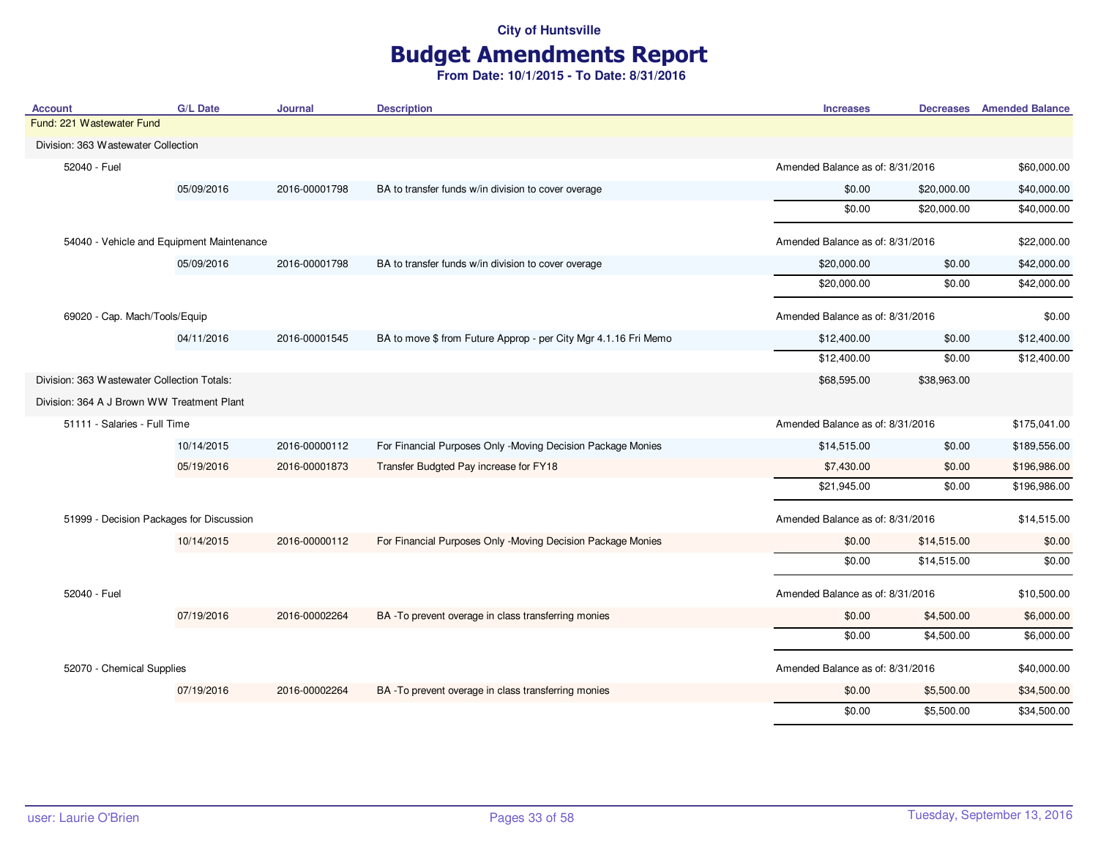## Budget Amendments Report

| <b>Account</b>                              | <b>G/L Date</b> | <b>Journal</b> | <b>Description</b>                                              | <b>Increases</b>                 |                                  | <b>Decreases</b> Amended Balance |
|---------------------------------------------|-----------------|----------------|-----------------------------------------------------------------|----------------------------------|----------------------------------|----------------------------------|
| Fund: 221 Wastewater Fund                   |                 |                |                                                                 |                                  |                                  |                                  |
| Division: 363 Wastewater Collection         |                 |                |                                                                 |                                  |                                  |                                  |
| 52040 - Fuel                                |                 |                |                                                                 | Amended Balance as of: 8/31/2016 |                                  | \$60,000.00                      |
|                                             | 05/09/2016      | 2016-00001798  | BA to transfer funds w/in division to cover overage             | \$0.00                           | \$20,000.00                      | \$40,000.00                      |
|                                             |                 |                |                                                                 | \$0.00                           | \$20,000.00                      | \$40,000.00                      |
| 54040 - Vehicle and Equipment Maintenance   |                 |                |                                                                 | Amended Balance as of: 8/31/2016 |                                  | \$22,000.00                      |
|                                             | 05/09/2016      | 2016-00001798  | BA to transfer funds w/in division to cover overage             | \$20,000.00                      | \$0.00                           | \$42,000.00                      |
|                                             |                 |                |                                                                 | \$20,000.00                      | \$0.00                           | \$42,000.00                      |
| 69020 - Cap. Mach/Tools/Equip               |                 |                |                                                                 | Amended Balance as of: 8/31/2016 |                                  | \$0.00                           |
|                                             | 04/11/2016      | 2016-00001545  | BA to move \$ from Future Approp - per City Mgr 4.1.16 Fri Memo | \$12,400.00                      | \$0.00                           | \$12,400.00                      |
|                                             |                 |                |                                                                 | \$12,400.00                      | \$0.00                           | \$12,400.00                      |
| Division: 363 Wastewater Collection Totals: |                 |                |                                                                 | \$68,595.00                      | \$38,963.00                      |                                  |
| Division: 364 A J Brown WW Treatment Plant  |                 |                |                                                                 |                                  |                                  |                                  |
| 51111 - Salaries - Full Time                |                 |                |                                                                 |                                  | Amended Balance as of: 8/31/2016 |                                  |
|                                             | 10/14/2015      | 2016-00000112  | For Financial Purposes Only -Moving Decision Package Monies     | \$14,515.00                      | \$0.00                           | \$189,556.00                     |
|                                             | 05/19/2016      | 2016-00001873  | Transfer Budgted Pay increase for FY18                          | \$7,430.00                       | \$0.00                           | \$196,986.00                     |
|                                             |                 |                |                                                                 | \$21,945.00                      | \$0.00                           | \$196,986.00                     |
| 51999 - Decision Packages for Discussion    |                 |                |                                                                 | Amended Balance as of: 8/31/2016 |                                  | \$14,515.00                      |
|                                             | 10/14/2015      | 2016-00000112  | For Financial Purposes Only -Moving Decision Package Monies     | \$0.00                           | \$14,515.00                      | \$0.00                           |
|                                             |                 |                |                                                                 | \$0.00                           | \$14,515.00                      | \$0.00                           |
| 52040 - Fuel                                |                 |                |                                                                 | Amended Balance as of: 8/31/2016 |                                  | \$10,500.00                      |
|                                             | 07/19/2016      | 2016-00002264  | BA -To prevent overage in class transferring monies             | \$0.00                           | \$4,500.00                       | \$6,000.00                       |
|                                             |                 |                |                                                                 | \$0.00                           | \$4,500.00                       | \$6,000.00                       |
| 52070 - Chemical Supplies                   |                 |                |                                                                 | Amended Balance as of: 8/31/2016 |                                  | \$40,000.00                      |
|                                             | 07/19/2016      | 2016-00002264  | BA -To prevent overage in class transferring monies             | \$0.00                           | \$5,500.00                       | \$34,500.00                      |
|                                             |                 |                |                                                                 | \$0.00                           | \$5,500.00                       | \$34,500.00                      |
|                                             |                 |                |                                                                 |                                  |                                  |                                  |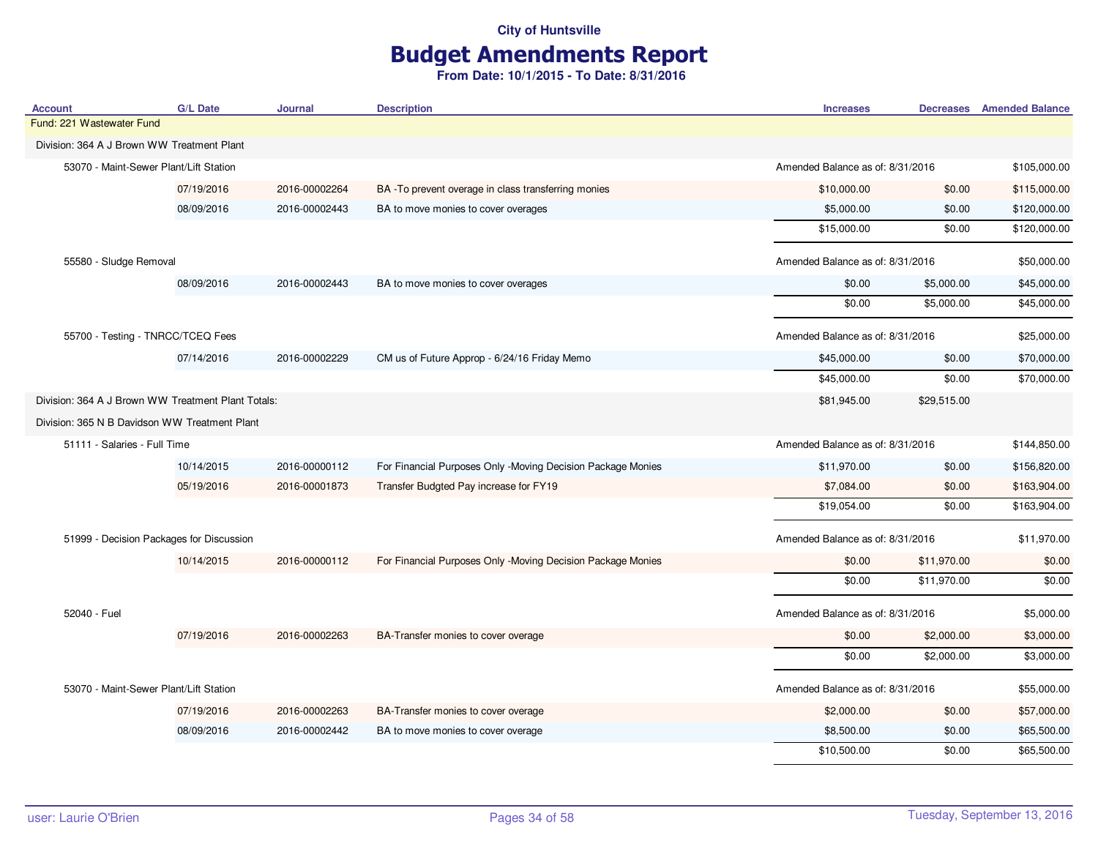# Budget Amendments Report

| <b>Account</b>                                     | <b>G/L Date</b>                          | <b>Journal</b> | <b>Description</b>                                          | <b>Increases</b>                 | <b>Decreases</b>                 | <b>Amended Balance</b> |
|----------------------------------------------------|------------------------------------------|----------------|-------------------------------------------------------------|----------------------------------|----------------------------------|------------------------|
| Fund: 221 Wastewater Fund                          |                                          |                |                                                             |                                  |                                  |                        |
| Division: 364 A J Brown WW Treatment Plant         |                                          |                |                                                             |                                  |                                  |                        |
|                                                    | 53070 - Maint-Sewer Plant/Lift Station   |                |                                                             | Amended Balance as of: 8/31/2016 |                                  | \$105,000.00           |
|                                                    | 07/19/2016                               | 2016-00002264  | BA -To prevent overage in class transferring monies         | \$10,000.00                      | \$0.00                           | \$115,000.00           |
|                                                    | 08/09/2016                               | 2016-00002443  | BA to move monies to cover overages                         | \$5,000.00                       | \$0.00                           | \$120,000.00           |
|                                                    |                                          |                |                                                             | \$15,000.00                      | \$0.00                           | \$120,000.00           |
| 55580 - Sludge Removal                             |                                          |                |                                                             | Amended Balance as of: 8/31/2016 |                                  | \$50,000.00            |
|                                                    | 08/09/2016                               | 2016-00002443  | BA to move monies to cover overages                         | \$0.00                           | \$5,000.00                       | \$45,000.00            |
|                                                    |                                          |                |                                                             | \$0.00                           | \$5,000.00                       | \$45,000.00            |
|                                                    | 55700 - Testing - TNRCC/TCEQ Fees        |                |                                                             | Amended Balance as of: 8/31/2016 |                                  | \$25,000.00            |
|                                                    | 07/14/2016                               | 2016-00002229  | CM us of Future Approp - 6/24/16 Friday Memo                | \$45,000.00                      | \$0.00                           | \$70,000.00            |
|                                                    |                                          |                |                                                             | \$45,000.00                      | \$0.00                           | \$70,000.00            |
| Division: 364 A J Brown WW Treatment Plant Totals: |                                          |                |                                                             | \$81,945.00                      | \$29,515.00                      |                        |
| Division: 365 N B Davidson WW Treatment Plant      |                                          |                |                                                             |                                  |                                  |                        |
| 51111 - Salaries - Full Time                       |                                          |                |                                                             | Amended Balance as of: 8/31/2016 |                                  | \$144,850.00           |
|                                                    | 10/14/2015                               | 2016-00000112  | For Financial Purposes Only -Moving Decision Package Monies | \$11,970.00                      | \$0.00                           | \$156,820.00           |
|                                                    | 05/19/2016                               | 2016-00001873  | Transfer Budgted Pay increase for FY19                      | \$7,084.00                       | \$0.00                           | \$163,904.00           |
|                                                    |                                          |                |                                                             | \$19,054.00                      | \$0.00                           | \$163,904.00           |
|                                                    | 51999 - Decision Packages for Discussion |                |                                                             |                                  | Amended Balance as of: 8/31/2016 |                        |
|                                                    | 10/14/2015                               | 2016-00000112  | For Financial Purposes Only -Moving Decision Package Monies | \$0.00                           | \$11,970.00                      | \$0.00                 |
|                                                    |                                          |                |                                                             | \$0.00                           | \$11,970.00                      | \$0.00                 |
| 52040 - Fuel                                       |                                          |                |                                                             | Amended Balance as of: 8/31/2016 |                                  | \$5,000.00             |
|                                                    | 07/19/2016                               | 2016-00002263  | BA-Transfer monies to cover overage                         | \$0.00                           | \$2,000.00                       | \$3,000.00             |
|                                                    |                                          |                |                                                             | \$0.00                           | \$2,000.00                       | \$3,000.00             |
|                                                    | 53070 - Maint-Sewer Plant/Lift Station   |                |                                                             | Amended Balance as of: 8/31/2016 |                                  | \$55,000.00            |
|                                                    | 07/19/2016                               | 2016-00002263  | BA-Transfer monies to cover overage                         | \$2,000.00                       | \$0.00                           | \$57,000.00            |
|                                                    | 08/09/2016                               | 2016-00002442  | BA to move monies to cover overage                          | \$8,500.00                       | \$0.00                           | \$65,500.00            |
|                                                    |                                          |                |                                                             | \$10,500.00                      | \$0.00                           | \$65,500.00            |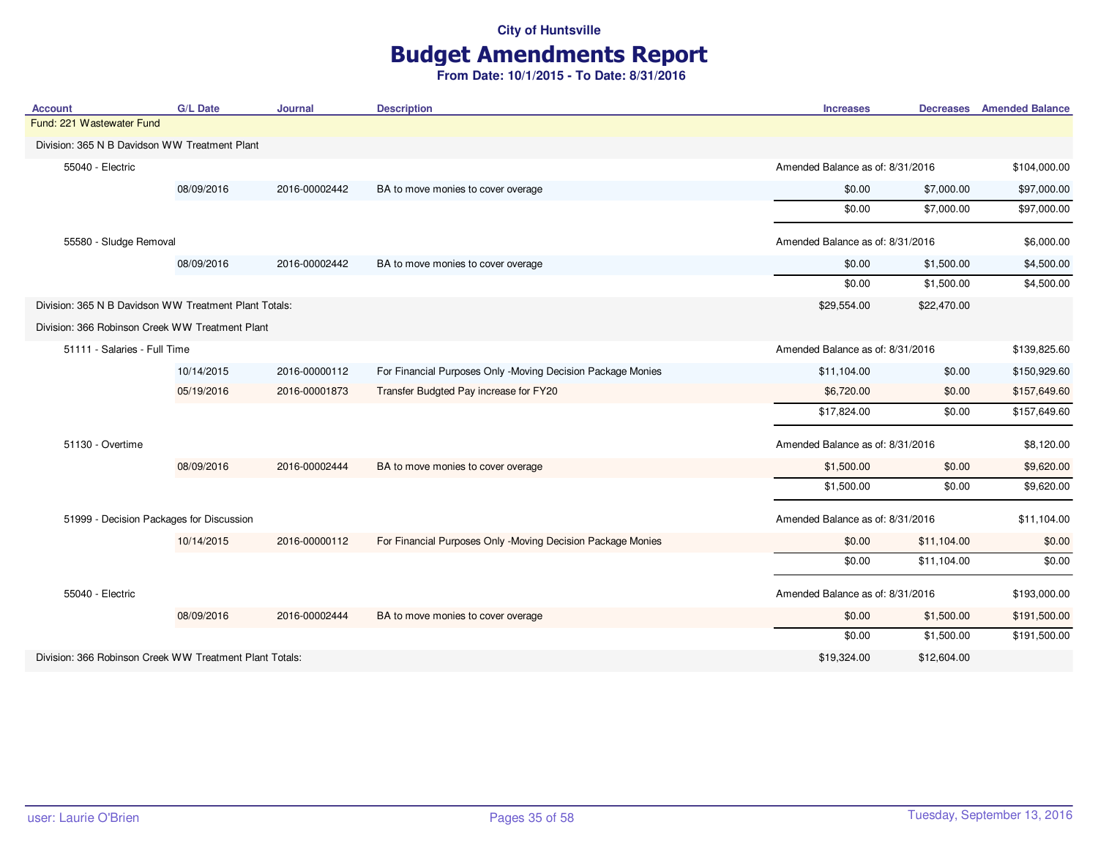## Budget Amendments Report

| <b>Account</b>                                          | <b>G/L Date</b>                                       | <b>Journal</b>             | <b>Description</b>                                          | <b>Increases</b>                 | <b>Decreases</b> Amended Balance |
|---------------------------------------------------------|-------------------------------------------------------|----------------------------|-------------------------------------------------------------|----------------------------------|----------------------------------|
| Fund: 221 Wastewater Fund                               |                                                       |                            |                                                             |                                  |                                  |
| Division: 365 N B Davidson WW Treatment Plant           |                                                       |                            |                                                             |                                  |                                  |
| 55040 - Electric                                        |                                                       |                            |                                                             | Amended Balance as of: 8/31/2016 | \$104,000.00                     |
|                                                         | 08/09/2016                                            | 2016-00002442              | BA to move monies to cover overage                          | \$0.00<br>\$7,000.00             | \$97,000.00                      |
|                                                         |                                                       |                            |                                                             | \$0.00<br>\$7,000.00             | \$97,000.00                      |
| 55580 - Sludge Removal                                  |                                                       |                            | Amended Balance as of: 8/31/2016                            | \$6,000.00                       |                                  |
|                                                         | 08/09/2016                                            | 2016-00002442              | BA to move monies to cover overage                          | \$0.00<br>\$1,500.00             | \$4,500.00                       |
|                                                         |                                                       |                            |                                                             | \$0.00<br>\$1,500.00             | \$4,500.00                       |
|                                                         | Division: 365 N B Davidson WW Treatment Plant Totals: |                            |                                                             |                                  | \$22,470.00                      |
| Division: 366 Robinson Creek WW Treatment Plant         |                                                       |                            |                                                             |                                  |                                  |
| 51111 - Salaries - Full Time                            |                                                       |                            |                                                             | Amended Balance as of: 8/31/2016 | \$139,825.60                     |
|                                                         | 10/14/2015                                            | 2016-00000112              | For Financial Purposes Only -Moving Decision Package Monies | \$11,104.00<br>\$0.00            | \$150,929.60                     |
|                                                         | 05/19/2016                                            | 2016-00001873              | Transfer Budgted Pay increase for FY20                      | \$6,720.00<br>\$0.00             | \$157,649.60                     |
|                                                         |                                                       |                            |                                                             | \$17,824.00<br>\$0.00            | \$157,649.60                     |
| 51130 - Overtime                                        |                                                       |                            |                                                             | Amended Balance as of: 8/31/2016 | \$8,120.00                       |
|                                                         | 08/09/2016                                            | 2016-00002444              | BA to move monies to cover overage                          | \$1,500.00<br>\$0.00             | \$9,620.00                       |
|                                                         |                                                       |                            |                                                             | \$1,500.00<br>\$0.00             | \$9,620.00                       |
| 51999 - Decision Packages for Discussion                |                                                       |                            |                                                             | Amended Balance as of: 8/31/2016 | \$11,104.00                      |
|                                                         | 10/14/2015                                            | 2016-00000112              | For Financial Purposes Only -Moving Decision Package Monies | \$0.00<br>\$11,104.00            | \$0.00                           |
|                                                         |                                                       |                            |                                                             | \$0.00<br>\$11,104.00            | \$0.00                           |
| 55040 - Electric                                        |                                                       |                            |                                                             | Amended Balance as of: 8/31/2016 | \$193,000.00                     |
|                                                         | 08/09/2016                                            | 2016-00002444              | BA to move monies to cover overage                          | \$1,500.00<br>\$0.00             | \$191,500.00                     |
|                                                         |                                                       |                            |                                                             | \$0.00<br>\$1,500.00             | \$191,500.00                     |
| Division: 366 Robinson Creek WW Treatment Plant Totals: |                                                       | \$19,324.00<br>\$12,604.00 |                                                             |                                  |                                  |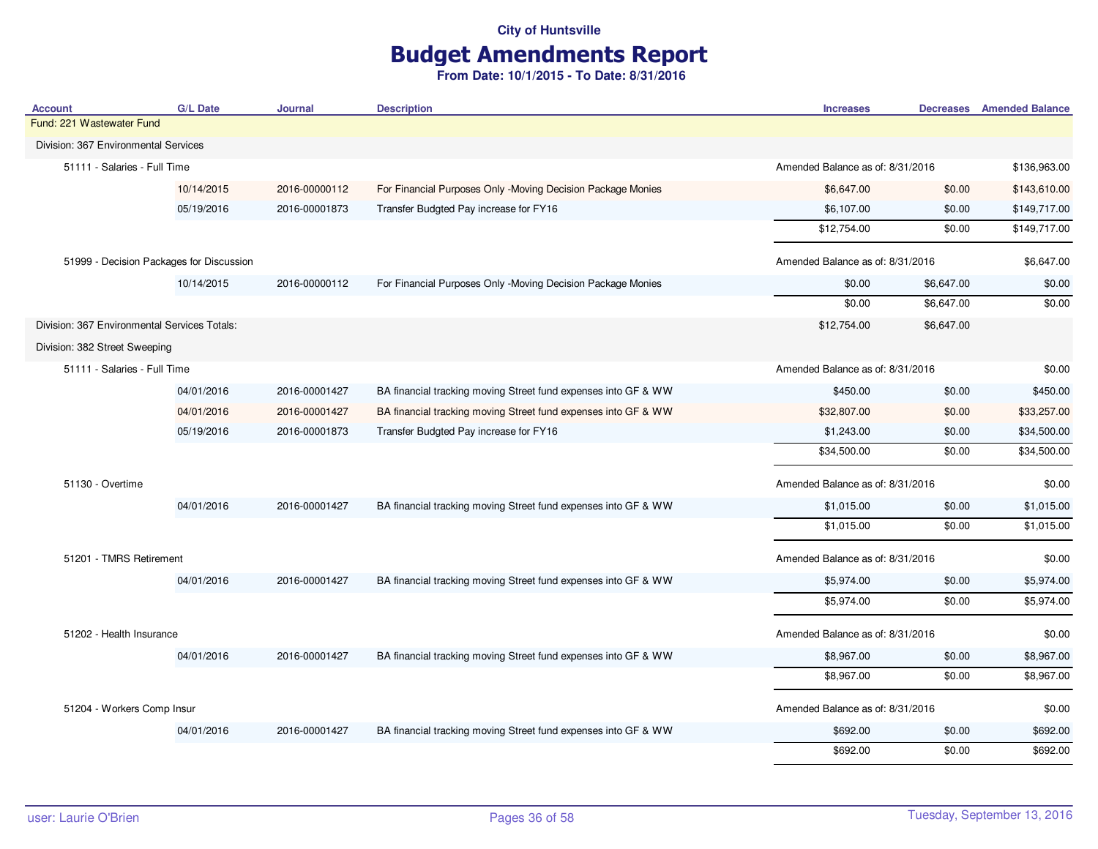# Budget Amendments Report

| <b>Account</b>                               | <b>G/L Date</b> | Journal       | <b>Description</b>                                             | <b>Increases</b>                 |                                  | <b>Decreases</b> Amended Balance |
|----------------------------------------------|-----------------|---------------|----------------------------------------------------------------|----------------------------------|----------------------------------|----------------------------------|
| Fund: 221 Wastewater Fund                    |                 |               |                                                                |                                  |                                  |                                  |
| Division: 367 Environmental Services         |                 |               |                                                                |                                  |                                  |                                  |
| 51111 - Salaries - Full Time                 |                 |               |                                                                | Amended Balance as of: 8/31/2016 |                                  | \$136,963.00                     |
|                                              | 10/14/2015      | 2016-00000112 | For Financial Purposes Only -Moving Decision Package Monies    | \$6,647.00                       | \$0.00                           | \$143,610.00                     |
|                                              | 05/19/2016      | 2016-00001873 | Transfer Budgted Pay increase for FY16                         | \$6,107.00                       | \$0.00                           | \$149,717.00                     |
|                                              |                 |               |                                                                | \$12,754.00                      | \$0.00                           | \$149,717.00                     |
| 51999 - Decision Packages for Discussion     |                 |               |                                                                | Amended Balance as of: 8/31/2016 |                                  | \$6,647.00                       |
|                                              | 10/14/2015      | 2016-00000112 | For Financial Purposes Only -Moving Decision Package Monies    | \$0.00                           | \$6,647.00                       | \$0.00                           |
|                                              |                 |               |                                                                | \$0.00                           | \$6,647.00                       | \$0.00                           |
| Division: 367 Environmental Services Totals: |                 |               |                                                                | \$12,754.00                      | \$6,647.00                       |                                  |
| Division: 382 Street Sweeping                |                 |               |                                                                |                                  |                                  |                                  |
| 51111 - Salaries - Full Time                 |                 |               |                                                                |                                  | Amended Balance as of: 8/31/2016 |                                  |
|                                              | 04/01/2016      | 2016-00001427 | BA financial tracking moving Street fund expenses into GF & WW | \$450.00                         | \$0.00                           | \$450.00                         |
|                                              | 04/01/2016      | 2016-00001427 | BA financial tracking moving Street fund expenses into GF & WW | \$32,807.00                      | \$0.00                           | \$33,257.00                      |
|                                              | 05/19/2016      | 2016-00001873 | Transfer Budgted Pay increase for FY16                         | \$1,243.00                       | \$0.00                           | \$34,500.00                      |
|                                              |                 |               |                                                                | \$34,500.00                      | \$0.00                           | \$34,500.00                      |
| 51130 - Overtime                             |                 |               |                                                                | Amended Balance as of: 8/31/2016 |                                  | \$0.00                           |
|                                              | 04/01/2016      | 2016-00001427 | BA financial tracking moving Street fund expenses into GF & WW | \$1,015.00                       | \$0.00                           | \$1,015.00                       |
|                                              |                 |               |                                                                | \$1,015.00                       | \$0.00                           | \$1,015.00                       |
| 51201 - TMRS Retirement                      |                 |               |                                                                | Amended Balance as of: 8/31/2016 |                                  | \$0.00                           |
|                                              | 04/01/2016      | 2016-00001427 | BA financial tracking moving Street fund expenses into GF & WW | \$5,974.00                       | \$0.00                           | \$5,974.00                       |
|                                              |                 |               |                                                                | \$5,974.00                       | \$0.00                           | \$5,974.00                       |
| 51202 - Health Insurance                     |                 |               |                                                                | Amended Balance as of: 8/31/2016 |                                  | \$0.00                           |
|                                              | 04/01/2016      | 2016-00001427 | BA financial tracking moving Street fund expenses into GF & WW | \$8,967.00                       | \$0.00                           | \$8,967.00                       |
|                                              |                 |               |                                                                | \$8,967.00                       | \$0.00                           | \$8,967.00                       |
| 51204 - Workers Comp Insur                   |                 |               |                                                                | Amended Balance as of: 8/31/2016 |                                  | \$0.00                           |
|                                              | 04/01/2016      | 2016-00001427 | BA financial tracking moving Street fund expenses into GF & WW | \$692.00                         | \$0.00                           | \$692.00                         |
|                                              |                 |               |                                                                | \$692.00                         | \$0.00                           | \$692.00                         |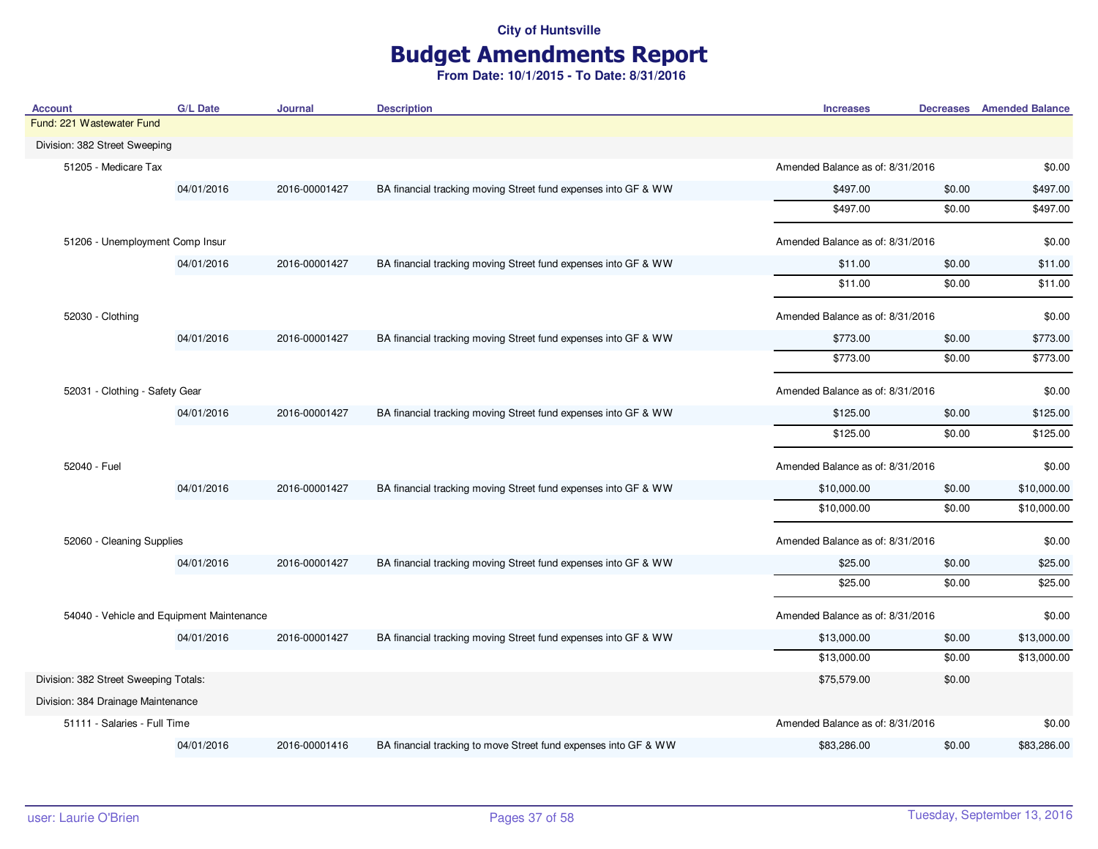# Budget Amendments Report

| <b>Account</b>                            | <b>G/L Date</b> | <b>Journal</b> | <b>Description</b>                                              | <b>Increases</b>                 |        | <b>Decreases</b> Amended Balance |
|-------------------------------------------|-----------------|----------------|-----------------------------------------------------------------|----------------------------------|--------|----------------------------------|
| Fund: 221 Wastewater Fund                 |                 |                |                                                                 |                                  |        |                                  |
| Division: 382 Street Sweeping             |                 |                |                                                                 |                                  |        |                                  |
| 51205 - Medicare Tax                      |                 |                |                                                                 | Amended Balance as of: 8/31/2016 |        | \$0.00                           |
|                                           | 04/01/2016      | 2016-00001427  | BA financial tracking moving Street fund expenses into GF & WW  | \$497.00                         | \$0.00 | \$497.00                         |
|                                           |                 |                |                                                                 | \$497.00                         | \$0.00 | \$497.00                         |
| 51206 - Unemployment Comp Insur           |                 |                |                                                                 | Amended Balance as of: 8/31/2016 |        | \$0.00                           |
|                                           | 04/01/2016      | 2016-00001427  | BA financial tracking moving Street fund expenses into GF & WW  | \$11.00                          | \$0.00 | \$11.00                          |
|                                           |                 |                |                                                                 | \$11.00                          | \$0.00 | \$11.00                          |
| 52030 - Clothing                          |                 |                |                                                                 | Amended Balance as of: 8/31/2016 |        | \$0.00                           |
|                                           | 04/01/2016      | 2016-00001427  | BA financial tracking moving Street fund expenses into GF & WW  | \$773.00                         | \$0.00 | \$773.00                         |
|                                           |                 |                |                                                                 | \$773.00                         | \$0.00 | \$773.00                         |
| 52031 - Clothing - Safety Gear            |                 |                |                                                                 | Amended Balance as of: 8/31/2016 |        | \$0.00                           |
|                                           | 04/01/2016      | 2016-00001427  | BA financial tracking moving Street fund expenses into GF & WW  | \$125.00                         | \$0.00 | \$125.00                         |
|                                           |                 |                |                                                                 | \$125.00                         | \$0.00 | \$125.00                         |
| 52040 - Fuel                              |                 |                |                                                                 | Amended Balance as of: 8/31/2016 |        | \$0.00                           |
|                                           | 04/01/2016      | 2016-00001427  | BA financial tracking moving Street fund expenses into GF & WW  | \$10,000.00                      | \$0.00 | \$10,000.00                      |
|                                           |                 |                |                                                                 | \$10,000.00                      | \$0.00 | \$10,000.00                      |
| 52060 - Cleaning Supplies                 |                 |                |                                                                 | Amended Balance as of: 8/31/2016 |        | \$0.00                           |
|                                           | 04/01/2016      | 2016-00001427  | BA financial tracking moving Street fund expenses into GF & WW  | \$25.00                          | \$0.00 | \$25.00                          |
|                                           |                 |                |                                                                 | \$25.00                          | \$0.00 | \$25.00                          |
| 54040 - Vehicle and Equipment Maintenance |                 |                |                                                                 | Amended Balance as of: 8/31/2016 |        | \$0.00                           |
|                                           | 04/01/2016      | 2016-00001427  | BA financial tracking moving Street fund expenses into GF & WW  | \$13,000.00                      | \$0.00 | \$13,000.00                      |
|                                           |                 |                |                                                                 | \$13,000.00                      | \$0.00 | \$13,000.00                      |
| Division: 382 Street Sweeping Totals:     |                 |                |                                                                 | \$75,579.00                      | \$0.00 |                                  |
| Division: 384 Drainage Maintenance        |                 |                |                                                                 |                                  |        |                                  |
| 51111 - Salaries - Full Time              |                 |                |                                                                 | Amended Balance as of: 8/31/2016 |        | \$0.00                           |
|                                           | 04/01/2016      | 2016-00001416  | BA financial tracking to move Street fund expenses into GF & WW | \$83,286.00                      | \$0.00 | \$83,286.00                      |
|                                           |                 |                |                                                                 |                                  |        |                                  |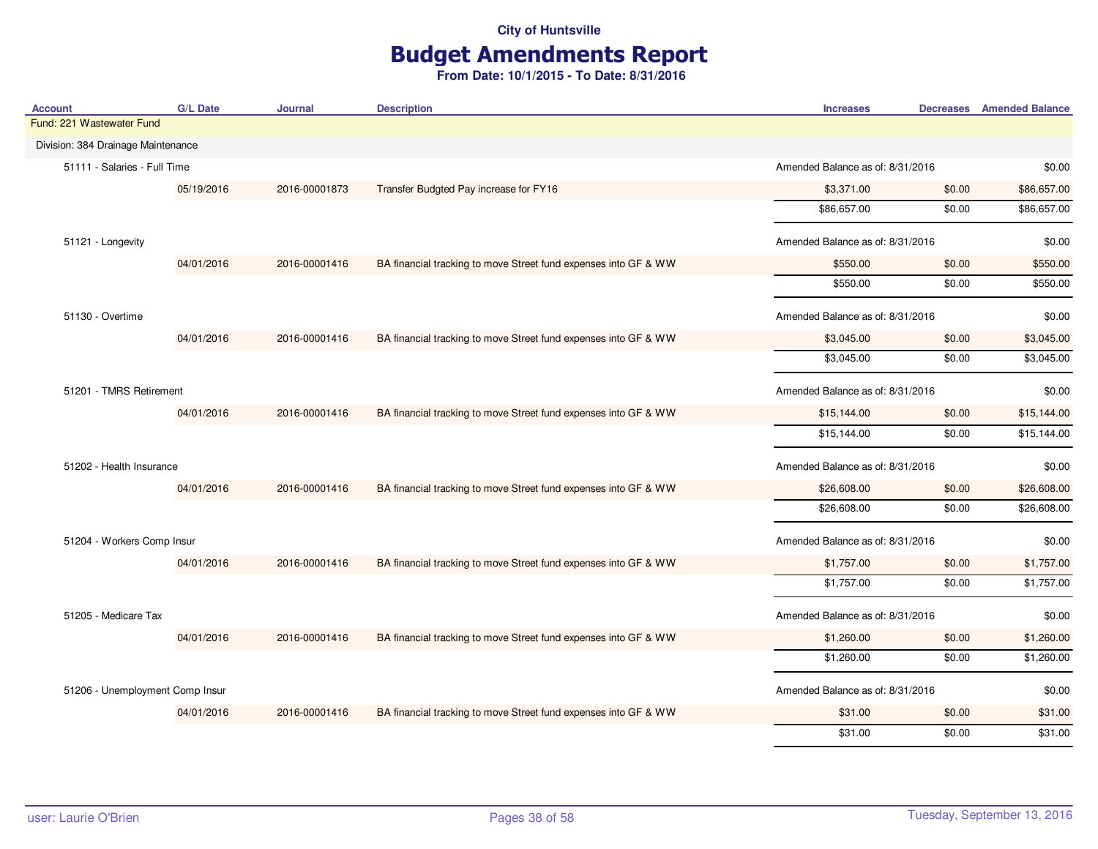# Budget Amendments Report

| <b>Account</b>                     | <b>G/L Date</b> | <b>Journal</b> | <b>Description</b>                                              | <b>Increases</b>                 |        | <b>Decreases</b> Amended Balance |
|------------------------------------|-----------------|----------------|-----------------------------------------------------------------|----------------------------------|--------|----------------------------------|
| Fund: 221 Wastewater Fund          |                 |                |                                                                 |                                  |        |                                  |
| Division: 384 Drainage Maintenance |                 |                |                                                                 |                                  |        |                                  |
| 51111 - Salaries - Full Time       |                 |                |                                                                 | Amended Balance as of: 8/31/2016 |        | \$0.00                           |
|                                    | 05/19/2016      | 2016-00001873  | Transfer Budgted Pay increase for FY16                          | \$3,371.00                       | \$0.00 | \$86,657.00                      |
|                                    |                 |                |                                                                 | \$86,657.00                      | \$0.00 | \$86,657.00                      |
| 51121 - Longevity                  |                 |                |                                                                 | Amended Balance as of: 8/31/2016 |        | \$0.00                           |
|                                    | 04/01/2016      | 2016-00001416  | BA financial tracking to move Street fund expenses into GF & WW | \$550.00                         | \$0.00 | \$550.00                         |
|                                    |                 |                |                                                                 | \$550.00                         | \$0.00 | \$550.00                         |
| 51130 - Overtime                   |                 |                |                                                                 | Amended Balance as of: 8/31/2016 |        | \$0.00                           |
|                                    | 04/01/2016      | 2016-00001416  | BA financial tracking to move Street fund expenses into GF & WW | \$3,045.00                       | \$0.00 | \$3,045.00                       |
|                                    |                 |                |                                                                 | \$3,045.00                       | \$0.00 | \$3,045.00                       |
| 51201 - TMRS Retirement            |                 |                | Amended Balance as of: 8/31/2016                                |                                  | \$0.00 |                                  |
|                                    | 04/01/2016      | 2016-00001416  | BA financial tracking to move Street fund expenses into GF & WW | \$15,144.00                      | \$0.00 | \$15,144.00                      |
|                                    |                 |                |                                                                 | \$15,144.00                      | \$0.00 | \$15,144.00                      |
| 51202 - Health Insurance           |                 |                |                                                                 | Amended Balance as of: 8/31/2016 |        | \$0.00                           |
|                                    | 04/01/2016      | 2016-00001416  | BA financial tracking to move Street fund expenses into GF & WW | \$26,608.00                      | \$0.00 | \$26,608.00                      |
|                                    |                 |                |                                                                 | \$26,608.00                      | \$0.00 | \$26,608.00                      |
| 51204 - Workers Comp Insur         |                 |                |                                                                 | Amended Balance as of: 8/31/2016 |        | \$0.00                           |
|                                    | 04/01/2016      | 2016-00001416  | BA financial tracking to move Street fund expenses into GF & WW | \$1,757.00                       | \$0.00 | \$1,757.00                       |
|                                    |                 |                |                                                                 | \$1,757.00                       | \$0.00 | \$1,757.00                       |
| 51205 - Medicare Tax               |                 |                |                                                                 | Amended Balance as of: 8/31/2016 |        | \$0.00                           |
|                                    | 04/01/2016      | 2016-00001416  | BA financial tracking to move Street fund expenses into GF & WW | \$1,260.00                       | \$0.00 | \$1,260.00                       |
|                                    |                 |                |                                                                 | \$1,260.00                       | \$0.00 | \$1,260.00                       |
| 51206 - Unemployment Comp Insur    |                 |                |                                                                 | Amended Balance as of: 8/31/2016 |        | \$0.00                           |
|                                    | 04/01/2016      | 2016-00001416  | BA financial tracking to move Street fund expenses into GF & WW | \$31.00                          | \$0.00 | \$31.00                          |
|                                    |                 |                |                                                                 | \$31.00                          | \$0.00 | \$31.00                          |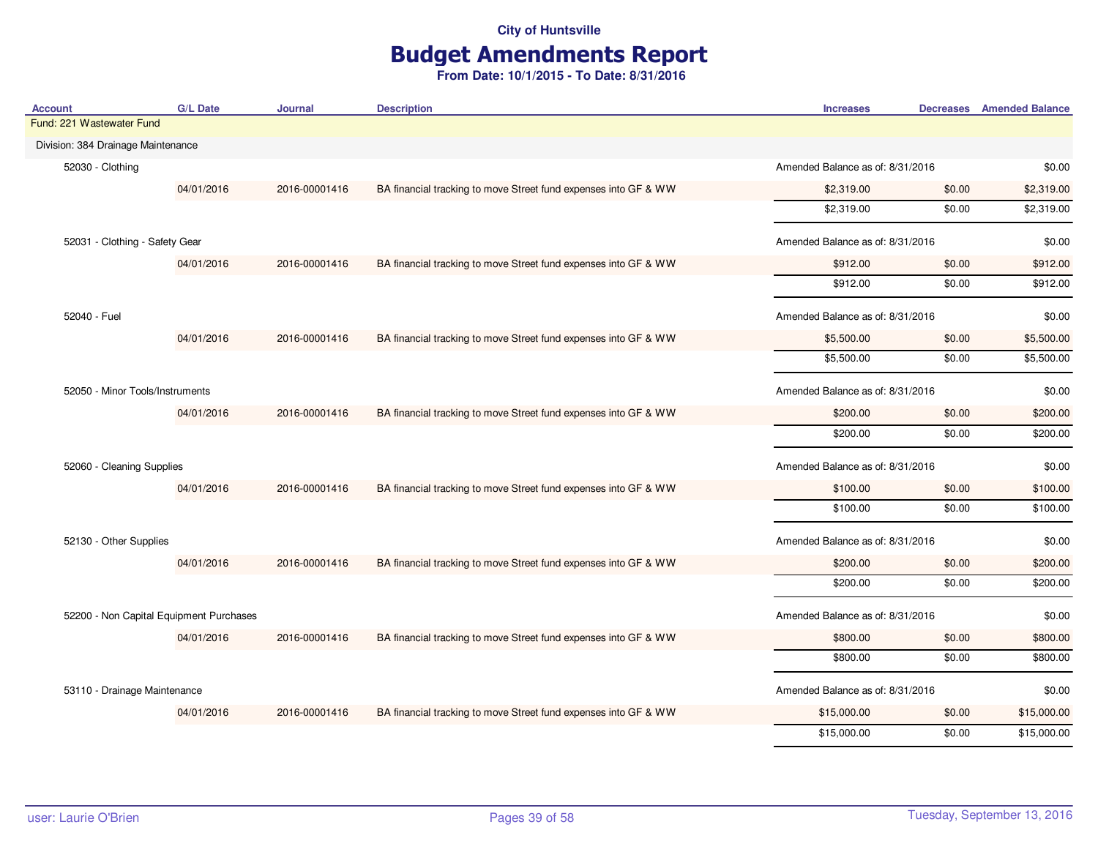## Budget Amendments Report

| <b>Account</b>                          | <b>G/L Date</b> | <b>Journal</b> | <b>Description</b>                                              | <b>Increases</b>                 |                                  | <b>Decreases</b> Amended Balance |
|-----------------------------------------|-----------------|----------------|-----------------------------------------------------------------|----------------------------------|----------------------------------|----------------------------------|
| Fund: 221 Wastewater Fund               |                 |                |                                                                 |                                  |                                  |                                  |
| Division: 384 Drainage Maintenance      |                 |                |                                                                 |                                  |                                  |                                  |
| 52030 - Clothing                        |                 |                |                                                                 |                                  | Amended Balance as of: 8/31/2016 |                                  |
|                                         | 04/01/2016      | 2016-00001416  | BA financial tracking to move Street fund expenses into GF & WW | \$2,319.00                       | \$0.00                           | \$2,319.00                       |
|                                         |                 |                |                                                                 | \$2,319.00                       | \$0.00                           | \$2,319.00                       |
| 52031 - Clothing - Safety Gear          |                 |                |                                                                 | Amended Balance as of: 8/31/2016 |                                  | \$0.00                           |
|                                         | 04/01/2016      | 2016-00001416  | BA financial tracking to move Street fund expenses into GF & WW | \$912.00                         | \$0.00                           | \$912.00                         |
|                                         |                 |                |                                                                 | \$912.00                         | \$0.00                           | \$912.00                         |
| 52040 - Fuel                            |                 |                |                                                                 | Amended Balance as of: 8/31/2016 |                                  | \$0.00                           |
|                                         | 04/01/2016      | 2016-00001416  | BA financial tracking to move Street fund expenses into GF & WW | \$5,500.00                       | \$0.00                           | \$5,500.00                       |
|                                         |                 |                |                                                                 | \$5,500.00                       | \$0.00                           | \$5,500.00                       |
| 52050 - Minor Tools/Instruments         |                 |                | Amended Balance as of: 8/31/2016                                |                                  | \$0.00                           |                                  |
|                                         | 04/01/2016      | 2016-00001416  | BA financial tracking to move Street fund expenses into GF & WW | \$200.00                         | \$0.00                           | \$200.00                         |
|                                         |                 |                |                                                                 | \$200.00                         | \$0.00                           | \$200.00                         |
| 52060 - Cleaning Supplies               |                 |                |                                                                 | Amended Balance as of: 8/31/2016 |                                  | \$0.00                           |
|                                         | 04/01/2016      | 2016-00001416  | BA financial tracking to move Street fund expenses into GF & WW | \$100.00                         | \$0.00                           | \$100.00                         |
|                                         |                 |                |                                                                 | \$100.00                         | \$0.00                           | \$100.00                         |
| 52130 - Other Supplies                  |                 |                |                                                                 | Amended Balance as of: 8/31/2016 |                                  | \$0.00                           |
|                                         | 04/01/2016      | 2016-00001416  | BA financial tracking to move Street fund expenses into GF & WW | \$200.00                         | \$0.00                           | \$200.00                         |
|                                         |                 |                |                                                                 | \$200.00                         | \$0.00                           | \$200.00                         |
| 52200 - Non Capital Equipment Purchases |                 |                |                                                                 | Amended Balance as of: 8/31/2016 |                                  | \$0.00                           |
|                                         | 04/01/2016      | 2016-00001416  | BA financial tracking to move Street fund expenses into GF & WW | \$800.00                         | \$0.00                           | \$800.00                         |
|                                         |                 |                |                                                                 | \$800.00                         | \$0.00                           | \$800.00                         |
| 53110 - Drainage Maintenance            |                 |                |                                                                 | Amended Balance as of: 8/31/2016 |                                  | \$0.00                           |
|                                         | 04/01/2016      | 2016-00001416  | BA financial tracking to move Street fund expenses into GF & WW | \$15,000.00                      | \$0.00                           | \$15,000.00                      |
|                                         |                 |                |                                                                 | \$15,000.00                      | \$0.00                           | \$15,000.00                      |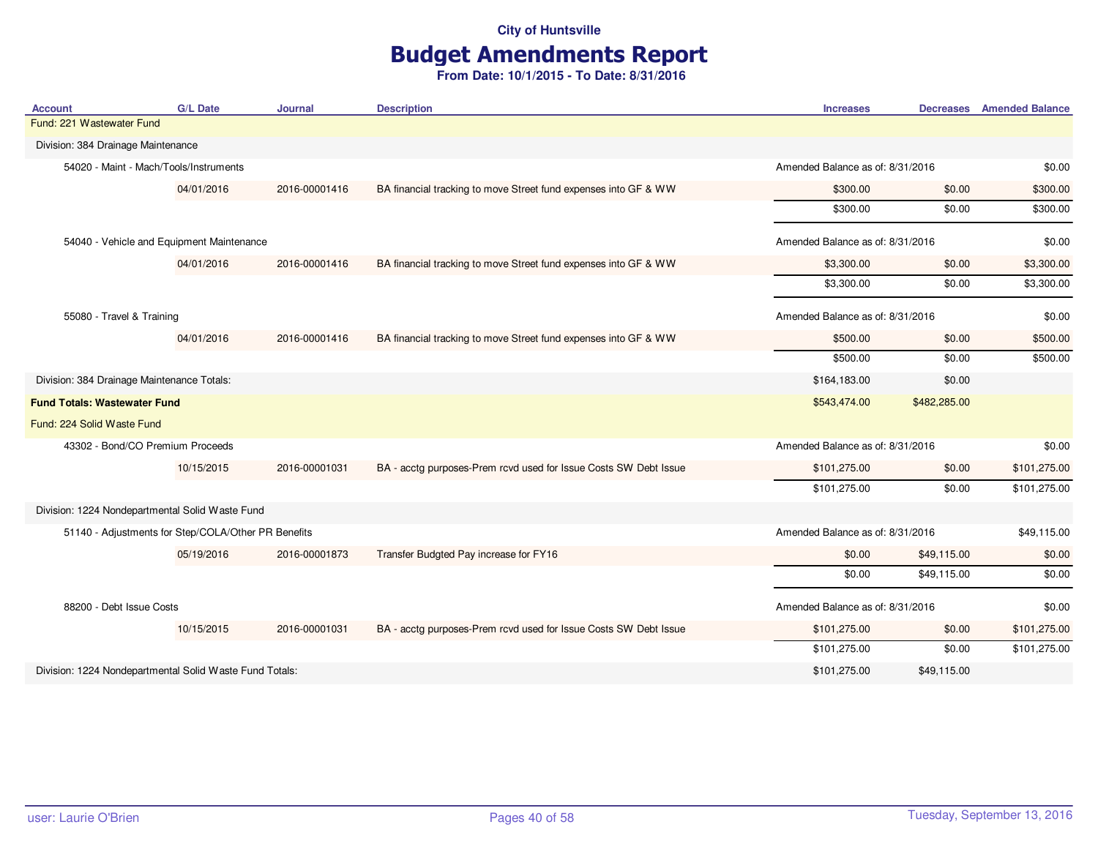## Budget Amendments Report

| <b>Account</b>                                          | <b>G/L Date</b> | <b>Journal</b> | <b>Description</b>                                               | <b>Increases</b>                 |              | <b>Decreases</b> Amended Balance |
|---------------------------------------------------------|-----------------|----------------|------------------------------------------------------------------|----------------------------------|--------------|----------------------------------|
| Fund: 221 Wastewater Fund                               |                 |                |                                                                  |                                  |              |                                  |
| Division: 384 Drainage Maintenance                      |                 |                |                                                                  |                                  |              |                                  |
| 54020 - Maint - Mach/Tools/Instruments                  |                 |                |                                                                  | Amended Balance as of: 8/31/2016 |              | \$0.00                           |
|                                                         | 04/01/2016      | 2016-00001416  | BA financial tracking to move Street fund expenses into GF & WW  | \$300.00                         | \$0.00       | \$300.00                         |
|                                                         |                 |                |                                                                  | \$300.00                         | \$0.00       | \$300.00                         |
| 54040 - Vehicle and Equipment Maintenance               |                 |                |                                                                  | Amended Balance as of: 8/31/2016 |              | \$0.00                           |
|                                                         | 04/01/2016      | 2016-00001416  | BA financial tracking to move Street fund expenses into GF & WW  | \$3,300.00                       | \$0.00       | \$3,300.00                       |
|                                                         |                 |                |                                                                  | \$3,300.00                       | \$0.00       | \$3,300.00                       |
| 55080 - Travel & Training                               |                 |                |                                                                  | Amended Balance as of: 8/31/2016 |              | \$0.00                           |
|                                                         | 04/01/2016      | 2016-00001416  | BA financial tracking to move Street fund expenses into GF & WW  | \$500.00                         | \$0.00       | \$500.00                         |
|                                                         |                 |                |                                                                  | \$500.00                         | \$0.00       | \$500.00                         |
| Division: 384 Drainage Maintenance Totals:              |                 |                |                                                                  | \$164,183.00                     | \$0.00       |                                  |
| <b>Fund Totals: Wastewater Fund</b>                     |                 |                |                                                                  | \$543,474.00                     | \$482,285.00 |                                  |
| Fund: 224 Solid Waste Fund                              |                 |                |                                                                  |                                  |              |                                  |
| 43302 - Bond/CO Premium Proceeds                        |                 |                |                                                                  | Amended Balance as of: 8/31/2016 |              | \$0.00                           |
|                                                         | 10/15/2015      | 2016-00001031  | BA - acctg purposes-Prem rcvd used for Issue Costs SW Debt Issue | \$101,275.00                     | \$0.00       | \$101,275.00                     |
|                                                         |                 |                |                                                                  | \$101,275.00                     | \$0.00       | \$101,275.00                     |
| Division: 1224 Nondepartmental Solid Waste Fund         |                 |                |                                                                  |                                  |              |                                  |
| 51140 - Adjustments for Step/COLA/Other PR Benefits     |                 |                |                                                                  | Amended Balance as of: 8/31/2016 |              | \$49,115.00                      |
|                                                         | 05/19/2016      | 2016-00001873  | Transfer Budgted Pay increase for FY16                           | \$0.00                           | \$49,115.00  | \$0.00                           |
|                                                         |                 |                |                                                                  | \$0.00                           | \$49,115.00  | \$0.00                           |
| 88200 - Debt Issue Costs                                |                 |                |                                                                  | Amended Balance as of: 8/31/2016 |              | \$0.00                           |
|                                                         | 10/15/2015      | 2016-00001031  | BA - acctg purposes-Prem rcvd used for Issue Costs SW Debt Issue | \$101,275.00                     | \$0.00       | \$101,275.00                     |
|                                                         |                 |                |                                                                  | \$101,275.00                     | \$0.00       | \$101,275.00                     |
| Division: 1224 Nondepartmental Solid Waste Fund Totals: |                 |                |                                                                  | \$101,275.00                     | \$49,115.00  |                                  |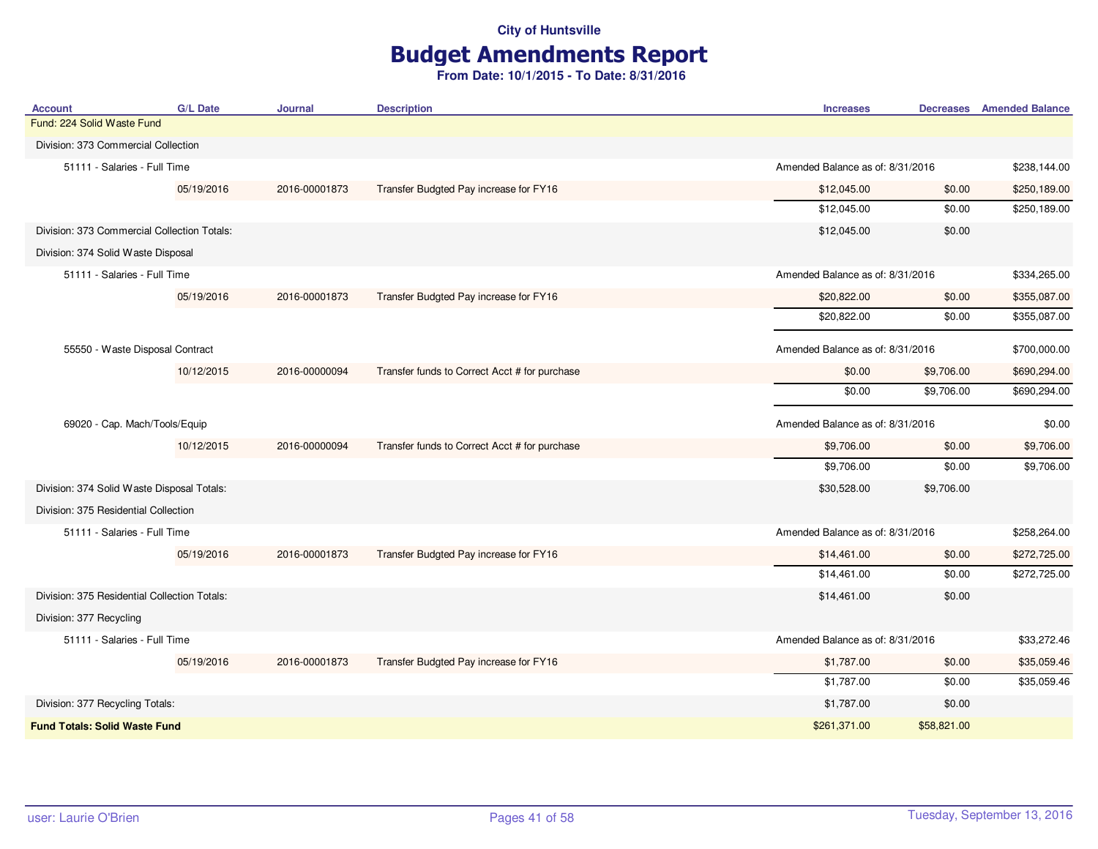# Budget Amendments Report

| <b>Account</b>                               | <b>G/L Date</b> | Journal       | <b>Description</b>                            | <b>Increases</b>                 |             | <b>Decreases</b> Amended Balance |
|----------------------------------------------|-----------------|---------------|-----------------------------------------------|----------------------------------|-------------|----------------------------------|
| Fund: 224 Solid Waste Fund                   |                 |               |                                               |                                  |             |                                  |
| Division: 373 Commercial Collection          |                 |               |                                               |                                  |             |                                  |
| 51111 - Salaries - Full Time                 |                 |               |                                               | Amended Balance as of: 8/31/2016 |             | \$238,144.00                     |
|                                              | 05/19/2016      | 2016-00001873 | Transfer Budgted Pay increase for FY16        | \$12,045.00                      | \$0.00      | \$250,189.00                     |
|                                              |                 |               |                                               | \$12,045.00                      | \$0.00      | \$250,189.00                     |
| Division: 373 Commercial Collection Totals:  |                 |               |                                               | \$12,045.00                      | \$0.00      |                                  |
| Division: 374 Solid Waste Disposal           |                 |               |                                               |                                  |             |                                  |
| 51111 - Salaries - Full Time                 |                 |               |                                               | Amended Balance as of: 8/31/2016 |             | \$334,265.00                     |
|                                              | 05/19/2016      | 2016-00001873 | Transfer Budgted Pay increase for FY16        | \$20,822.00                      | \$0.00      | \$355,087.00                     |
|                                              |                 |               |                                               | \$20,822.00                      | \$0.00      | \$355,087.00                     |
| 55550 - Waste Disposal Contract              |                 |               |                                               | Amended Balance as of: 8/31/2016 |             | \$700,000.00                     |
|                                              | 10/12/2015      | 2016-00000094 | Transfer funds to Correct Acct # for purchase | \$0.00                           | \$9,706.00  | \$690,294.00                     |
|                                              |                 |               |                                               | \$0.00                           | \$9,706.00  | \$690,294.00                     |
|                                              |                 |               |                                               |                                  |             |                                  |
| 69020 - Cap. Mach/Tools/Equip                |                 |               |                                               | Amended Balance as of: 8/31/2016 |             | \$0.00                           |
|                                              | 10/12/2015      | 2016-00000094 | Transfer funds to Correct Acct # for purchase | \$9,706.00                       | \$0.00      | \$9,706.00                       |
|                                              |                 |               |                                               | \$9,706.00                       | \$0.00      | \$9,706.00                       |
| Division: 374 Solid Waste Disposal Totals:   |                 |               |                                               | \$30,528.00                      | \$9,706.00  |                                  |
| Division: 375 Residential Collection         |                 |               |                                               |                                  |             |                                  |
| 51111 - Salaries - Full Time                 |                 |               |                                               | Amended Balance as of: 8/31/2016 |             | \$258,264.00                     |
|                                              | 05/19/2016      | 2016-00001873 | Transfer Budgted Pay increase for FY16        | \$14,461.00                      | \$0.00      | \$272,725.00                     |
|                                              |                 |               |                                               | \$14,461.00                      | \$0.00      | \$272,725.00                     |
| Division: 375 Residential Collection Totals: |                 |               |                                               | \$14,461.00                      | \$0.00      |                                  |
| Division: 377 Recycling                      |                 |               |                                               |                                  |             |                                  |
| 51111 - Salaries - Full Time                 |                 |               |                                               | Amended Balance as of: 8/31/2016 |             | \$33,272.46                      |
|                                              | 05/19/2016      | 2016-00001873 | Transfer Budgted Pay increase for FY16        | \$1,787.00                       | \$0.00      | \$35,059.46                      |
|                                              |                 |               |                                               | \$1,787.00                       | \$0.00      | \$35,059.46                      |
| Division: 377 Recycling Totals:              |                 |               |                                               | \$1,787.00                       | \$0.00      |                                  |
| <b>Fund Totals: Solid Waste Fund</b>         |                 |               |                                               | \$261,371.00                     | \$58,821.00 |                                  |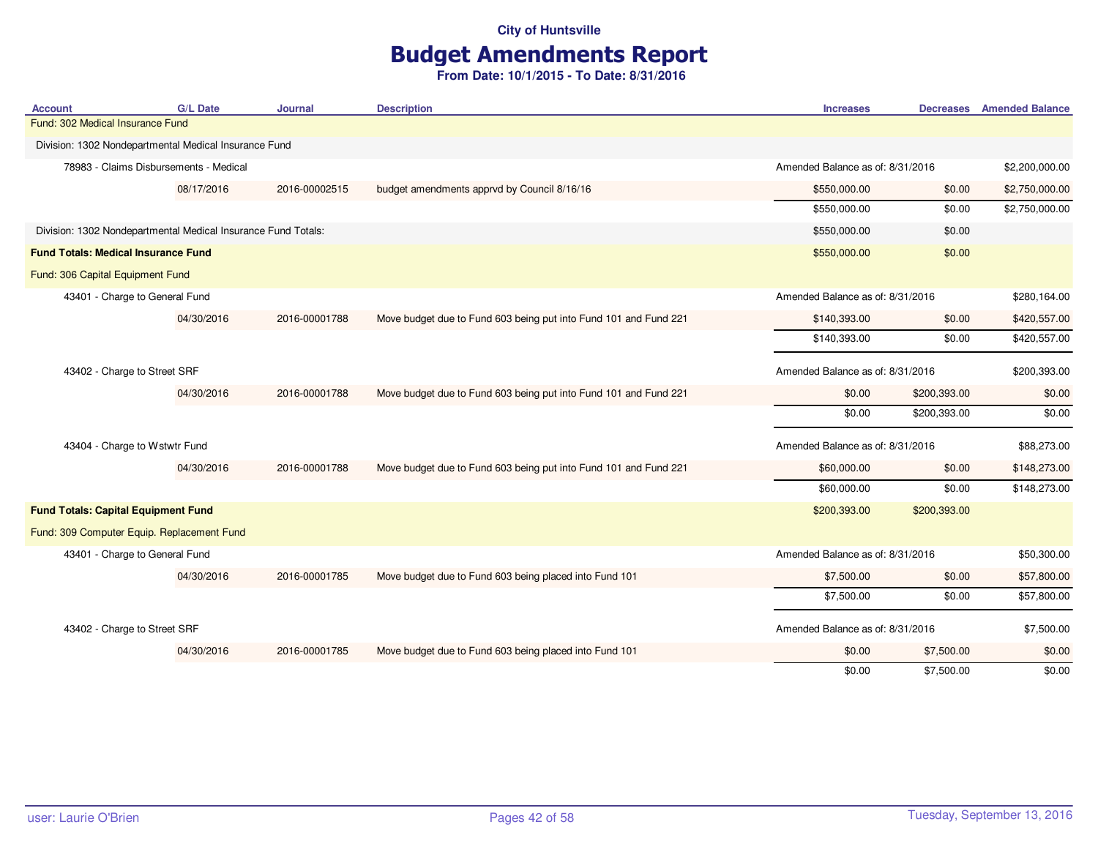# Budget Amendments Report

| <b>Account</b>                                                | <b>G/L Date</b> | <b>Journal</b> | <b>Description</b>                                               | <b>Increases</b>                 |              | <b>Decreases</b> Amended Balance |
|---------------------------------------------------------------|-----------------|----------------|------------------------------------------------------------------|----------------------------------|--------------|----------------------------------|
| Fund: 302 Medical Insurance Fund                              |                 |                |                                                                  |                                  |              |                                  |
| Division: 1302 Nondepartmental Medical Insurance Fund         |                 |                |                                                                  |                                  |              |                                  |
| 78983 - Claims Disbursements - Medical                        |                 |                |                                                                  | Amended Balance as of: 8/31/2016 |              | \$2,200,000.00                   |
|                                                               | 08/17/2016      | 2016-00002515  | budget amendments apprvd by Council 8/16/16                      | \$550,000.00                     | \$0.00       | \$2,750,000.00                   |
|                                                               |                 |                |                                                                  | \$550,000.00                     | \$0.00       | \$2,750,000.00                   |
| Division: 1302 Nondepartmental Medical Insurance Fund Totals: |                 |                |                                                                  | \$550,000.00                     | \$0.00       |                                  |
| <b>Fund Totals: Medical Insurance Fund</b>                    |                 |                |                                                                  | \$550,000.00                     | \$0.00       |                                  |
| Fund: 306 Capital Equipment Fund                              |                 |                |                                                                  |                                  |              |                                  |
| 43401 - Charge to General Fund                                |                 |                |                                                                  | Amended Balance as of: 8/31/2016 |              | \$280,164.00                     |
|                                                               | 04/30/2016      | 2016-00001788  | Move budget due to Fund 603 being put into Fund 101 and Fund 221 | \$140,393.00                     | \$0.00       | \$420,557.00                     |
|                                                               |                 |                |                                                                  | \$140,393.00                     | \$0.00       | \$420,557.00                     |
|                                                               |                 |                |                                                                  | Amended Balance as of: 8/31/2016 |              |                                  |
| 43402 - Charge to Street SRF                                  |                 |                |                                                                  |                                  |              | \$200,393.00                     |
|                                                               | 04/30/2016      | 2016-00001788  | Move budget due to Fund 603 being put into Fund 101 and Fund 221 | \$0.00                           | \$200,393.00 | \$0.00                           |
|                                                               |                 |                |                                                                  | \$0.00                           | \$200,393.00 | \$0.00                           |
| 43404 - Charge to Wstwtr Fund                                 |                 |                |                                                                  | Amended Balance as of: 8/31/2016 |              | \$88,273.00                      |
|                                                               | 04/30/2016      | 2016-00001788  | Move budget due to Fund 603 being put into Fund 101 and Fund 221 | \$60,000.00                      | \$0.00       | \$148,273.00                     |
|                                                               |                 |                |                                                                  | \$60,000.00                      | \$0.00       | \$148,273.00                     |
| <b>Fund Totals: Capital Equipment Fund</b>                    |                 |                |                                                                  | \$200,393.00                     | \$200,393.00 |                                  |
| Fund: 309 Computer Equip. Replacement Fund                    |                 |                |                                                                  |                                  |              |                                  |
| 43401 - Charge to General Fund                                |                 |                |                                                                  | Amended Balance as of: 8/31/2016 |              | \$50,300.00                      |
|                                                               | 04/30/2016      | 2016-00001785  | Move budget due to Fund 603 being placed into Fund 101           | \$7,500.00                       | \$0.00       | \$57,800.00                      |
|                                                               |                 |                |                                                                  | \$7,500.00                       | \$0.00       | \$57,800.00                      |
| 43402 - Charge to Street SRF                                  |                 |                |                                                                  | Amended Balance as of: 8/31/2016 |              | \$7,500.00                       |
|                                                               | 04/30/2016      | 2016-00001785  | Move budget due to Fund 603 being placed into Fund 101           | \$0.00                           | \$7,500.00   | \$0.00                           |
|                                                               |                 |                |                                                                  | \$0.00                           | \$7,500.00   | \$0.00                           |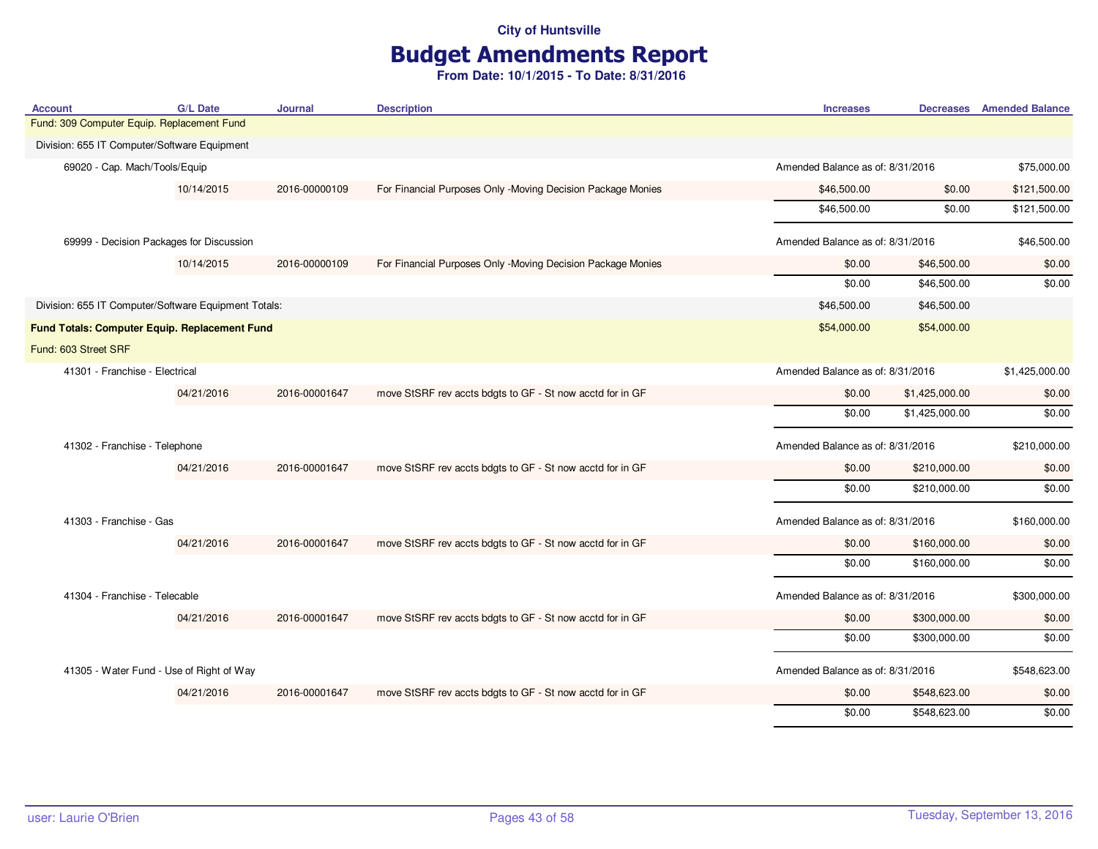## Budget Amendments Report

| Fund: 309 Computer Equip. Replacement Fund<br>Division: 655 IT Computer/Software Equipment<br>69020 - Cap. Mach/Tools/Equip<br>Amended Balance as of: 8/31/2016<br>10/14/2015<br>2016-00000109<br>For Financial Purposes Only -Moving Decision Package Monies<br>\$46,500.00<br>\$0.00<br>\$46,500.00<br>\$0.00<br>69999 - Decision Packages for Discussion<br>Amended Balance as of: 8/31/2016<br>10/14/2015<br>For Financial Purposes Only -Moving Decision Package Monies<br>2016-00000109<br>\$0.00<br>\$46,500.00<br>\$46,500.00<br>\$0.00<br>Division: 655 IT Computer/Software Equipment Totals:<br>\$46,500.00<br>\$46,500.00<br>\$54,000.00<br><b>Fund Totals: Computer Equip. Replacement Fund</b><br>\$54,000.00<br>Fund: 603 Street SRF<br>41301 - Franchise - Electrical<br>Amended Balance as of: 8/31/2016<br>move StSRF rev accts bdgts to GF - St now acctd for in GF<br>04/21/2016<br>2016-00001647<br>\$0.00<br>\$1,425,000.00<br>\$0.00<br>\$1,425,000.00<br>41302 - Franchise - Telephone<br>Amended Balance as of: 8/31/2016<br>move StSRF rev accts bdgts to GF - St now acctd for in GF<br>04/21/2016<br>2016-00001647<br>\$0.00<br>\$210,000.00<br>\$0.00<br>\$210,000.00<br>41303 - Franchise - Gas<br>Amended Balance as of: 8/31/2016<br>move StSRF rev accts bdgts to GF - St now acctd for in GF<br>\$0.00<br>04/21/2016<br>2016-00001647<br>\$160,000.00<br>\$0.00<br>\$160,000.00<br>41304 - Franchise - Telecable<br>Amended Balance as of: 8/31/2016<br>move StSRF rev accts bdgts to GF - St now acctd for in GF<br>04/21/2016<br>2016-00001647<br>\$0.00<br>\$300,000.00<br>\$0.00<br>\$300,000.00<br>41305 - Water Fund - Use of Right of Way<br>Amended Balance as of: 8/31/2016<br>04/21/2016<br>2016-00001647<br>move StSRF rev accts bdgts to GF - St now acctd for in GF<br>\$0.00<br>\$548,623.00<br>\$548,623.00<br>\$0.00 | <b>Account</b> | <b>G/L Date</b> | <b>Journal</b> | <b>Description</b> | <b>Increases</b> |  | <b>Decreases</b> Amended Balance |
|------------------------------------------------------------------------------------------------------------------------------------------------------------------------------------------------------------------------------------------------------------------------------------------------------------------------------------------------------------------------------------------------------------------------------------------------------------------------------------------------------------------------------------------------------------------------------------------------------------------------------------------------------------------------------------------------------------------------------------------------------------------------------------------------------------------------------------------------------------------------------------------------------------------------------------------------------------------------------------------------------------------------------------------------------------------------------------------------------------------------------------------------------------------------------------------------------------------------------------------------------------------------------------------------------------------------------------------------------------------------------------------------------------------------------------------------------------------------------------------------------------------------------------------------------------------------------------------------------------------------------------------------------------------------------------------------------------------------------------------------------------------------------------------------------------------------------------------------------------------------|----------------|-----------------|----------------|--------------------|------------------|--|----------------------------------|
|                                                                                                                                                                                                                                                                                                                                                                                                                                                                                                                                                                                                                                                                                                                                                                                                                                                                                                                                                                                                                                                                                                                                                                                                                                                                                                                                                                                                                                                                                                                                                                                                                                                                                                                                                                                                                                                                        |                |                 |                |                    |                  |  |                                  |
|                                                                                                                                                                                                                                                                                                                                                                                                                                                                                                                                                                                                                                                                                                                                                                                                                                                                                                                                                                                                                                                                                                                                                                                                                                                                                                                                                                                                                                                                                                                                                                                                                                                                                                                                                                                                                                                                        |                |                 |                |                    |                  |  |                                  |
|                                                                                                                                                                                                                                                                                                                                                                                                                                                                                                                                                                                                                                                                                                                                                                                                                                                                                                                                                                                                                                                                                                                                                                                                                                                                                                                                                                                                                                                                                                                                                                                                                                                                                                                                                                                                                                                                        |                |                 |                |                    |                  |  | \$75,000.00                      |
|                                                                                                                                                                                                                                                                                                                                                                                                                                                                                                                                                                                                                                                                                                                                                                                                                                                                                                                                                                                                                                                                                                                                                                                                                                                                                                                                                                                                                                                                                                                                                                                                                                                                                                                                                                                                                                                                        |                |                 |                |                    |                  |  | \$121,500.00                     |
|                                                                                                                                                                                                                                                                                                                                                                                                                                                                                                                                                                                                                                                                                                                                                                                                                                                                                                                                                                                                                                                                                                                                                                                                                                                                                                                                                                                                                                                                                                                                                                                                                                                                                                                                                                                                                                                                        |                |                 |                |                    |                  |  | \$121,500.00                     |
|                                                                                                                                                                                                                                                                                                                                                                                                                                                                                                                                                                                                                                                                                                                                                                                                                                                                                                                                                                                                                                                                                                                                                                                                                                                                                                                                                                                                                                                                                                                                                                                                                                                                                                                                                                                                                                                                        |                |                 |                |                    |                  |  | \$46,500.00                      |
|                                                                                                                                                                                                                                                                                                                                                                                                                                                                                                                                                                                                                                                                                                                                                                                                                                                                                                                                                                                                                                                                                                                                                                                                                                                                                                                                                                                                                                                                                                                                                                                                                                                                                                                                                                                                                                                                        |                |                 |                |                    |                  |  | \$0.00                           |
|                                                                                                                                                                                                                                                                                                                                                                                                                                                                                                                                                                                                                                                                                                                                                                                                                                                                                                                                                                                                                                                                                                                                                                                                                                                                                                                                                                                                                                                                                                                                                                                                                                                                                                                                                                                                                                                                        |                |                 |                |                    |                  |  | \$0.00                           |
|                                                                                                                                                                                                                                                                                                                                                                                                                                                                                                                                                                                                                                                                                                                                                                                                                                                                                                                                                                                                                                                                                                                                                                                                                                                                                                                                                                                                                                                                                                                                                                                                                                                                                                                                                                                                                                                                        |                |                 |                |                    |                  |  |                                  |
|                                                                                                                                                                                                                                                                                                                                                                                                                                                                                                                                                                                                                                                                                                                                                                                                                                                                                                                                                                                                                                                                                                                                                                                                                                                                                                                                                                                                                                                                                                                                                                                                                                                                                                                                                                                                                                                                        |                |                 |                |                    |                  |  |                                  |
|                                                                                                                                                                                                                                                                                                                                                                                                                                                                                                                                                                                                                                                                                                                                                                                                                                                                                                                                                                                                                                                                                                                                                                                                                                                                                                                                                                                                                                                                                                                                                                                                                                                                                                                                                                                                                                                                        |                |                 |                |                    |                  |  |                                  |
|                                                                                                                                                                                                                                                                                                                                                                                                                                                                                                                                                                                                                                                                                                                                                                                                                                                                                                                                                                                                                                                                                                                                                                                                                                                                                                                                                                                                                                                                                                                                                                                                                                                                                                                                                                                                                                                                        |                |                 |                |                    |                  |  | \$1,425,000.00                   |
|                                                                                                                                                                                                                                                                                                                                                                                                                                                                                                                                                                                                                                                                                                                                                                                                                                                                                                                                                                                                                                                                                                                                                                                                                                                                                                                                                                                                                                                                                                                                                                                                                                                                                                                                                                                                                                                                        |                |                 |                |                    |                  |  | \$0.00                           |
|                                                                                                                                                                                                                                                                                                                                                                                                                                                                                                                                                                                                                                                                                                                                                                                                                                                                                                                                                                                                                                                                                                                                                                                                                                                                                                                                                                                                                                                                                                                                                                                                                                                                                                                                                                                                                                                                        |                |                 |                |                    |                  |  | \$0.00                           |
|                                                                                                                                                                                                                                                                                                                                                                                                                                                                                                                                                                                                                                                                                                                                                                                                                                                                                                                                                                                                                                                                                                                                                                                                                                                                                                                                                                                                                                                                                                                                                                                                                                                                                                                                                                                                                                                                        |                |                 |                |                    |                  |  | \$210,000.00                     |
|                                                                                                                                                                                                                                                                                                                                                                                                                                                                                                                                                                                                                                                                                                                                                                                                                                                                                                                                                                                                                                                                                                                                                                                                                                                                                                                                                                                                                                                                                                                                                                                                                                                                                                                                                                                                                                                                        |                |                 |                |                    |                  |  | \$0.00                           |
|                                                                                                                                                                                                                                                                                                                                                                                                                                                                                                                                                                                                                                                                                                                                                                                                                                                                                                                                                                                                                                                                                                                                                                                                                                                                                                                                                                                                                                                                                                                                                                                                                                                                                                                                                                                                                                                                        |                |                 |                |                    |                  |  | \$0.00                           |
|                                                                                                                                                                                                                                                                                                                                                                                                                                                                                                                                                                                                                                                                                                                                                                                                                                                                                                                                                                                                                                                                                                                                                                                                                                                                                                                                                                                                                                                                                                                                                                                                                                                                                                                                                                                                                                                                        |                |                 |                |                    |                  |  | \$160,000.00                     |
|                                                                                                                                                                                                                                                                                                                                                                                                                                                                                                                                                                                                                                                                                                                                                                                                                                                                                                                                                                                                                                                                                                                                                                                                                                                                                                                                                                                                                                                                                                                                                                                                                                                                                                                                                                                                                                                                        |                |                 |                |                    |                  |  | \$0.00                           |
|                                                                                                                                                                                                                                                                                                                                                                                                                                                                                                                                                                                                                                                                                                                                                                                                                                                                                                                                                                                                                                                                                                                                                                                                                                                                                                                                                                                                                                                                                                                                                                                                                                                                                                                                                                                                                                                                        |                |                 |                |                    |                  |  | \$0.00                           |
|                                                                                                                                                                                                                                                                                                                                                                                                                                                                                                                                                                                                                                                                                                                                                                                                                                                                                                                                                                                                                                                                                                                                                                                                                                                                                                                                                                                                                                                                                                                                                                                                                                                                                                                                                                                                                                                                        |                |                 |                |                    |                  |  | \$300,000.00                     |
|                                                                                                                                                                                                                                                                                                                                                                                                                                                                                                                                                                                                                                                                                                                                                                                                                                                                                                                                                                                                                                                                                                                                                                                                                                                                                                                                                                                                                                                                                                                                                                                                                                                                                                                                                                                                                                                                        |                |                 |                |                    |                  |  | \$0.00                           |
|                                                                                                                                                                                                                                                                                                                                                                                                                                                                                                                                                                                                                                                                                                                                                                                                                                                                                                                                                                                                                                                                                                                                                                                                                                                                                                                                                                                                                                                                                                                                                                                                                                                                                                                                                                                                                                                                        |                |                 |                |                    |                  |  | \$0.00                           |
|                                                                                                                                                                                                                                                                                                                                                                                                                                                                                                                                                                                                                                                                                                                                                                                                                                                                                                                                                                                                                                                                                                                                                                                                                                                                                                                                                                                                                                                                                                                                                                                                                                                                                                                                                                                                                                                                        |                |                 |                |                    |                  |  | \$548,623.00                     |
|                                                                                                                                                                                                                                                                                                                                                                                                                                                                                                                                                                                                                                                                                                                                                                                                                                                                                                                                                                                                                                                                                                                                                                                                                                                                                                                                                                                                                                                                                                                                                                                                                                                                                                                                                                                                                                                                        |                |                 |                |                    |                  |  | \$0.00                           |
|                                                                                                                                                                                                                                                                                                                                                                                                                                                                                                                                                                                                                                                                                                                                                                                                                                                                                                                                                                                                                                                                                                                                                                                                                                                                                                                                                                                                                                                                                                                                                                                                                                                                                                                                                                                                                                                                        |                |                 |                |                    |                  |  | \$0.00                           |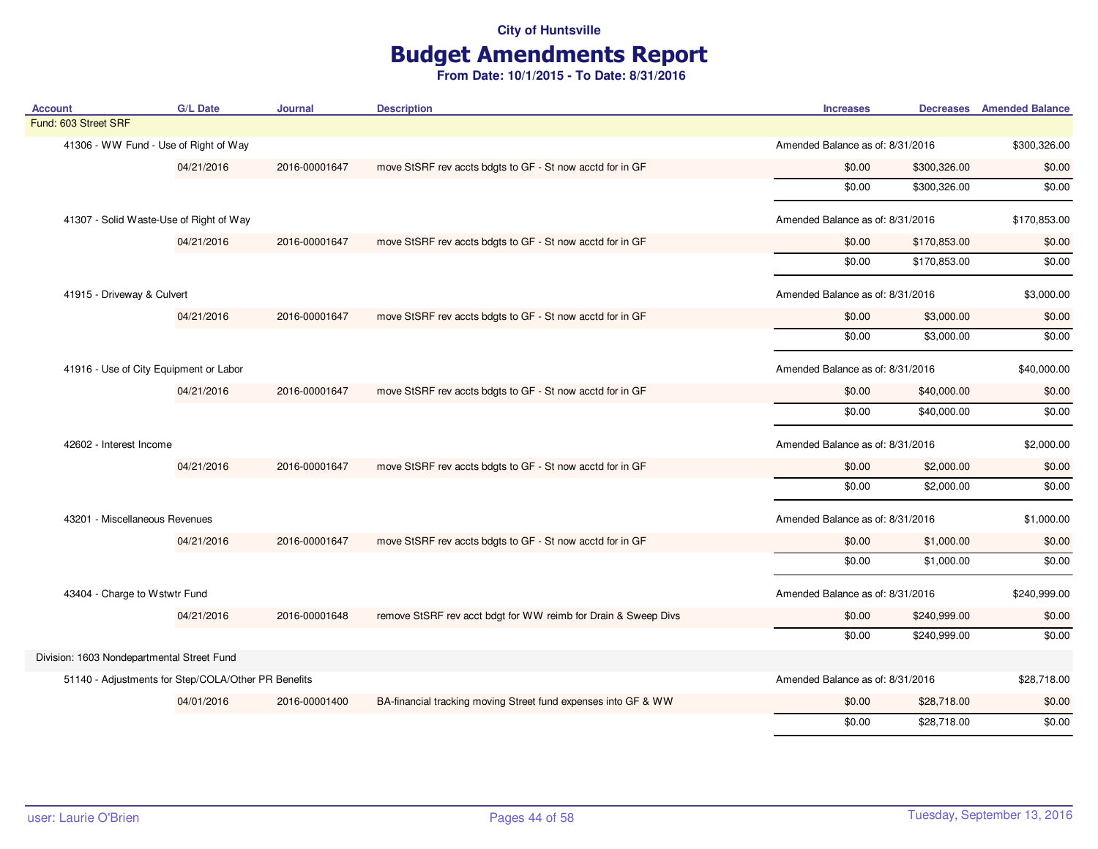## Budget Amendments Report

| <b>Account</b>                             | <b>G/L Date</b>                                     | Journal       | <b>Description</b>                                             | <b>Increases</b>                 |              | <b>Decreases</b> Amended Balance |
|--------------------------------------------|-----------------------------------------------------|---------------|----------------------------------------------------------------|----------------------------------|--------------|----------------------------------|
| Fund: 603 Street SRF                       |                                                     |               |                                                                |                                  |              |                                  |
| 41306 - WW Fund - Use of Right of Way      |                                                     |               |                                                                | Amended Balance as of: 8/31/2016 |              | \$300,326.00                     |
|                                            | 04/21/2016                                          | 2016-00001647 | move StSRF rev accts bdgts to GF - St now acctd for in GF      | \$0.00                           | \$300,326.00 | \$0.00                           |
|                                            |                                                     |               |                                                                | \$0.00                           | \$300,326.00 | \$0.00                           |
| 41307 - Solid Waste-Use of Right of Way    |                                                     |               |                                                                | Amended Balance as of: 8/31/2016 |              | \$170,853.00                     |
|                                            | 04/21/2016                                          | 2016-00001647 | move StSRF rev accts bdgts to GF - St now acctd for in GF      | \$0.00                           | \$170,853.00 | \$0.00                           |
|                                            |                                                     |               |                                                                | \$0.00                           | \$170,853.00 | \$0.00                           |
| 41915 - Driveway & Culvert                 |                                                     |               |                                                                | Amended Balance as of: 8/31/2016 |              | \$3,000.00                       |
|                                            | 04/21/2016                                          | 2016-00001647 | move StSRF rev accts bdgts to GF - St now acctd for in GF      | \$0.00                           | \$3,000.00   | \$0.00                           |
|                                            |                                                     |               |                                                                | \$0.00                           | \$3,000.00   | \$0.00                           |
| 41916 - Use of City Equipment or Labor     |                                                     |               |                                                                | Amended Balance as of: 8/31/2016 |              | \$40,000.00                      |
|                                            | 04/21/2016                                          | 2016-00001647 | move StSRF rev accts bdgts to GF - St now acctd for in GF      | \$0.00                           | \$40,000.00  | \$0.00                           |
|                                            |                                                     |               |                                                                | \$0.00                           | \$40,000.00  | \$0.00                           |
| 42602 - Interest Income                    |                                                     |               |                                                                | Amended Balance as of: 8/31/2016 |              | \$2,000.00                       |
|                                            | 04/21/2016                                          | 2016-00001647 | move StSRF rev accts bdgts to GF - St now acctd for in GF      | \$0.00                           | \$2,000.00   | \$0.00                           |
|                                            |                                                     |               |                                                                | \$0.00                           | \$2,000.00   | \$0.00                           |
| 43201 - Miscellaneous Revenues             |                                                     |               |                                                                | Amended Balance as of: 8/31/2016 |              | \$1,000.00                       |
|                                            | 04/21/2016                                          | 2016-00001647 | move StSRF rev accts bdgts to GF - St now acctd for in GF      | \$0.00                           | \$1,000.00   | \$0.00                           |
|                                            |                                                     |               |                                                                | \$0.00                           | \$1,000.00   | \$0.00                           |
| 43404 - Charge to Wstwtr Fund              |                                                     |               |                                                                | Amended Balance as of: 8/31/2016 |              | \$240,999.00                     |
|                                            | 04/21/2016                                          | 2016-00001648 | remove StSRF rev acct bdgt for WW reimb for Drain & Sweep Divs | \$0.00                           | \$240,999.00 | \$0.00                           |
|                                            |                                                     |               |                                                                | \$0.00                           | \$240,999.00 | \$0.00                           |
| Division: 1603 Nondepartmental Street Fund |                                                     |               |                                                                |                                  |              |                                  |
|                                            | 51140 - Adjustments for Step/COLA/Other PR Benefits |               |                                                                | Amended Balance as of: 8/31/2016 |              | \$28,718.00                      |
|                                            | 04/01/2016                                          | 2016-00001400 | BA-financial tracking moving Street fund expenses into GF & WW | \$0.00                           | \$28,718.00  | \$0.00                           |
|                                            |                                                     |               |                                                                | \$0.00                           | \$28,718.00  | \$0.00                           |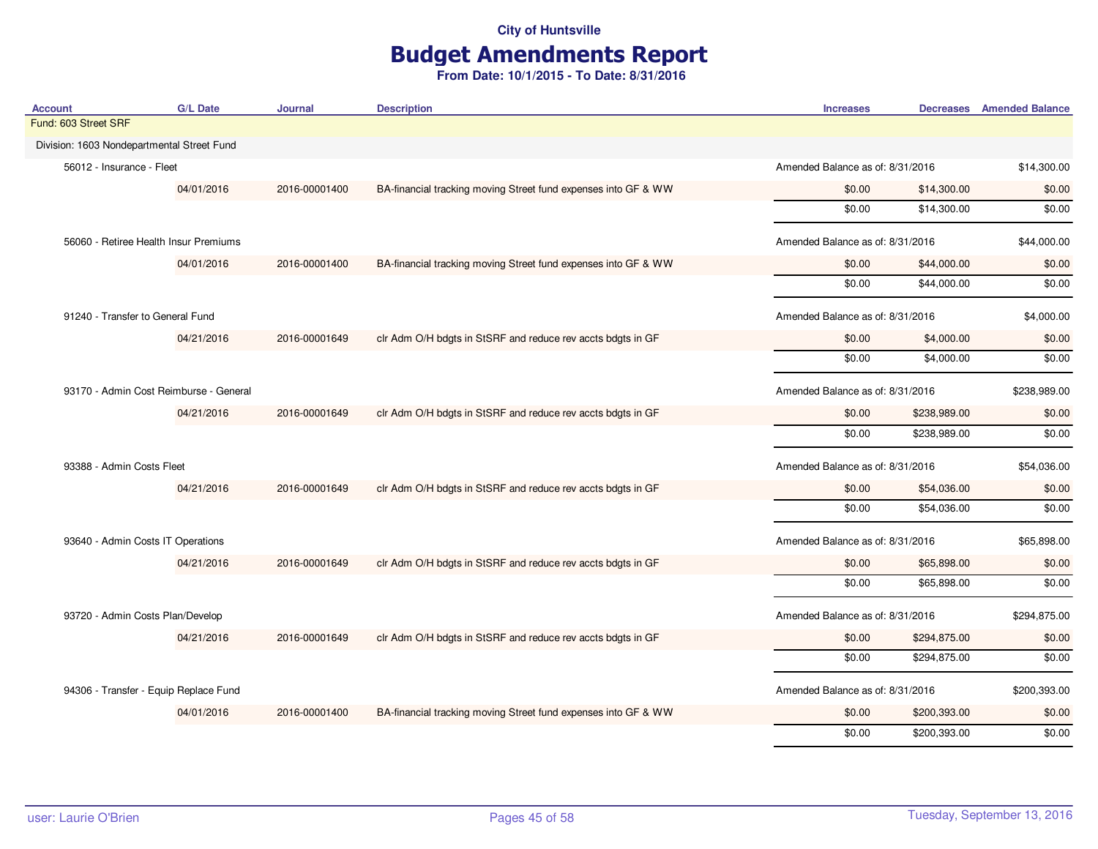## Budget Amendments Report

| <b>Account</b>                             | <b>G/L Date</b> | <b>Journal</b> | <b>Description</b>                                             | <b>Increases</b>                 |                                  | <b>Decreases</b> Amended Balance |
|--------------------------------------------|-----------------|----------------|----------------------------------------------------------------|----------------------------------|----------------------------------|----------------------------------|
| Fund: 603 Street SRF                       |                 |                |                                                                |                                  |                                  |                                  |
| Division: 1603 Nondepartmental Street Fund |                 |                |                                                                |                                  |                                  |                                  |
| 56012 - Insurance - Fleet                  |                 |                |                                                                |                                  | Amended Balance as of: 8/31/2016 |                                  |
|                                            | 04/01/2016      | 2016-00001400  | BA-financial tracking moving Street fund expenses into GF & WW | \$0.00                           | \$14,300.00                      | \$0.00                           |
|                                            |                 |                |                                                                | \$0.00                           | \$14,300.00                      | \$0.00                           |
| 56060 - Retiree Health Insur Premiums      |                 |                |                                                                | Amended Balance as of: 8/31/2016 |                                  | \$44,000.00                      |
|                                            | 04/01/2016      | 2016-00001400  | BA-financial tracking moving Street fund expenses into GF & WW | \$0.00                           | \$44,000.00                      | \$0.00                           |
|                                            |                 |                |                                                                | \$0.00                           | \$44,000.00                      | \$0.00                           |
| 91240 - Transfer to General Fund           |                 |                |                                                                | Amended Balance as of: 8/31/2016 |                                  | \$4,000.00                       |
|                                            | 04/21/2016      | 2016-00001649  | clr Adm O/H bdgts in StSRF and reduce rev accts bdgts in GF    | \$0.00                           | \$4,000.00                       | \$0.00                           |
|                                            |                 |                |                                                                | \$0.00                           | \$4,000.00                       | \$0.00                           |
| 93170 - Admin Cost Reimburse - General     |                 |                |                                                                | Amended Balance as of: 8/31/2016 |                                  | \$238,989.00                     |
|                                            | 04/21/2016      | 2016-00001649  | clr Adm O/H bdgts in StSRF and reduce rev accts bdgts in GF    | \$0.00                           | \$238,989.00                     | \$0.00                           |
|                                            |                 |                |                                                                | \$0.00                           | \$238,989.00                     | \$0.00                           |
| 93388 - Admin Costs Fleet                  |                 |                |                                                                | Amended Balance as of: 8/31/2016 |                                  | \$54,036.00                      |
|                                            | 04/21/2016      | 2016-00001649  | clr Adm O/H bdgts in StSRF and reduce rev accts bdgts in GF    | \$0.00                           | \$54,036.00                      | \$0.00                           |
|                                            |                 |                |                                                                | \$0.00                           | \$54,036.00                      | \$0.00                           |
| 93640 - Admin Costs IT Operations          |                 |                |                                                                | Amended Balance as of: 8/31/2016 |                                  | \$65,898.00                      |
|                                            | 04/21/2016      | 2016-00001649  | clr Adm O/H bdgts in StSRF and reduce rev accts bdgts in GF    | \$0.00                           | \$65,898.00                      | \$0.00                           |
|                                            |                 |                |                                                                | \$0.00                           | \$65,898.00                      | \$0.00                           |
| 93720 - Admin Costs Plan/Develop           |                 |                |                                                                | Amended Balance as of: 8/31/2016 |                                  | \$294,875.00                     |
|                                            | 04/21/2016      | 2016-00001649  | clr Adm O/H bdgts in StSRF and reduce rev accts bdgts in GF    | \$0.00                           | \$294,875.00                     | \$0.00                           |
|                                            |                 |                |                                                                | \$0.00                           | \$294,875.00                     | \$0.00                           |
| 94306 - Transfer - Equip Replace Fund      |                 |                |                                                                | Amended Balance as of: 8/31/2016 |                                  | \$200,393.00                     |
|                                            | 04/01/2016      | 2016-00001400  | BA-financial tracking moving Street fund expenses into GF & WW | \$0.00                           | \$200,393.00                     | \$0.00                           |
|                                            |                 |                |                                                                | \$0.00                           | \$200,393.00                     | \$0.00                           |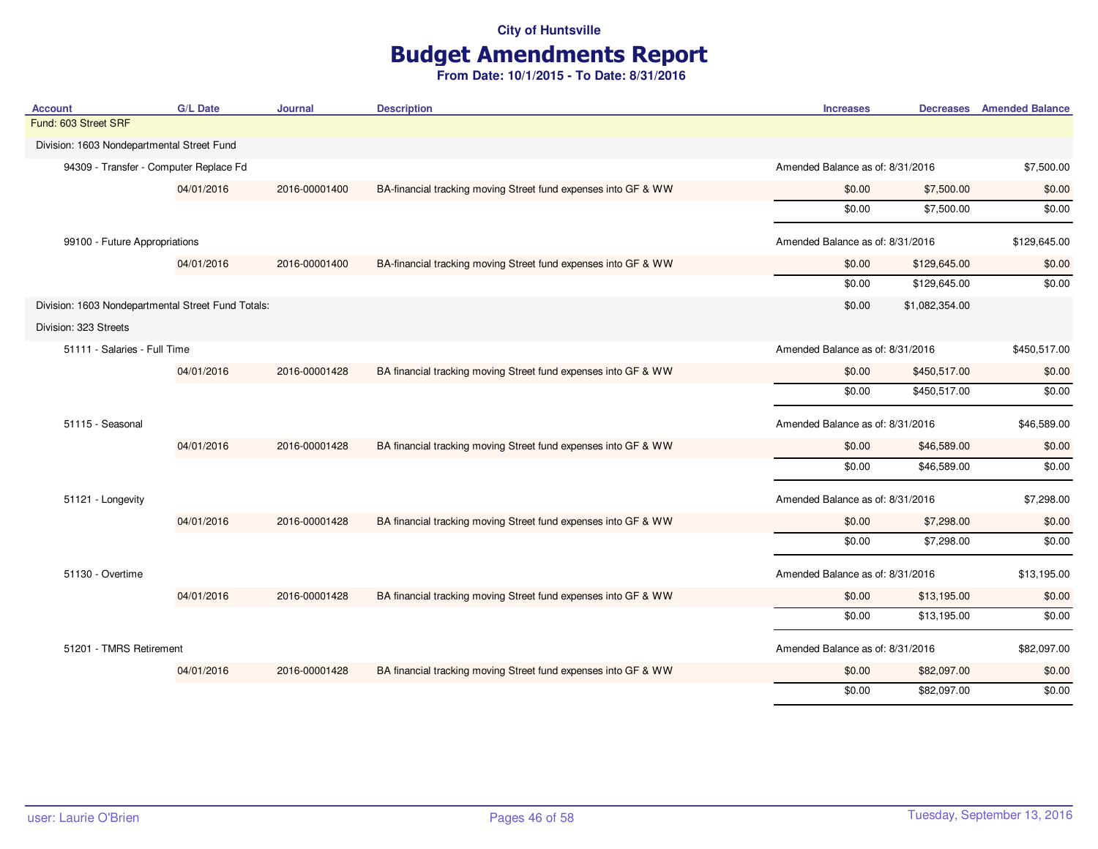## Budget Amendments Report

| <b>Account</b>                                     | <b>G/L Date</b> | <b>Journal</b> | <b>Description</b>                                             | <b>Increases</b>                 | <b>Decreases</b> Amended Balance |
|----------------------------------------------------|-----------------|----------------|----------------------------------------------------------------|----------------------------------|----------------------------------|
| Fund: 603 Street SRF                               |                 |                |                                                                |                                  |                                  |
| Division: 1603 Nondepartmental Street Fund         |                 |                |                                                                |                                  |                                  |
| 94309 - Transfer - Computer Replace Fd             |                 |                |                                                                | Amended Balance as of: 8/31/2016 | \$7,500.00                       |
|                                                    | 04/01/2016      | 2016-00001400  | BA-financial tracking moving Street fund expenses into GF & WW | \$7,500.00<br>\$0.00             | \$0.00                           |
|                                                    |                 |                |                                                                | \$7,500.00<br>\$0.00             | \$0.00                           |
| 99100 - Future Appropriations                      |                 |                |                                                                | Amended Balance as of: 8/31/2016 | \$129,645.00                     |
|                                                    | 04/01/2016      | 2016-00001400  | BA-financial tracking moving Street fund expenses into GF & WW | \$0.00<br>\$129,645.00           | \$0.00                           |
|                                                    |                 |                |                                                                | \$0.00<br>\$129,645.00           | \$0.00                           |
| Division: 1603 Nondepartmental Street Fund Totals: |                 |                |                                                                | \$0.00<br>\$1,082,354.00         |                                  |
| Division: 323 Streets                              |                 |                |                                                                |                                  |                                  |
| 51111 - Salaries - Full Time                       |                 |                |                                                                | Amended Balance as of: 8/31/2016 | \$450,517.00                     |
|                                                    | 04/01/2016      | 2016-00001428  | BA financial tracking moving Street fund expenses into GF & WW | \$0.00<br>\$450,517.00           | \$0.00                           |
|                                                    |                 |                |                                                                | \$0.00<br>\$450,517.00           | \$0.00                           |
| 51115 - Seasonal                                   |                 |                |                                                                | Amended Balance as of: 8/31/2016 | \$46,589.00                      |
|                                                    | 04/01/2016      | 2016-00001428  | BA financial tracking moving Street fund expenses into GF & WW | \$0.00<br>\$46,589.00            | \$0.00                           |
|                                                    |                 |                |                                                                | \$0.00<br>\$46,589.00            | \$0.00                           |
| 51121 - Longevity                                  |                 |                |                                                                | Amended Balance as of: 8/31/2016 | \$7,298.00                       |
|                                                    | 04/01/2016      | 2016-00001428  | BA financial tracking moving Street fund expenses into GF & WW | \$0.00<br>\$7,298.00             | \$0.00                           |
|                                                    |                 |                |                                                                | \$0.00<br>\$7,298.00             | \$0.00                           |
| 51130 - Overtime                                   |                 |                |                                                                | Amended Balance as of: 8/31/2016 | \$13,195.00                      |
|                                                    | 04/01/2016      | 2016-00001428  | BA financial tracking moving Street fund expenses into GF & WW | \$0.00<br>\$13,195.00            | \$0.00                           |
|                                                    |                 |                |                                                                | \$0.00<br>\$13,195.00            | \$0.00                           |
| 51201 - TMRS Retirement                            |                 |                |                                                                | Amended Balance as of: 8/31/2016 | \$82,097.00                      |
|                                                    | 04/01/2016      | 2016-00001428  | BA financial tracking moving Street fund expenses into GF & WW | \$82,097.00<br>\$0.00            | \$0.00                           |
|                                                    |                 |                |                                                                | \$0.00<br>\$82,097.00            | \$0.00                           |
|                                                    |                 |                |                                                                |                                  |                                  |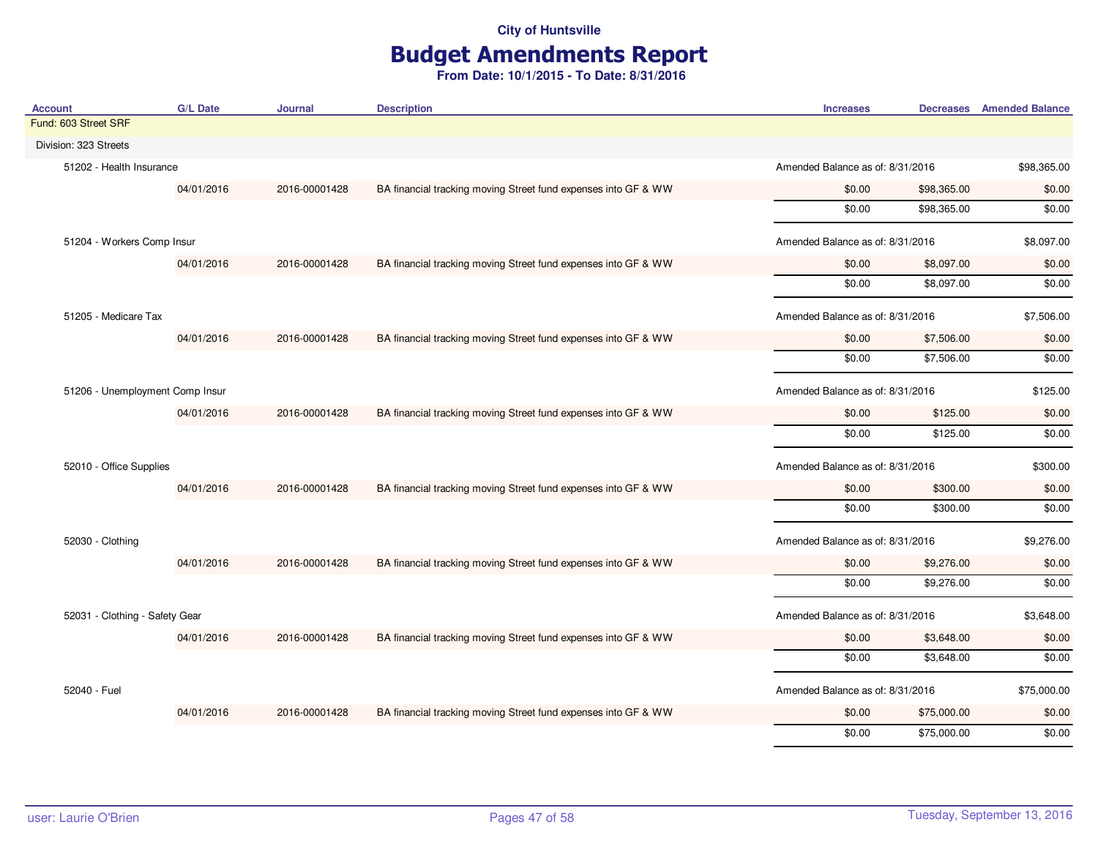## Budget Amendments Report

| <b>Account</b>                  | <b>G/L Date</b> | Journal       | <b>Description</b>                                             | <b>Increases</b>                 |             | <b>Decreases</b> Amended Balance |
|---------------------------------|-----------------|---------------|----------------------------------------------------------------|----------------------------------|-------------|----------------------------------|
| Fund: 603 Street SRF            |                 |               |                                                                |                                  |             |                                  |
| Division: 323 Streets           |                 |               |                                                                |                                  |             |                                  |
| 51202 - Health Insurance        |                 |               |                                                                | Amended Balance as of: 8/31/2016 |             | \$98,365.00                      |
|                                 | 04/01/2016      | 2016-00001428 | BA financial tracking moving Street fund expenses into GF & WW | \$0.00                           | \$98,365.00 | \$0.00                           |
|                                 |                 |               |                                                                | \$0.00                           | \$98,365.00 | \$0.00                           |
| 51204 - Workers Comp Insur      |                 |               |                                                                | Amended Balance as of: 8/31/2016 |             | \$8,097.00                       |
|                                 | 04/01/2016      | 2016-00001428 | BA financial tracking moving Street fund expenses into GF & WW | \$0.00                           | \$8,097.00  | \$0.00                           |
|                                 |                 |               |                                                                | \$0.00                           | \$8,097.00  | \$0.00                           |
| 51205 - Medicare Tax            |                 |               |                                                                | Amended Balance as of: 8/31/2016 |             | \$7,506.00                       |
|                                 | 04/01/2016      | 2016-00001428 | BA financial tracking moving Street fund expenses into GF & WW | \$0.00                           | \$7,506.00  | \$0.00                           |
|                                 |                 |               |                                                                | \$0.00                           | \$7,506.00  | \$0.00                           |
| 51206 - Unemployment Comp Insur |                 |               |                                                                | Amended Balance as of: 8/31/2016 |             | \$125.00                         |
|                                 | 04/01/2016      | 2016-00001428 | BA financial tracking moving Street fund expenses into GF & WW | \$0.00                           | \$125.00    | \$0.00                           |
|                                 |                 |               |                                                                | \$0.00                           | \$125.00    | \$0.00                           |
| 52010 - Office Supplies         |                 |               |                                                                | Amended Balance as of: 8/31/2016 |             | \$300.00                         |
|                                 | 04/01/2016      | 2016-00001428 | BA financial tracking moving Street fund expenses into GF & WW | \$0.00                           | \$300.00    | \$0.00                           |
|                                 |                 |               |                                                                | \$0.00                           | \$300.00    | \$0.00                           |
| 52030 - Clothing                |                 |               |                                                                | Amended Balance as of: 8/31/2016 |             | \$9,276.00                       |
|                                 | 04/01/2016      | 2016-00001428 | BA financial tracking moving Street fund expenses into GF & WW | \$0.00                           | \$9,276.00  | \$0.00                           |
|                                 |                 |               |                                                                | \$0.00                           | \$9,276.00  | \$0.00                           |
| 52031 - Clothing - Safety Gear  |                 |               |                                                                | Amended Balance as of: 8/31/2016 |             | \$3,648.00                       |
|                                 | 04/01/2016      | 2016-00001428 | BA financial tracking moving Street fund expenses into GF & WW | \$0.00                           | \$3,648.00  | \$0.00                           |
|                                 |                 |               |                                                                | \$0.00                           | \$3,648.00  | \$0.00                           |
| 52040 - Fuel                    |                 |               |                                                                | Amended Balance as of: 8/31/2016 |             | \$75,000.00                      |
|                                 | 04/01/2016      | 2016-00001428 | BA financial tracking moving Street fund expenses into GF & WW | \$0.00                           | \$75,000.00 | \$0.00                           |
|                                 |                 |               |                                                                | \$0.00                           | \$75,000.00 | \$0.00                           |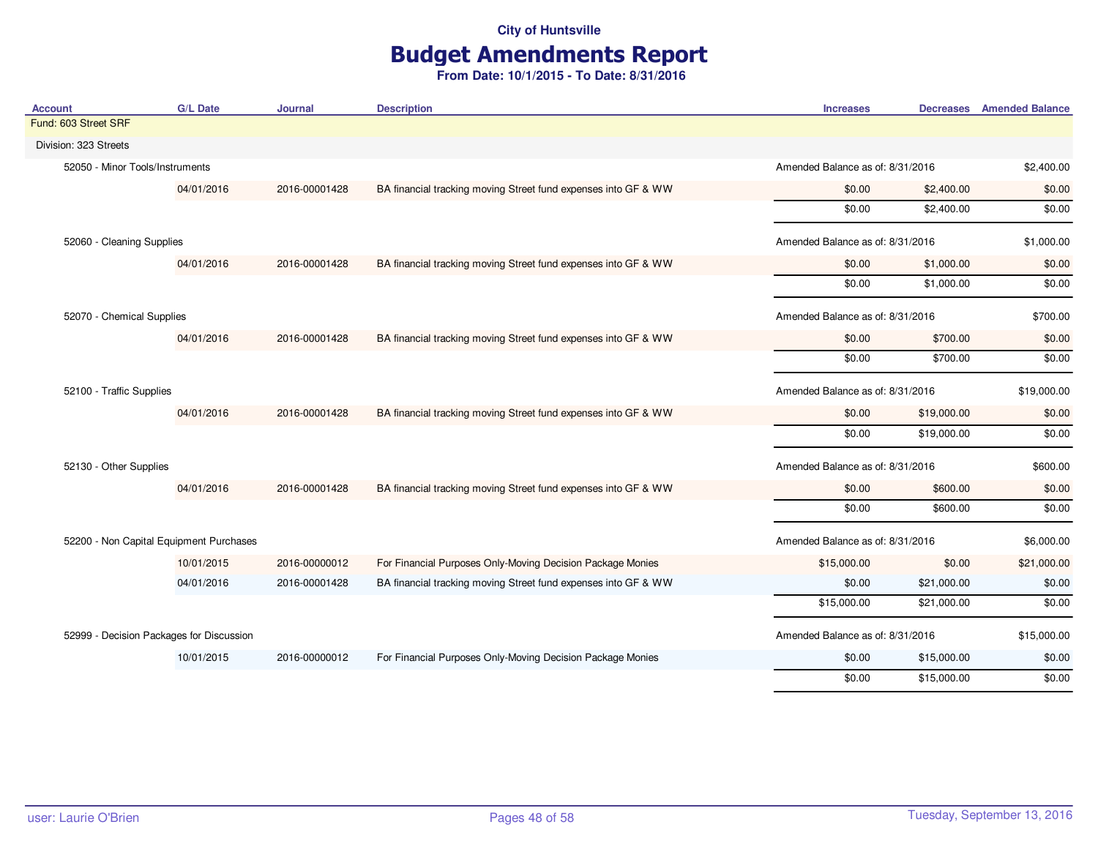# Budget Amendments Report

| Account                                  | <b>G/L Date</b> | Journal       | <b>Description</b>                                             | <b>Increases</b>                 |             | <b>Decreases</b> Amended Balance |
|------------------------------------------|-----------------|---------------|----------------------------------------------------------------|----------------------------------|-------------|----------------------------------|
| Fund: 603 Street SRF                     |                 |               |                                                                |                                  |             |                                  |
| Division: 323 Streets                    |                 |               |                                                                |                                  |             |                                  |
| 52050 - Minor Tools/Instruments          |                 |               |                                                                | Amended Balance as of: 8/31/2016 |             | \$2,400.00                       |
|                                          | 04/01/2016      | 2016-00001428 | BA financial tracking moving Street fund expenses into GF & WW | \$0.00                           | \$2,400.00  | \$0.00                           |
|                                          |                 |               |                                                                | \$0.00                           | \$2,400.00  | \$0.00                           |
| 52060 - Cleaning Supplies                |                 |               |                                                                | Amended Balance as of: 8/31/2016 |             | \$1,000.00                       |
|                                          | 04/01/2016      | 2016-00001428 | BA financial tracking moving Street fund expenses into GF & WW | \$0.00                           | \$1,000.00  | \$0.00                           |
|                                          |                 |               |                                                                | \$0.00                           | \$1,000.00  | \$0.00                           |
| 52070 - Chemical Supplies                |                 |               |                                                                | Amended Balance as of: 8/31/2016 |             | \$700.00                         |
|                                          | 04/01/2016      | 2016-00001428 | BA financial tracking moving Street fund expenses into GF & WW | \$0.00                           | \$700.00    | \$0.00                           |
|                                          |                 |               |                                                                | \$0.00                           | \$700.00    | \$0.00                           |
| 52100 - Traffic Supplies                 |                 |               |                                                                | Amended Balance as of: 8/31/2016 |             | \$19,000.00                      |
|                                          | 04/01/2016      | 2016-00001428 | BA financial tracking moving Street fund expenses into GF & WW | \$0.00                           | \$19,000.00 | \$0.00                           |
|                                          |                 |               |                                                                | \$0.00                           | \$19,000.00 | \$0.00                           |
| 52130 - Other Supplies                   |                 |               |                                                                | Amended Balance as of: 8/31/2016 |             | \$600.00                         |
|                                          | 04/01/2016      | 2016-00001428 | BA financial tracking moving Street fund expenses into GF & WW | \$0.00                           | \$600.00    | \$0.00                           |
|                                          |                 |               |                                                                | \$0.00                           | \$600.00    | \$0.00                           |
| 52200 - Non Capital Equipment Purchases  |                 |               |                                                                | Amended Balance as of: 8/31/2016 |             | \$6,000.00                       |
|                                          | 10/01/2015      | 2016-00000012 | For Financial Purposes Only-Moving Decision Package Monies     | \$15,000.00                      | \$0.00      | \$21,000.00                      |
|                                          | 04/01/2016      | 2016-00001428 | BA financial tracking moving Street fund expenses into GF & WW | \$0.00                           | \$21,000.00 | \$0.00                           |
|                                          |                 |               |                                                                | \$15,000.00                      | \$21,000.00 | \$0.00                           |
| 52999 - Decision Packages for Discussion |                 |               |                                                                | Amended Balance as of: 8/31/2016 |             | \$15,000.00                      |
|                                          | 10/01/2015      | 2016-00000012 | For Financial Purposes Only-Moving Decision Package Monies     | \$0.00                           | \$15,000.00 | \$0.00                           |
|                                          |                 |               |                                                                | \$0.00                           | \$15,000.00 | \$0.00                           |
|                                          |                 |               |                                                                |                                  |             |                                  |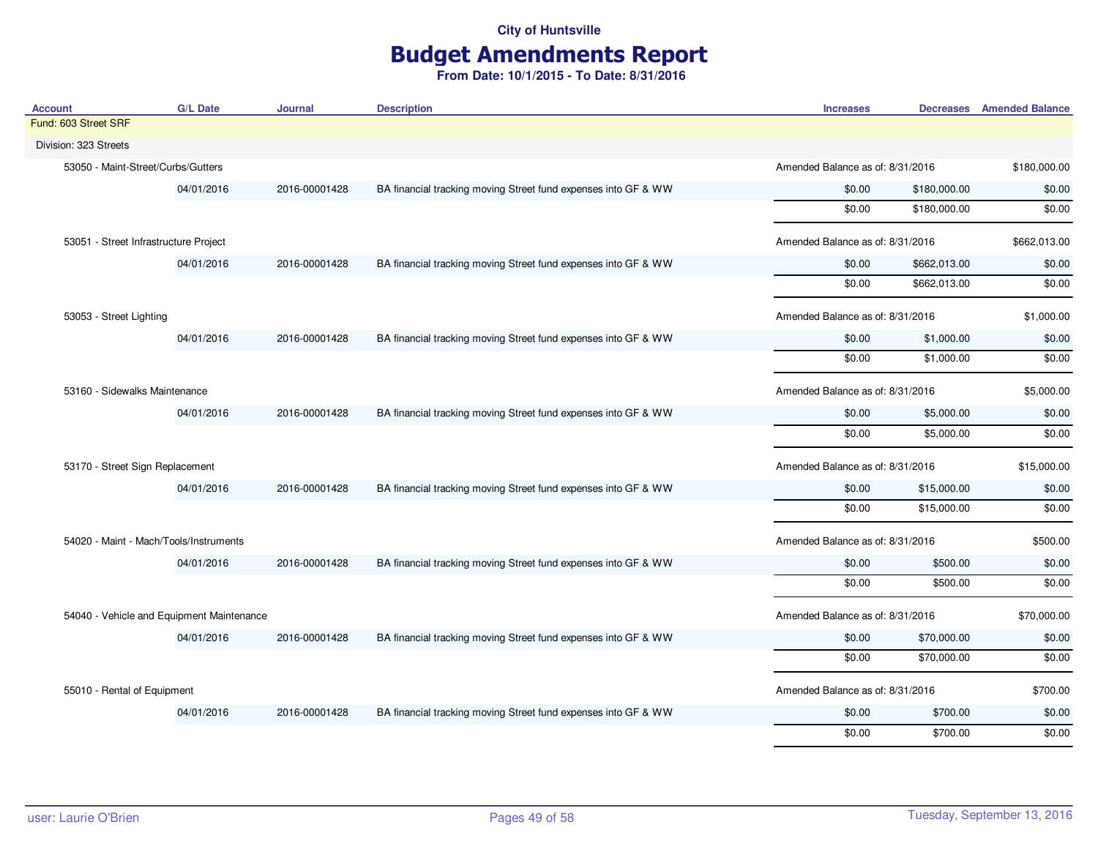## Budget Amendments Report

| <b>Account</b>                            | <b>G/L Date</b> | Journal       | <b>Description</b>                                             | <b>Increases</b>                 |              | <b>Decreases</b> Amended Balance |
|-------------------------------------------|-----------------|---------------|----------------------------------------------------------------|----------------------------------|--------------|----------------------------------|
| Fund: 603 Street SRF                      |                 |               |                                                                |                                  |              |                                  |
| Division: 323 Streets                     |                 |               |                                                                |                                  |              |                                  |
| 53050 - Maint-Street/Curbs/Gutters        |                 |               |                                                                | Amended Balance as of: 8/31/2016 |              | \$180,000.00                     |
|                                           | 04/01/2016      | 2016-00001428 | BA financial tracking moving Street fund expenses into GF & WW | \$0.00                           | \$180,000.00 | \$0.00                           |
|                                           |                 |               |                                                                | \$0.00                           | \$180,000.00 | \$0.00                           |
| 53051 - Street Infrastructure Project     |                 |               |                                                                | Amended Balance as of: 8/31/2016 |              | \$662,013.00                     |
|                                           | 04/01/2016      | 2016-00001428 | BA financial tracking moving Street fund expenses into GF & WW | \$0.00                           | \$662,013.00 | \$0.00                           |
|                                           |                 |               |                                                                | \$0.00                           | \$662,013.00 | \$0.00                           |
| 53053 - Street Lighting                   |                 |               |                                                                | Amended Balance as of: 8/31/2016 |              | \$1,000.00                       |
|                                           | 04/01/2016      | 2016-00001428 | BA financial tracking moving Street fund expenses into GF & WW | \$0.00                           | \$1,000.00   | \$0.00                           |
|                                           |                 |               |                                                                | \$0.00                           | \$1,000.00   | \$0.00                           |
| 53160 - Sidewalks Maintenance             |                 |               |                                                                | Amended Balance as of: 8/31/2016 |              | \$5,000.00                       |
|                                           | 04/01/2016      | 2016-00001428 | BA financial tracking moving Street fund expenses into GF & WW | \$0.00                           | \$5,000.00   | \$0.00                           |
|                                           |                 |               |                                                                | \$0.00                           | \$5,000.00   | \$0.00                           |
| 53170 - Street Sign Replacement           |                 |               |                                                                | Amended Balance as of: 8/31/2016 |              | \$15,000.00                      |
|                                           | 04/01/2016      | 2016-00001428 | BA financial tracking moving Street fund expenses into GF & WW | \$0.00                           | \$15,000.00  | \$0.00                           |
|                                           |                 |               |                                                                | \$0.00                           | \$15,000.00  | \$0.00                           |
| 54020 - Maint - Mach/Tools/Instruments    |                 |               |                                                                | Amended Balance as of: 8/31/2016 |              | \$500.00                         |
|                                           | 04/01/2016      | 2016-00001428 | BA financial tracking moving Street fund expenses into GF & WW | \$0.00                           | \$500.00     | \$0.00                           |
|                                           |                 |               |                                                                | \$0.00                           | \$500.00     | \$0.00                           |
| 54040 - Vehicle and Equipment Maintenance |                 |               |                                                                | Amended Balance as of: 8/31/2016 |              | \$70,000.00                      |
|                                           | 04/01/2016      | 2016-00001428 | BA financial tracking moving Street fund expenses into GF & WW | \$0.00                           | \$70,000.00  | \$0.00                           |
|                                           |                 |               |                                                                | \$0.00                           | \$70,000.00  | \$0.00                           |
| 55010 - Rental of Equipment               |                 |               |                                                                | Amended Balance as of: 8/31/2016 |              | \$700.00                         |
|                                           | 04/01/2016      | 2016-00001428 | BA financial tracking moving Street fund expenses into GF & WW | \$0.00                           | \$700.00     | \$0.00                           |
|                                           |                 |               |                                                                | \$0.00                           | \$700.00     | \$0.00                           |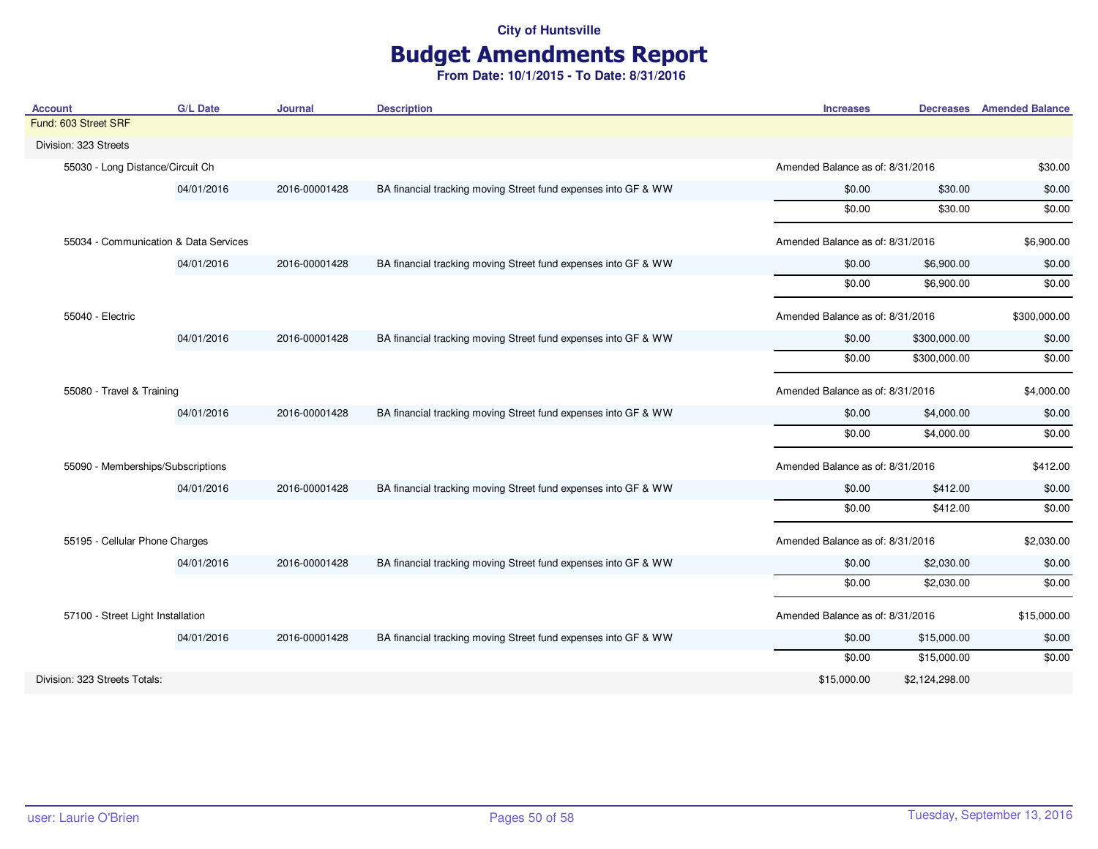# Budget Amendments Report

| <b>Account</b>                        | <b>G/L Date</b> | <b>Journal</b> | <b>Description</b>                                             | <b>Increases</b>                 |                | <b>Decreases</b> Amended Balance |
|---------------------------------------|-----------------|----------------|----------------------------------------------------------------|----------------------------------|----------------|----------------------------------|
| Fund: 603 Street SRF                  |                 |                |                                                                |                                  |                |                                  |
| Division: 323 Streets                 |                 |                |                                                                |                                  |                |                                  |
| 55030 - Long Distance/Circuit Ch      |                 |                |                                                                | Amended Balance as of: 8/31/2016 |                | \$30.00                          |
|                                       | 04/01/2016      | 2016-00001428  | BA financial tracking moving Street fund expenses into GF & WW | \$0.00                           | \$30.00        | \$0.00                           |
|                                       |                 |                |                                                                | \$0.00                           | \$30.00        | \$0.00                           |
| 55034 - Communication & Data Services |                 |                |                                                                | Amended Balance as of: 8/31/2016 |                | \$6,900.00                       |
|                                       | 04/01/2016      | 2016-00001428  | BA financial tracking moving Street fund expenses into GF & WW | \$0.00                           | \$6,900.00     | \$0.00                           |
|                                       |                 |                |                                                                | \$0.00                           | \$6,900.00     | \$0.00                           |
| 55040 - Electric                      |                 |                |                                                                | Amended Balance as of: 8/31/2016 |                | \$300,000.00                     |
|                                       | 04/01/2016      | 2016-00001428  | BA financial tracking moving Street fund expenses into GF & WW | \$0.00                           | \$300,000.00   | \$0.00                           |
|                                       |                 |                |                                                                | \$0.00                           | \$300,000.00   | \$0.00                           |
| 55080 - Travel & Training             |                 |                |                                                                | Amended Balance as of: 8/31/2016 |                | \$4,000.00                       |
|                                       | 04/01/2016      | 2016-00001428  | BA financial tracking moving Street fund expenses into GF & WW | \$0.00                           | \$4,000.00     | \$0.00                           |
|                                       |                 |                |                                                                | \$0.00                           | \$4,000.00     | \$0.00                           |
| 55090 - Memberships/Subscriptions     |                 |                |                                                                | Amended Balance as of: 8/31/2016 |                | \$412.00                         |
|                                       | 04/01/2016      | 2016-00001428  | BA financial tracking moving Street fund expenses into GF & WW | \$0.00                           | \$412.00       | \$0.00                           |
|                                       |                 |                |                                                                | \$0.00                           | \$412.00       | \$0.00                           |
| 55195 - Cellular Phone Charges        |                 |                |                                                                | Amended Balance as of: 8/31/2016 |                | \$2,030.00                       |
|                                       | 04/01/2016      | 2016-00001428  | BA financial tracking moving Street fund expenses into GF & WW | \$0.00                           | \$2,030.00     | \$0.00                           |
|                                       |                 |                |                                                                | \$0.00                           | \$2,030.00     | \$0.00                           |
| 57100 - Street Light Installation     |                 |                |                                                                | Amended Balance as of: 8/31/2016 |                | \$15,000.00                      |
|                                       | 04/01/2016      | 2016-00001428  | BA financial tracking moving Street fund expenses into GF & WW | \$0.00                           | \$15,000.00    | \$0.00                           |
|                                       |                 |                |                                                                | \$0.00                           | \$15,000.00    | \$0.00                           |
| Division: 323 Streets Totals:         |                 |                |                                                                | \$15,000.00                      | \$2,124,298.00 |                                  |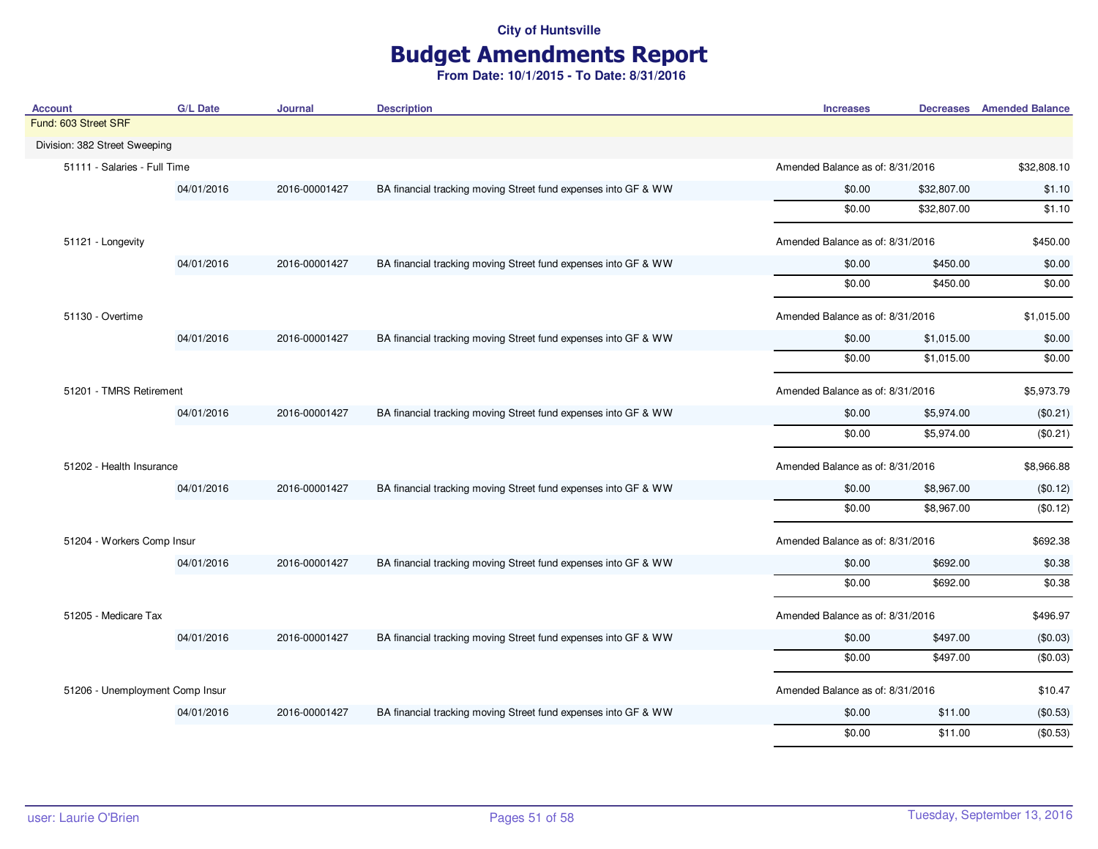# Budget Amendments Report

| <b>Account</b>                  | <b>G/L Date</b> | <b>Journal</b> | <b>Description</b>                                             | <b>Increases</b>                 |             | <b>Decreases</b> Amended Balance |
|---------------------------------|-----------------|----------------|----------------------------------------------------------------|----------------------------------|-------------|----------------------------------|
| Fund: 603 Street SRF            |                 |                |                                                                |                                  |             |                                  |
| Division: 382 Street Sweeping   |                 |                |                                                                |                                  |             |                                  |
| 51111 - Salaries - Full Time    |                 |                |                                                                | Amended Balance as of: 8/31/2016 |             | \$32,808.10                      |
|                                 | 04/01/2016      | 2016-00001427  | BA financial tracking moving Street fund expenses into GF & WW | \$0.00                           | \$32,807.00 | \$1.10                           |
|                                 |                 |                |                                                                | \$0.00                           | \$32,807.00 | \$1.10                           |
| 51121 - Longevity               |                 |                |                                                                | Amended Balance as of: 8/31/2016 |             | \$450.00                         |
|                                 | 04/01/2016      | 2016-00001427  | BA financial tracking moving Street fund expenses into GF & WW | \$0.00                           | \$450.00    | \$0.00                           |
|                                 |                 |                |                                                                | \$0.00                           | \$450.00    | \$0.00                           |
| 51130 - Overtime                |                 |                |                                                                | Amended Balance as of: 8/31/2016 |             | \$1,015.00                       |
|                                 | 04/01/2016      | 2016-00001427  | BA financial tracking moving Street fund expenses into GF & WW | \$0.00                           | \$1,015.00  | \$0.00                           |
|                                 |                 |                |                                                                | \$0.00                           | \$1,015.00  | \$0.00                           |
| 51201 - TMRS Retirement         |                 |                |                                                                | Amended Balance as of: 8/31/2016 |             | \$5,973.79                       |
|                                 | 04/01/2016      | 2016-00001427  | BA financial tracking moving Street fund expenses into GF & WW | \$0.00                           | \$5,974.00  | (\$0.21)                         |
|                                 |                 |                |                                                                | \$0.00                           | \$5,974.00  | (\$0.21)                         |
| 51202 - Health Insurance        |                 |                |                                                                | Amended Balance as of: 8/31/2016 |             | \$8,966.88                       |
|                                 | 04/01/2016      | 2016-00001427  | BA financial tracking moving Street fund expenses into GF & WW | \$0.00                           | \$8,967.00  | (\$0.12)                         |
|                                 |                 |                |                                                                | \$0.00                           | \$8,967.00  | (\$0.12)                         |
| 51204 - Workers Comp Insur      |                 |                |                                                                | Amended Balance as of: 8/31/2016 |             | \$692.38                         |
|                                 | 04/01/2016      | 2016-00001427  | BA financial tracking moving Street fund expenses into GF & WW | \$0.00                           | \$692.00    | \$0.38                           |
|                                 |                 |                |                                                                | \$0.00                           | \$692.00    | \$0.38                           |
| 51205 - Medicare Tax            |                 |                |                                                                | Amended Balance as of: 8/31/2016 |             | \$496.97                         |
|                                 | 04/01/2016      | 2016-00001427  | BA financial tracking moving Street fund expenses into GF & WW | \$0.00                           | \$497.00    | (\$0.03)                         |
|                                 |                 |                |                                                                | \$0.00                           | \$497.00    | (\$0.03)                         |
| 51206 - Unemployment Comp Insur |                 |                |                                                                | Amended Balance as of: 8/31/2016 |             | \$10.47                          |
|                                 | 04/01/2016      | 2016-00001427  | BA financial tracking moving Street fund expenses into GF & WW | \$0.00                           | \$11.00     | (\$0.53)                         |
|                                 |                 |                |                                                                | \$0.00                           | \$11.00     | (\$0.53)                         |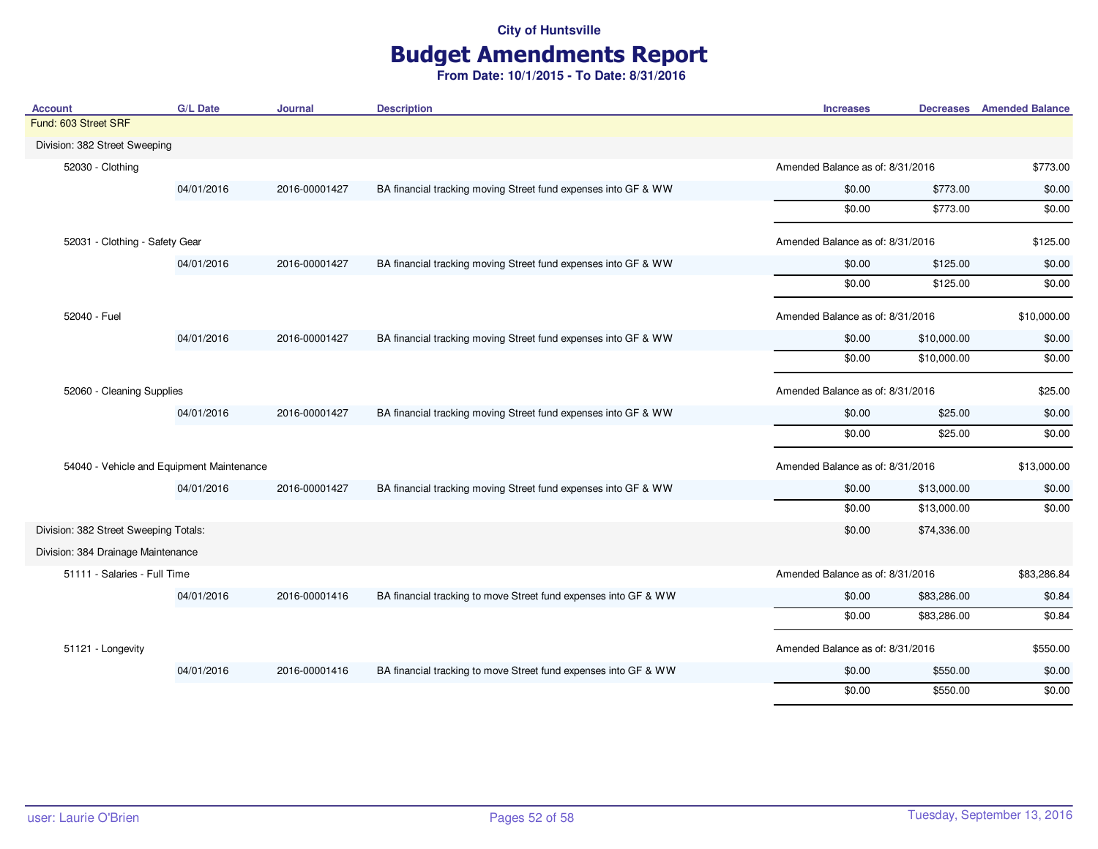# Budget Amendments Report

| <b>Account</b>                            | <b>G/L Date</b> | <b>Journal</b> | <b>Description</b>                                              | <b>Increases</b>                 |                                  | <b>Decreases</b> Amended Balance |
|-------------------------------------------|-----------------|----------------|-----------------------------------------------------------------|----------------------------------|----------------------------------|----------------------------------|
| Fund: 603 Street SRF                      |                 |                |                                                                 |                                  |                                  |                                  |
| Division: 382 Street Sweeping             |                 |                |                                                                 |                                  |                                  |                                  |
| 52030 - Clothing                          |                 |                |                                                                 |                                  | Amended Balance as of: 8/31/2016 |                                  |
|                                           | 04/01/2016      | 2016-00001427  | BA financial tracking moving Street fund expenses into GF & WW  | \$0.00                           | \$773.00                         | \$0.00                           |
|                                           |                 |                |                                                                 | \$0.00                           | \$773.00                         | \$0.00                           |
| 52031 - Clothing - Safety Gear            |                 |                |                                                                 | Amended Balance as of: 8/31/2016 |                                  | \$125.00                         |
|                                           | 04/01/2016      | 2016-00001427  | BA financial tracking moving Street fund expenses into GF & WW  | \$0.00                           | \$125.00                         | \$0.00                           |
|                                           |                 |                |                                                                 | \$0.00                           | \$125.00                         | \$0.00                           |
| 52040 - Fuel                              |                 |                |                                                                 | Amended Balance as of: 8/31/2016 |                                  | \$10,000.00                      |
|                                           | 04/01/2016      | 2016-00001427  | BA financial tracking moving Street fund expenses into GF & WW  | \$0.00                           | \$10,000.00                      | \$0.00                           |
|                                           |                 |                |                                                                 | \$0.00                           | \$10,000.00                      | \$0.00                           |
| 52060 - Cleaning Supplies                 |                 |                |                                                                 | Amended Balance as of: 8/31/2016 |                                  | \$25.00                          |
|                                           | 04/01/2016      | 2016-00001427  | BA financial tracking moving Street fund expenses into GF & WW  | \$0.00                           | \$25.00                          | \$0.00                           |
|                                           |                 |                |                                                                 | \$0.00                           | \$25.00                          | \$0.00                           |
| 54040 - Vehicle and Equipment Maintenance |                 |                |                                                                 | Amended Balance as of: 8/31/2016 |                                  | \$13,000.00                      |
|                                           | 04/01/2016      | 2016-00001427  | BA financial tracking moving Street fund expenses into GF & WW  | \$0.00                           | \$13,000.00                      | \$0.00                           |
|                                           |                 |                |                                                                 | \$0.00                           | \$13,000.00                      | \$0.00                           |
| Division: 382 Street Sweeping Totals:     |                 |                |                                                                 | \$0.00                           | \$74,336.00                      |                                  |
| Division: 384 Drainage Maintenance        |                 |                |                                                                 |                                  |                                  |                                  |
| 51111 - Salaries - Full Time              |                 |                |                                                                 | Amended Balance as of: 8/31/2016 |                                  | \$83,286.84                      |
|                                           | 04/01/2016      | 2016-00001416  | BA financial tracking to move Street fund expenses into GF & WW | \$0.00                           | \$83,286.00                      | \$0.84                           |
|                                           |                 |                |                                                                 | \$0.00                           | \$83,286.00                      | \$0.84                           |
| 51121 - Longevity                         |                 |                |                                                                 | Amended Balance as of: 8/31/2016 |                                  | \$550.00                         |
|                                           | 04/01/2016      | 2016-00001416  | BA financial tracking to move Street fund expenses into GF & WW | \$0.00                           | \$550.00                         | \$0.00                           |
|                                           |                 |                |                                                                 | \$0.00                           | \$550.00                         | \$0.00                           |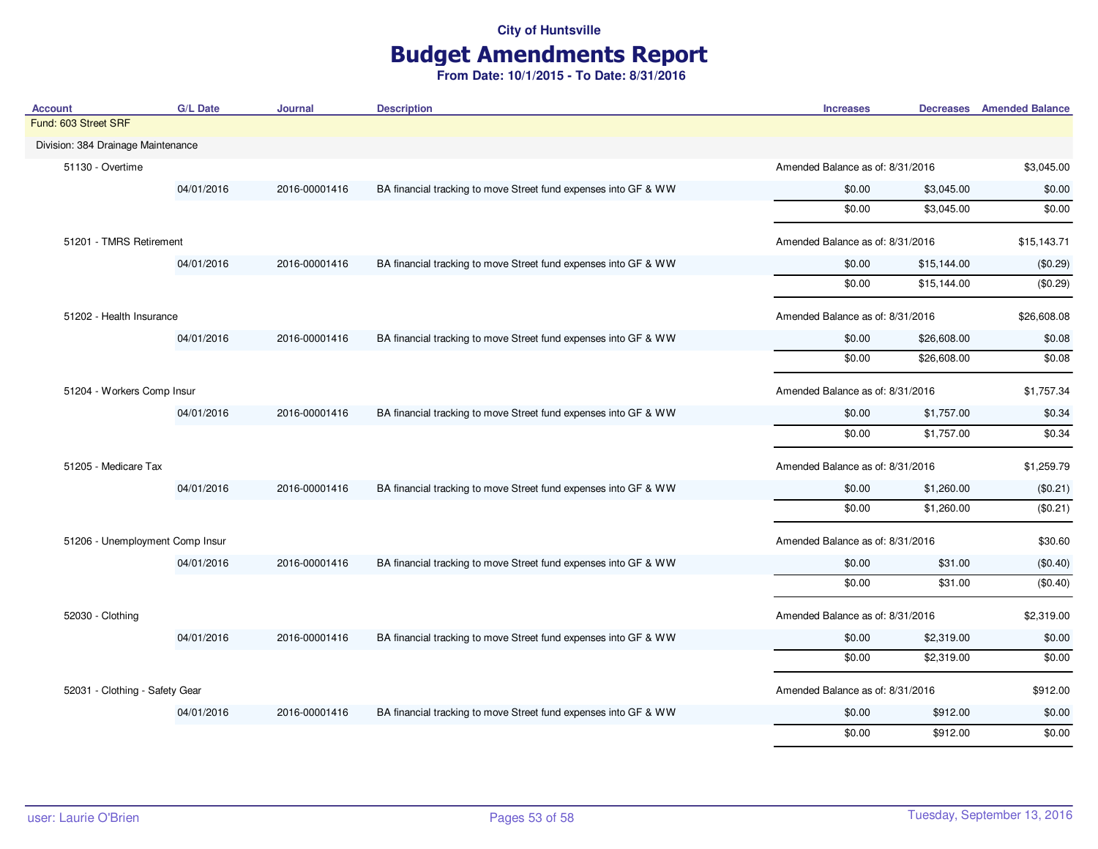## Budget Amendments Report

| <b>Account</b>                     | <b>G/L Date</b> | Journal       | <b>Description</b>                                              | <b>Increases</b>                 |                                  | <b>Decreases</b> Amended Balance |
|------------------------------------|-----------------|---------------|-----------------------------------------------------------------|----------------------------------|----------------------------------|----------------------------------|
| Fund: 603 Street SRF               |                 |               |                                                                 |                                  |                                  |                                  |
| Division: 384 Drainage Maintenance |                 |               |                                                                 |                                  |                                  |                                  |
| 51130 - Overtime                   |                 |               |                                                                 |                                  | Amended Balance as of: 8/31/2016 |                                  |
|                                    | 04/01/2016      | 2016-00001416 | BA financial tracking to move Street fund expenses into GF & WW | \$0.00                           | \$3,045.00                       | \$0.00                           |
|                                    |                 |               |                                                                 | \$0.00                           | \$3,045.00                       | \$0.00                           |
| 51201 - TMRS Retirement            |                 |               |                                                                 | Amended Balance as of: 8/31/2016 |                                  | \$15,143.71                      |
|                                    | 04/01/2016      | 2016-00001416 | BA financial tracking to move Street fund expenses into GF & WW | \$0.00                           | \$15,144.00                      | (\$0.29)                         |
|                                    |                 |               |                                                                 | \$0.00                           | \$15,144.00                      | (\$0.29)                         |
| 51202 - Health Insurance           |                 |               |                                                                 | Amended Balance as of: 8/31/2016 |                                  | \$26,608.08                      |
|                                    | 04/01/2016      | 2016-00001416 | BA financial tracking to move Street fund expenses into GF & WW | \$0.00                           | \$26,608.00                      | \$0.08                           |
|                                    |                 |               |                                                                 | \$0.00                           | \$26,608.00                      | \$0.08                           |
| 51204 - Workers Comp Insur         |                 |               |                                                                 | Amended Balance as of: 8/31/2016 |                                  | \$1,757.34                       |
|                                    | 04/01/2016      | 2016-00001416 | BA financial tracking to move Street fund expenses into GF & WW | \$0.00                           | \$1,757.00                       | \$0.34                           |
|                                    |                 |               |                                                                 | \$0.00                           | \$1,757.00                       | \$0.34                           |
| 51205 - Medicare Tax               |                 |               |                                                                 |                                  | Amended Balance as of: 8/31/2016 |                                  |
|                                    | 04/01/2016      | 2016-00001416 | BA financial tracking to move Street fund expenses into GF & WW | \$0.00                           | \$1,260.00                       | (\$0.21)                         |
|                                    |                 |               |                                                                 | \$0.00                           | \$1,260.00                       | (\$0.21)                         |
| 51206 - Unemployment Comp Insur    |                 |               |                                                                 | Amended Balance as of: 8/31/2016 |                                  | \$30.60                          |
|                                    | 04/01/2016      | 2016-00001416 | BA financial tracking to move Street fund expenses into GF & WW | \$0.00                           | \$31.00                          | (\$0.40)                         |
|                                    |                 |               |                                                                 | \$0.00                           | \$31.00                          | (\$0.40)                         |
| 52030 - Clothing                   |                 |               |                                                                 | Amended Balance as of: 8/31/2016 |                                  | \$2,319.00                       |
|                                    | 04/01/2016      | 2016-00001416 | BA financial tracking to move Street fund expenses into GF & WW | \$0.00                           | \$2,319.00                       | \$0.00                           |
|                                    |                 |               |                                                                 | \$0.00                           | \$2,319.00                       | \$0.00                           |
| 52031 - Clothing - Safety Gear     |                 |               |                                                                 | Amended Balance as of: 8/31/2016 |                                  | \$912.00                         |
|                                    | 04/01/2016      | 2016-00001416 | BA financial tracking to move Street fund expenses into GF & WW | \$0.00                           | \$912.00                         | \$0.00                           |
|                                    |                 |               |                                                                 | \$0.00                           | \$912.00                         | \$0.00                           |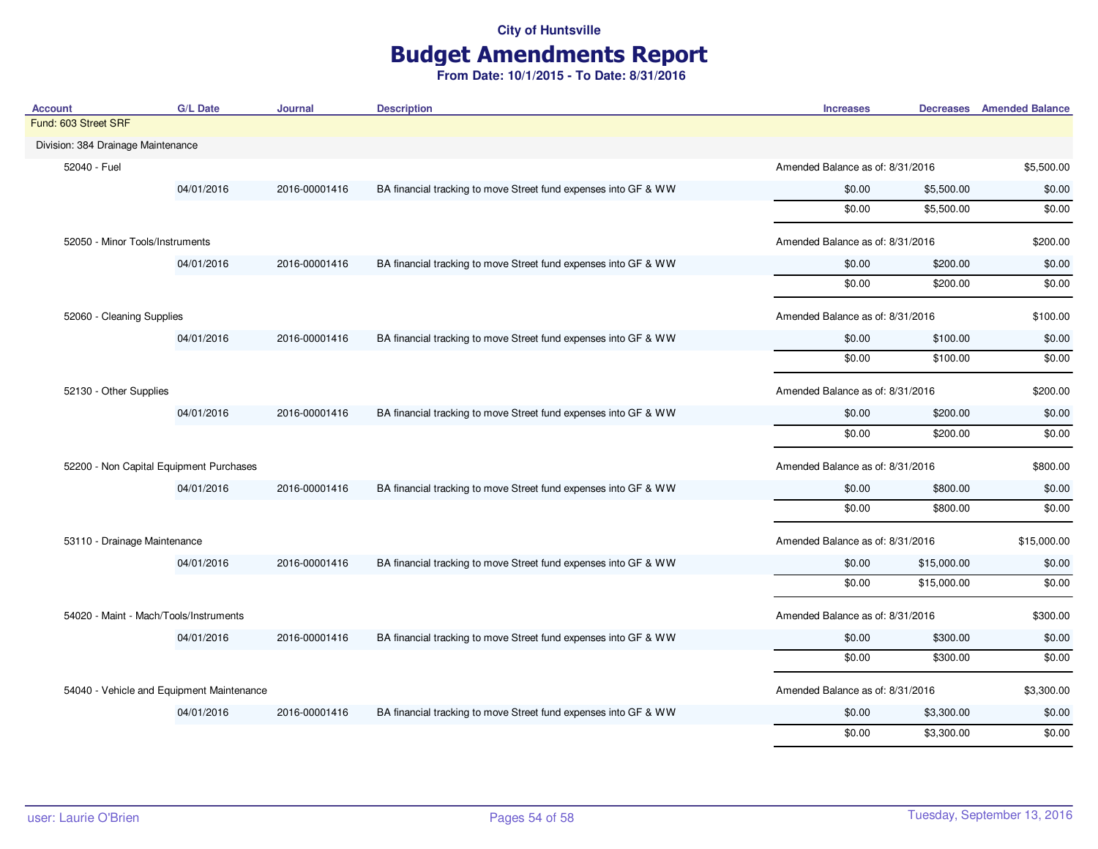## Budget Amendments Report

| <b>Account</b>                         | <b>G/L Date</b>                           | <b>Journal</b> | <b>Description</b>                                              | <b>Increases</b>                 |                                  | <b>Decreases</b> Amended Balance |
|----------------------------------------|-------------------------------------------|----------------|-----------------------------------------------------------------|----------------------------------|----------------------------------|----------------------------------|
| Fund: 603 Street SRF                   |                                           |                |                                                                 |                                  |                                  |                                  |
| Division: 384 Drainage Maintenance     |                                           |                |                                                                 |                                  |                                  |                                  |
| 52040 - Fuel                           |                                           |                |                                                                 |                                  | Amended Balance as of: 8/31/2016 |                                  |
|                                        | 04/01/2016                                | 2016-00001416  | BA financial tracking to move Street fund expenses into GF & WW | \$0.00                           | \$5,500.00                       | \$0.00                           |
|                                        |                                           |                |                                                                 | \$0.00                           | \$5,500.00                       | \$0.00                           |
| 52050 - Minor Tools/Instruments        |                                           |                |                                                                 | Amended Balance as of: 8/31/2016 |                                  | \$200.00                         |
|                                        | 04/01/2016                                | 2016-00001416  | BA financial tracking to move Street fund expenses into GF & WW | \$0.00                           | \$200.00                         | \$0.00                           |
|                                        |                                           |                |                                                                 | \$0.00                           | \$200.00                         | \$0.00                           |
| 52060 - Cleaning Supplies              |                                           |                |                                                                 | Amended Balance as of: 8/31/2016 |                                  | \$100.00                         |
|                                        | 04/01/2016                                | 2016-00001416  | BA financial tracking to move Street fund expenses into GF & WW | \$0.00                           | \$100.00                         | \$0.00                           |
|                                        |                                           |                |                                                                 | \$0.00                           | \$100.00                         | \$0.00                           |
| 52130 - Other Supplies                 |                                           |                |                                                                 | Amended Balance as of: 8/31/2016 |                                  | \$200.00                         |
|                                        | 04/01/2016                                | 2016-00001416  | BA financial tracking to move Street fund expenses into GF & WW | \$0.00                           | \$200.00                         | \$0.00                           |
|                                        |                                           |                |                                                                 | \$0.00                           | \$200.00                         | \$0.00                           |
|                                        | 52200 - Non Capital Equipment Purchases   |                |                                                                 | Amended Balance as of: 8/31/2016 |                                  | \$800.00                         |
|                                        | 04/01/2016                                | 2016-00001416  | BA financial tracking to move Street fund expenses into GF & WW | \$0.00                           | \$800.00                         | \$0.00                           |
|                                        |                                           |                |                                                                 | \$0.00                           | \$800.00                         | \$0.00                           |
| 53110 - Drainage Maintenance           |                                           |                |                                                                 | Amended Balance as of: 8/31/2016 |                                  | \$15,000.00                      |
|                                        | 04/01/2016                                | 2016-00001416  | BA financial tracking to move Street fund expenses into GF & WW | \$0.00                           | \$15,000.00                      | \$0.00                           |
|                                        |                                           |                |                                                                 | \$0.00                           | \$15,000.00                      | \$0.00                           |
| 54020 - Maint - Mach/Tools/Instruments |                                           |                |                                                                 | Amended Balance as of: 8/31/2016 |                                  | \$300.00                         |
|                                        | 04/01/2016                                | 2016-00001416  | BA financial tracking to move Street fund expenses into GF & WW | \$0.00                           | \$300.00                         | \$0.00                           |
|                                        |                                           |                |                                                                 | \$0.00                           | \$300.00                         | \$0.00                           |
|                                        | 54040 - Vehicle and Equipment Maintenance |                |                                                                 | Amended Balance as of: 8/31/2016 |                                  | \$3,300.00                       |
|                                        | 04/01/2016                                | 2016-00001416  | BA financial tracking to move Street fund expenses into GF & WW | \$0.00                           | \$3,300.00                       | \$0.00                           |
|                                        |                                           |                |                                                                 | \$0.00                           | \$3,300.00                       | \$0.00                           |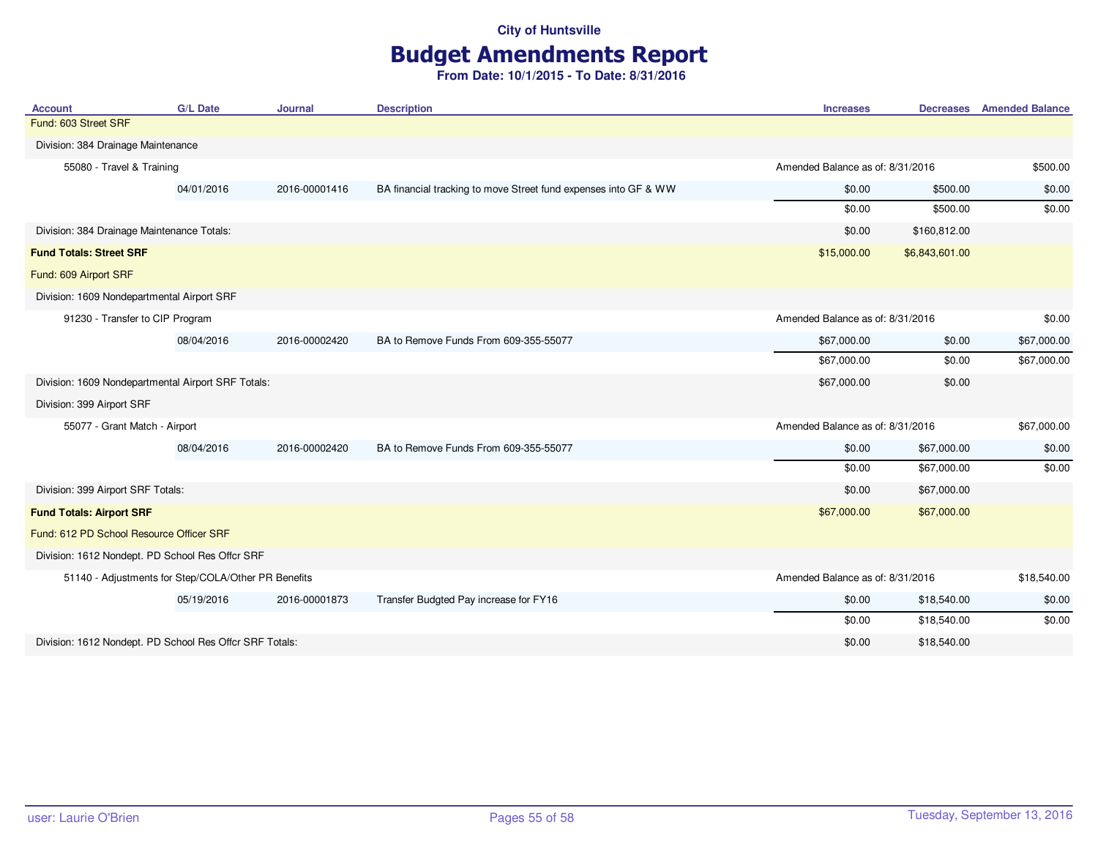## Budget Amendments Report

| <b>Account</b>                                          | <b>G/L Date</b> | Journal       | <b>Description</b>                                              | <b>Increases</b>                 |                | <b>Decreases</b> Amended Balance |
|---------------------------------------------------------|-----------------|---------------|-----------------------------------------------------------------|----------------------------------|----------------|----------------------------------|
| Fund: 603 Street SRF                                    |                 |               |                                                                 |                                  |                |                                  |
| Division: 384 Drainage Maintenance                      |                 |               |                                                                 |                                  |                |                                  |
| 55080 - Travel & Training                               |                 |               |                                                                 | Amended Balance as of: 8/31/2016 |                | \$500.00                         |
|                                                         | 04/01/2016      | 2016-00001416 | BA financial tracking to move Street fund expenses into GF & WW | \$0.00                           | \$500.00       | \$0.00                           |
|                                                         |                 |               |                                                                 | \$0.00                           | \$500.00       | \$0.00                           |
| Division: 384 Drainage Maintenance Totals:              |                 |               |                                                                 | \$0.00                           | \$160,812.00   |                                  |
| <b>Fund Totals: Street SRF</b>                          |                 |               |                                                                 | \$15,000.00                      | \$6,843,601.00 |                                  |
| Fund: 609 Airport SRF                                   |                 |               |                                                                 |                                  |                |                                  |
| Division: 1609 Nondepartmental Airport SRF              |                 |               |                                                                 |                                  |                |                                  |
| 91230 - Transfer to CIP Program                         |                 |               |                                                                 | Amended Balance as of: 8/31/2016 |                | \$0.00                           |
|                                                         | 08/04/2016      | 2016-00002420 | BA to Remove Funds From 609-355-55077                           | \$67,000.00                      | \$0.00         | \$67,000.00                      |
|                                                         |                 |               |                                                                 | \$67,000.00                      | \$0.00         | \$67,000.00                      |
| Division: 1609 Nondepartmental Airport SRF Totals:      |                 |               | \$67,000.00                                                     | \$0.00                           |                |                                  |
| Division: 399 Airport SRF                               |                 |               |                                                                 |                                  |                |                                  |
| 55077 - Grant Match - Airport                           |                 |               |                                                                 | Amended Balance as of: 8/31/2016 |                | \$67,000.00                      |
|                                                         | 08/04/2016      | 2016-00002420 | BA to Remove Funds From 609-355-55077                           | \$0.00                           | \$67,000.00    | \$0.00                           |
|                                                         |                 |               |                                                                 | \$0.00                           | \$67,000.00    | \$0.00                           |
| Division: 399 Airport SRF Totals:                       |                 |               |                                                                 | \$0.00                           | \$67,000.00    |                                  |
| <b>Fund Totals: Airport SRF</b>                         |                 |               |                                                                 | \$67,000.00                      | \$67,000.00    |                                  |
| Fund: 612 PD School Resource Officer SRF                |                 |               |                                                                 |                                  |                |                                  |
| Division: 1612 Nondept. PD School Res Offer SRF         |                 |               |                                                                 |                                  |                |                                  |
| 51140 - Adjustments for Step/COLA/Other PR Benefits     |                 |               |                                                                 | Amended Balance as of: 8/31/2016 |                | \$18,540.00                      |
|                                                         | 05/19/2016      | 2016-00001873 | Transfer Budgted Pay increase for FY16                          | \$0.00                           | \$18,540.00    | \$0.00                           |
|                                                         |                 |               |                                                                 | \$0.00                           | \$18,540.00    | \$0.00                           |
| Division: 1612 Nondept. PD School Res Offcr SRF Totals: |                 |               |                                                                 | \$0.00                           | \$18,540.00    |                                  |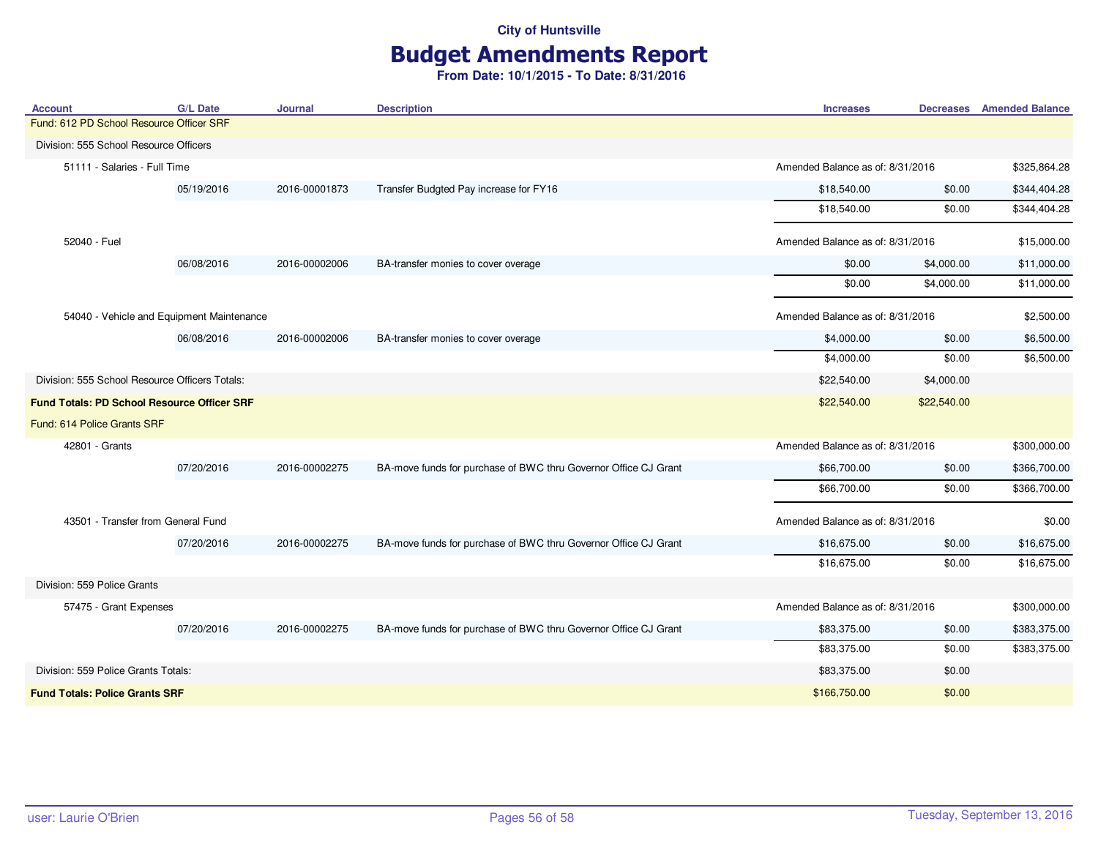# Budget Amendments Report

| <b>Account</b>                                     | <b>G/L Date</b> | <b>Journal</b> | <b>Description</b>                                              | <b>Increases</b>                 |             | <b>Decreases</b> Amended Balance |
|----------------------------------------------------|-----------------|----------------|-----------------------------------------------------------------|----------------------------------|-------------|----------------------------------|
| Fund: 612 PD School Resource Officer SRF           |                 |                |                                                                 |                                  |             |                                  |
| Division: 555 School Resource Officers             |                 |                |                                                                 |                                  |             |                                  |
| 51111 - Salaries - Full Time                       |                 |                |                                                                 | Amended Balance as of: 8/31/2016 |             | \$325,864.28                     |
|                                                    | 05/19/2016      | 2016-00001873  | Transfer Budgted Pay increase for FY16                          | \$18,540.00                      | \$0.00      | \$344,404.28                     |
|                                                    |                 |                |                                                                 | \$18,540.00                      | \$0.00      | \$344,404.28                     |
| 52040 - Fuel                                       |                 |                |                                                                 | Amended Balance as of: 8/31/2016 |             | \$15,000.00                      |
|                                                    | 06/08/2016      | 2016-00002006  | BA-transfer monies to cover overage                             | \$0.00                           | \$4,000.00  | \$11,000.00                      |
|                                                    |                 |                |                                                                 | \$0.00                           | \$4,000.00  | \$11,000.00                      |
| 54040 - Vehicle and Equipment Maintenance          |                 |                |                                                                 | Amended Balance as of: 8/31/2016 |             | \$2,500.00                       |
|                                                    | 06/08/2016      | 2016-00002006  | BA-transfer monies to cover overage                             | \$4,000.00                       | \$0.00      | \$6,500.00                       |
|                                                    |                 |                |                                                                 | \$4,000.00                       | \$0.00      | \$6,500.00                       |
| Division: 555 School Resource Officers Totals:     |                 |                |                                                                 | \$22,540.00                      | \$4,000.00  |                                  |
| <b>Fund Totals: PD School Resource Officer SRF</b> |                 |                |                                                                 | \$22,540.00                      | \$22,540.00 |                                  |
| Fund: 614 Police Grants SRF                        |                 |                |                                                                 |                                  |             |                                  |
| 42801 - Grants                                     |                 |                |                                                                 | Amended Balance as of: 8/31/2016 |             | \$300,000.00                     |
|                                                    | 07/20/2016      | 2016-00002275  | BA-move funds for purchase of BWC thru Governor Office CJ Grant | \$66,700.00                      | \$0.00      | \$366,700.00                     |
|                                                    |                 |                |                                                                 | \$66,700.00                      | \$0.00      | \$366,700.00                     |
| 43501 - Transfer from General Fund                 |                 |                |                                                                 | Amended Balance as of: 8/31/2016 |             | \$0.00                           |
|                                                    | 07/20/2016      | 2016-00002275  | BA-move funds for purchase of BWC thru Governor Office CJ Grant | \$16,675.00                      | \$0.00      | \$16,675.00                      |
|                                                    |                 |                |                                                                 | \$16,675.00                      | \$0.00      | \$16,675.00                      |
| Division: 559 Police Grants                        |                 |                |                                                                 |                                  |             |                                  |
| 57475 - Grant Expenses                             |                 |                |                                                                 | Amended Balance as of: 8/31/2016 |             | \$300,000.00                     |
|                                                    | 07/20/2016      | 2016-00002275  | BA-move funds for purchase of BWC thru Governor Office CJ Grant | \$83,375.00                      | \$0.00      | \$383,375.00                     |
|                                                    |                 |                |                                                                 | \$83,375.00                      | \$0.00      | \$383,375.00                     |
| Division: 559 Police Grants Totals:                |                 |                |                                                                 | \$83,375.00                      | \$0.00      |                                  |
| <b>Fund Totals: Police Grants SRF</b>              |                 |                |                                                                 | \$166,750.00                     | \$0.00      |                                  |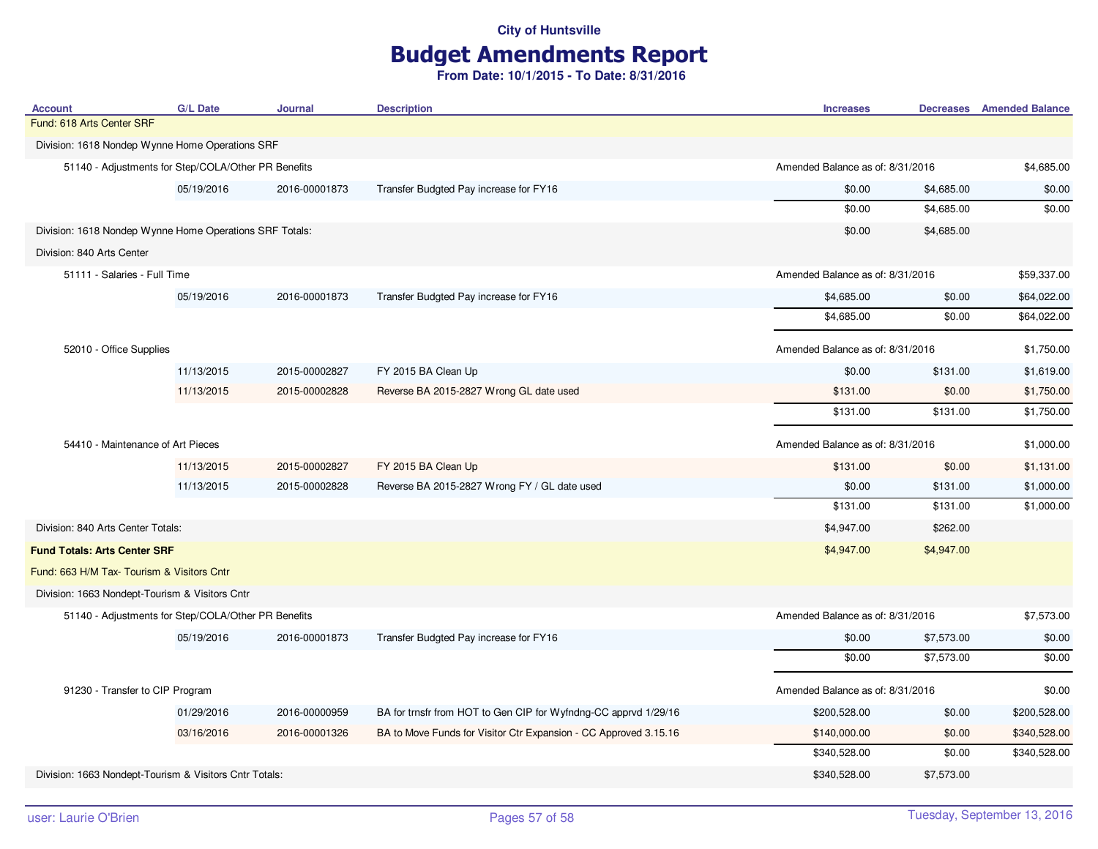# Budget Amendments Report

| <b>Account</b>                                          | <b>G/L Date</b>                                     | Journal       | <b>Description</b>                                               | <b>Increases</b>                 |            | <b>Decreases</b> Amended Balance |
|---------------------------------------------------------|-----------------------------------------------------|---------------|------------------------------------------------------------------|----------------------------------|------------|----------------------------------|
| Fund: 618 Arts Center SRF                               |                                                     |               |                                                                  |                                  |            |                                  |
| Division: 1618 Nondep Wynne Home Operations SRF         |                                                     |               |                                                                  |                                  |            |                                  |
|                                                         | 51140 - Adjustments for Step/COLA/Other PR Benefits |               |                                                                  | Amended Balance as of: 8/31/2016 |            | \$4,685.00                       |
|                                                         | 05/19/2016                                          | 2016-00001873 | Transfer Budgted Pay increase for FY16                           | \$0.00                           | \$4,685.00 | \$0.00                           |
|                                                         |                                                     |               |                                                                  | \$0.00                           | \$4,685.00 | \$0.00                           |
| Division: 1618 Nondep Wynne Home Operations SRF Totals: |                                                     |               |                                                                  | \$0.00                           | \$4,685.00 |                                  |
| Division: 840 Arts Center                               |                                                     |               |                                                                  |                                  |            |                                  |
| 51111 - Salaries - Full Time                            |                                                     |               |                                                                  | Amended Balance as of: 8/31/2016 |            | \$59,337.00                      |
|                                                         | 05/19/2016                                          | 2016-00001873 | Transfer Budgted Pay increase for FY16                           | \$4,685.00                       | \$0.00     | \$64,022.00                      |
|                                                         |                                                     |               |                                                                  | \$4,685.00                       | \$0.00     | \$64,022.00                      |
| 52010 - Office Supplies                                 |                                                     |               |                                                                  | Amended Balance as of: 8/31/2016 |            | \$1,750.00                       |
|                                                         | 11/13/2015                                          | 2015-00002827 | FY 2015 BA Clean Up                                              | \$0.00                           | \$131.00   | \$1,619.00                       |
|                                                         | 11/13/2015                                          | 2015-00002828 | Reverse BA 2015-2827 Wrong GL date used                          | \$131.00                         | \$0.00     | \$1,750.00                       |
|                                                         |                                                     |               |                                                                  | \$131.00                         | \$131.00   | \$1,750.00                       |
| 54410 - Maintenance of Art Pieces                       |                                                     |               |                                                                  | Amended Balance as of: 8/31/2016 |            | \$1,000.00                       |
|                                                         | 11/13/2015                                          | 2015-00002827 | FY 2015 BA Clean Up                                              | \$131.00                         | \$0.00     | \$1,131.00                       |
|                                                         | 11/13/2015                                          | 2015-00002828 | Reverse BA 2015-2827 Wrong FY / GL date used                     | \$0.00                           | \$131.00   | \$1,000.00                       |
|                                                         |                                                     |               |                                                                  | \$131.00                         | \$131.00   | \$1,000.00                       |
| Division: 840 Arts Center Totals:                       |                                                     |               |                                                                  | \$4,947.00                       | \$262.00   |                                  |
| <b>Fund Totals: Arts Center SRF</b>                     |                                                     |               |                                                                  | \$4,947.00                       | \$4,947.00 |                                  |
| Fund: 663 H/M Tax- Tourism & Visitors Cntr              |                                                     |               |                                                                  |                                  |            |                                  |
| Division: 1663 Nondept-Tourism & Visitors Cntr          |                                                     |               |                                                                  |                                  |            |                                  |
| 51140 - Adjustments for Step/COLA/Other PR Benefits     |                                                     |               |                                                                  | Amended Balance as of: 8/31/2016 |            | \$7,573.00                       |
|                                                         | 05/19/2016                                          | 2016-00001873 | Transfer Budgted Pay increase for FY16                           | \$0.00                           | \$7,573.00 | \$0.00                           |
|                                                         |                                                     |               |                                                                  | \$0.00                           | \$7,573.00 | \$0.00                           |
| 91230 - Transfer to CIP Program                         |                                                     |               |                                                                  | Amended Balance as of: 8/31/2016 |            | \$0.00                           |
|                                                         | 01/29/2016                                          | 2016-00000959 | BA for trnsfr from HOT to Gen CIP for Wyfndng-CC apprvd 1/29/16  | \$200,528.00                     | \$0.00     | \$200,528.00                     |
|                                                         | 03/16/2016                                          | 2016-00001326 | BA to Move Funds for Visitor Ctr Expansion - CC Approved 3.15.16 | \$140,000.00                     | \$0.00     | \$340,528.00                     |
|                                                         |                                                     |               |                                                                  | \$340,528.00                     | \$0.00     | \$340,528.00                     |
| Division: 1663 Nondept-Tourism & Visitors Cntr Totals:  |                                                     |               |                                                                  | \$340,528.00                     | \$7,573.00 |                                  |